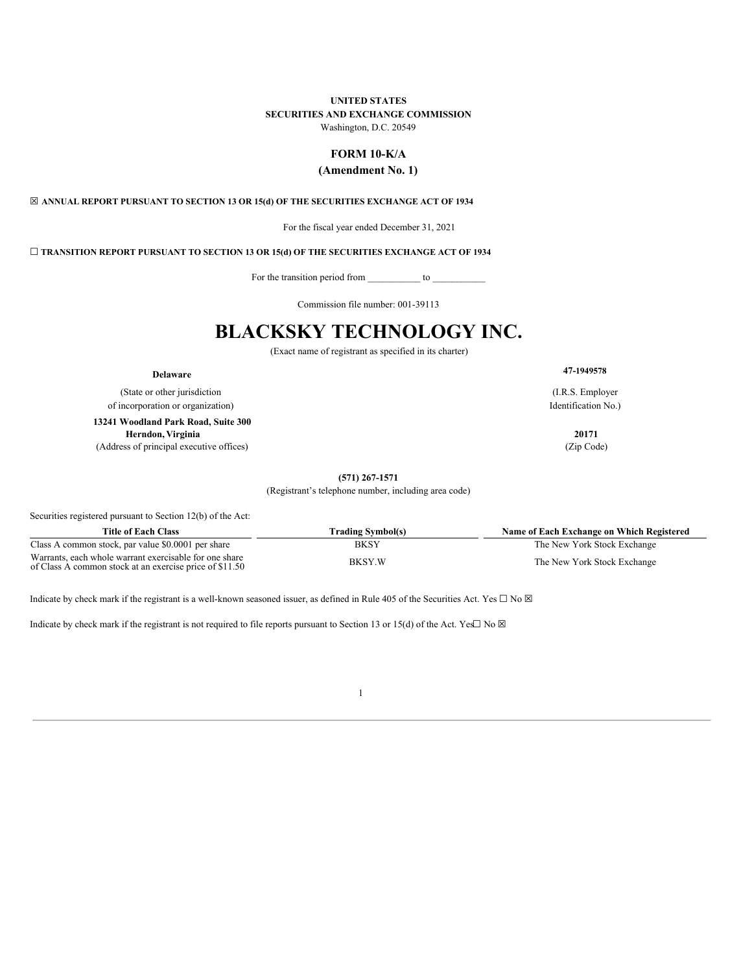# **UNITED STATES**

# **SECURITIES AND EXCHANGE COMMISSION**

Washington, D.C. 20549

# **FORM 10-K/A**

# **(Amendment No. 1)**

<span id="page-0-0"></span>☒ **ANNUAL REPORT PURSUANT TO SECTION 13 OR 15(d) OF THE SECURITIES EXCHANGE ACT OF 1934**

For the fiscal year ended December 31, 2021

☐ **TRANSITION REPORT PURSUANT TO SECTION 13 OR 15(d) OF THE SECURITIES EXCHANGE ACT OF 1934**

For the transition period from \_\_\_\_\_\_\_\_\_\_\_ to \_\_\_\_\_\_\_\_\_\_\_

Commission file number: 001-39113

# **BLACKSKY TECHNOLOGY INC.**

(Exact name of registrant as specified in its charter)

(State or other jurisdiction of incorporation or organization) **13241 Woodland Park Road, Suite 300 Herndon, Virginia 20171**

(Address of principal executive offices) (Zip Code)

**Delaware 47-<sup>1949578</sup>**

(I.R.S. Employer Identification No.)

**(571) 267-1571**

(Registrant's telephone number, including area code)

Securities registered pursuant to Section 12(b) of the Act:

| Title of Each Class                                                                                               | Trading Symbol(s) | Name of Each Exchange on Which Registered |
|-------------------------------------------------------------------------------------------------------------------|-------------------|-------------------------------------------|
| Class A common stock, par value \$0.0001 per share                                                                | BKSY              | The New York Stock Exchange               |
| Warrants, each whole warrant exercisable for one share<br>of Class A common stock at an exercise price of \$11.50 | <b>BKSY.W</b>     | The New York Stock Exchange               |

Indicate by check mark if the registrant is a well-known seasoned issuer, as defined in Rule 405 of the Securities Act. Yes  $\Box$  No  $\boxtimes$ 

Indicate by check mark if the registrant is not required to file reports pursuant to Section 13 or 15(d) of the Act. Yes $\Box$  No  $\boxtimes$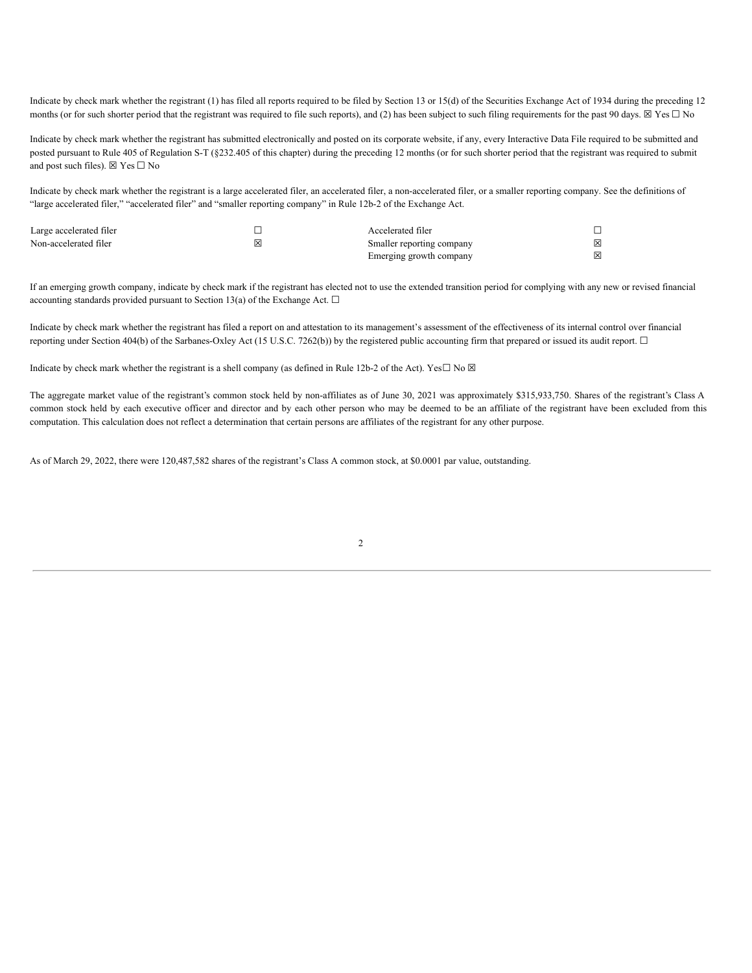Indicate by check mark whether the registrant (1) has filed all reports required to be filed by Section 13 or 15(d) of the Securities Exchange Act of 1934 during the preceding 12 months (or for such shorter period that the registrant was required to file such reports), and (2) has been subject to such filing requirements for the past 90 days.  $\boxtimes$  Yes  $\Box$  No

Indicate by check mark whether the registrant has submitted electronically and posted on its corporate website, if any, every Interactive Data File required to be submitted and posted pursuant to Rule 405 of Regulation S-T (§232.405 of this chapter) during the preceding 12 months (or for such shorter period that the registrant was required to submit and post such files).  $\boxtimes$  Yes  $\Box$  No

Indicate by check mark whether the registrant is a large accelerated filer, an accelerated filer, a non-accelerated filer, or a smaller reporting company. See the definitions of "large accelerated filer," "accelerated filer" and "smaller reporting company" in Rule 12b-2 of the Exchange Act.

| Large accelerated filer |   | Accelerated filer         |   |
|-------------------------|---|---------------------------|---|
| Non-accelerated filer   | ⊠ | Smaller reporting company | ⊠ |
|                         |   | Emerging growth company   | ⊠ |

If an emerging growth company, indicate by check mark if the registrant has elected not to use the extended transition period for complying with any new or revised financial accounting standards provided pursuant to Section 13(a) of the Exchange Act.  $\Box$ 

Indicate by check mark whether the registrant has filed a report on and attestation to its management's assessment of the effectiveness of its internal control over financial reporting under Section 404(b) of the Sarbanes-Oxley Act (15 U.S.C. 7262(b)) by the registered public accounting firm that prepared or issued its audit report.  $\Box$ 

Indicate by check mark whether the registrant is a shell company (as defined in Rule 12b-2 of the Act). Yes $\Box$  No  $\boxtimes$ 

The aggregate market value of the registrant's common stock held by non-affiliates as of June 30, 2021 was approximately \$315,933,750. Shares of the registrant's Class A common stock held by each executive officer and director and by each other person who may be deemed to be an affiliate of the registrant have been excluded from this computation. This calculation does not reflect a determination that certain persons are affiliates of the registrant for any other purpose.

As of March 29, 2022, there were 120,487,582 shares of the registrant's Class A common stock, at \$0.0001 par value, outstanding.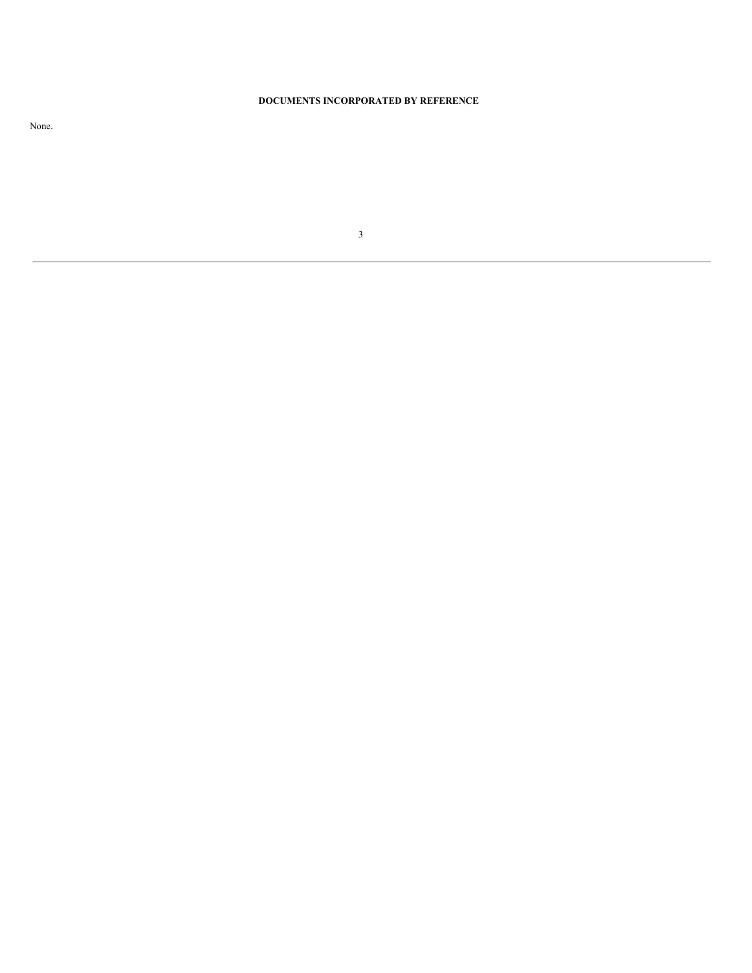# **DOCUMENTS INCORPORATED BY REFERENCE**

None.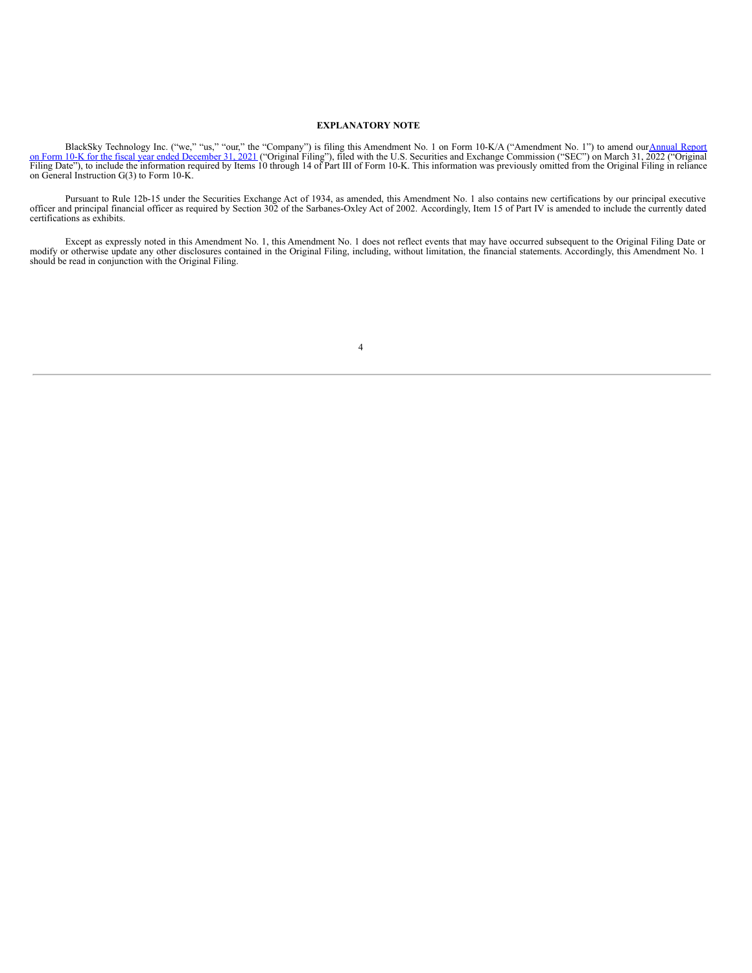# **EXPLANATORY NOTE**

BlackSky Technology Inc. ("we," "us," "our," the "Company") is filing this Amendment No. 1 on Form 10-K/A [\("Amendment](https://www.sec.gov/ix?doc=/Archives/edgar/data/1753539/000175353922000020/bksy-20211231.htm) No. 1") to amend our Annual Report<br>Thing Date"), to include the information required by Icms 11, 2021 ("

Pursuant to Rule 12b-15 under the Securities Exchange Act of 1934, as amended, this Amendment No. 1 also contains new certifications by our principal executive officer and principal financial officer as required by Section

Except as expressly noted in this Amendment No. 1, this Amendment No. 1 does not reflect events that may have occurred subsequent to the Original Filing Date or modify or otherwise update any other disclosures contained in should be read in conjunction with the Original Filing.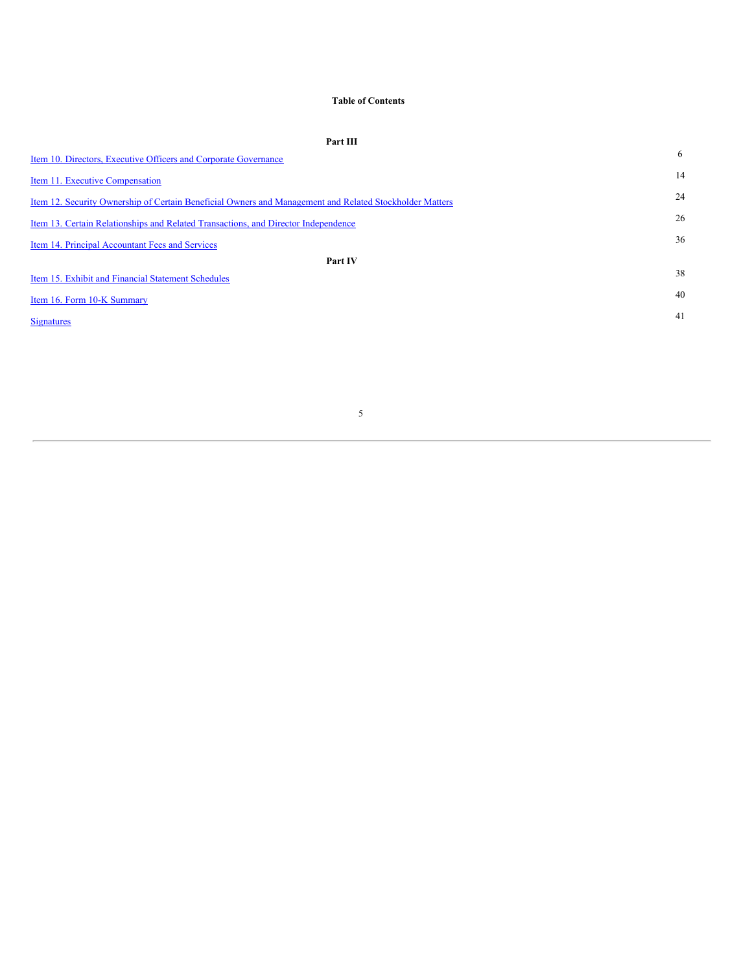# **Table of Contents**

| Part III                                                                                                |    |
|---------------------------------------------------------------------------------------------------------|----|
| Item 10. Directors, Executive Officers and Corporate Governance                                         | 6  |
| Item 11. Executive Compensation                                                                         | 14 |
| Item 12. Security Ownership of Certain Beneficial Owners and Management and Related Stockholder Matters | 24 |
| Item 13. Certain Relationships and Related Transactions, and Director Independence                      | 26 |
| Item 14. Principal Accountant Fees and Services                                                         | 36 |
| Part IV                                                                                                 |    |
| Item 15. Exhibit and Financial Statement Schedules                                                      | 38 |
| Item 16. Form 10-K Summary                                                                              | 40 |
| <b>Signatures</b>                                                                                       | 41 |
|                                                                                                         |    |
|                                                                                                         |    |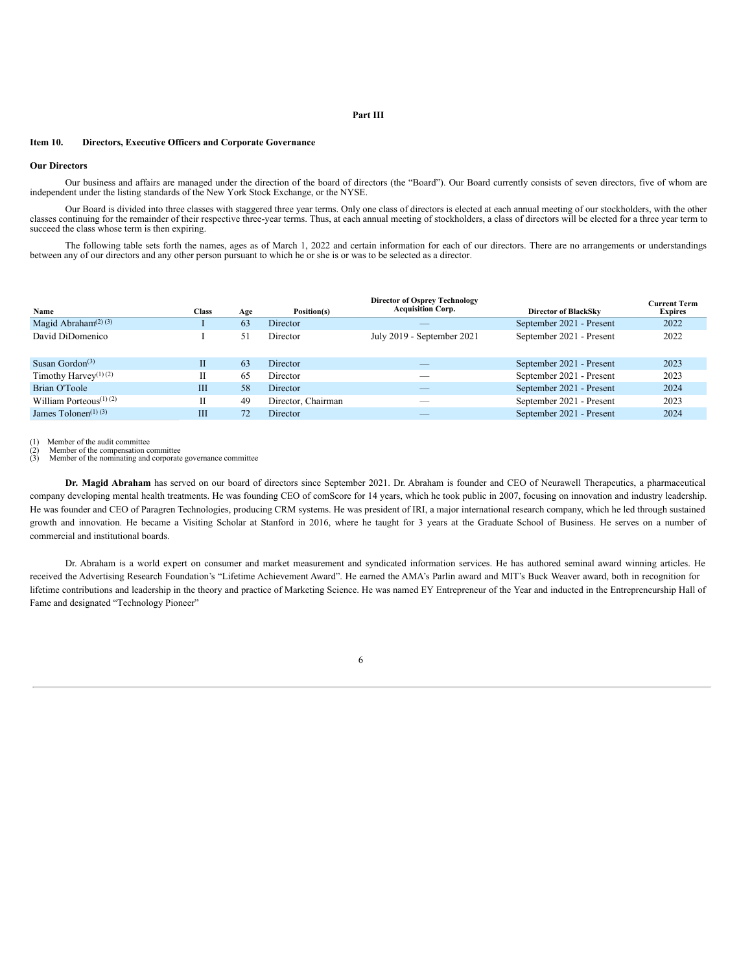# **Part III**

# **Item 10. Directors, Executive Officers and Corporate Governance**

### **Our Directors**

Our business and affairs are managed under the direction of the board of directors (the "Board"). Our Board currently consists of seven directors, five of whom are independent under the listing standards of the New York Stock Exchange, or the NYSE.

Our Board is divided into three classes with staggered three year terms. Only one class of directors is elected at each annual meeting of our stockholders, with the other classes continuing for the remainder of their respective three-year terms. Thus, at each annual meeting of stockholders, a class of directors will be elected for a three year term to succeed the class whose term is then expiring.

The following table sets forth the names, ages as of March 1, 2022 and certain information for each of our directors. There are no arrangements or understandings between any of our directors and any other person pursuant to which he or she is or was to be selected as a director.

|                                                    |              |     |                    | <b>Director of Osprey Technology</b> |                             | <b>Current Term</b> |
|----------------------------------------------------|--------------|-----|--------------------|--------------------------------------|-----------------------------|---------------------|
| Name                                               | <b>Class</b> | Age | Position(s)        | <b>Acquisition Corp.</b>             | <b>Director of BlackSky</b> | <b>Expires</b>      |
| Magid Abraham <sup><math>(2)(3)</math></sup>       |              | 63  | Director           |                                      | September 2021 - Present    | 2022                |
| David DiDomenico                                   |              | 51  | Director           | July 2019 - September 2021           | September 2021 - Present    | 2022                |
|                                                    |              |     |                    |                                      |                             |                     |
| Susan Gordon <sup><math>(3)</math></sup>           | $_{II}$      | 63  | <b>Director</b>    |                                      | September 2021 - Present    | 2023                |
| Timothy Harvey <sup>(1)</sup> (2)                  | П            | 65  | Director           |                                      | September 2021 - Present    | 2023                |
| Brian O'Toole                                      | Ш            | 58  | Director           |                                      | September 2021 - Present    | 2024                |
| William Porteous <sup><math>(1)</math></sup> $(2)$ |              | 49  | Director, Chairman |                                      | September 2021 - Present    | 2023                |
| James Tolonen $(1)(3)$                             | ΠI           | 72  | Director           |                                      | September 2021 - Present    | 2024                |

Member of the audit committee

(2) Member of the compensation committee (3) Member of the nominating and corporate governance committee

**Dr. Magid Abraham** has served on our board of directors since September 2021. Dr. Abraham is founder and CEO of Neurawell Therapeutics, a pharmaceutical company developing mental health treatments. He was founding CEO of comScore for 14 years, which he took public in 2007, focusing on innovation and industry leadership. He was founder and CEO of Paragren Technologies, producing CRM systems. He was president of IRI, a major international research company, which he led through sustained growth and innovation. He became a Visiting Scholar at Stanford in 2016, where he taught for 3 years at the Graduate School of Business. He serves on a number of commercial and institutional boards.

Dr. Abraham is a world expert on consumer and market measurement and syndicated information services. He has authored seminal award winning articles. He received the Advertising Research Foundation's "Lifetime Achievement Award". He earned the AMA's Parlin award and MIT's Buck Weaver award, both in recognition for lifetime contributions and leadership in the theory and practice of Marketing Science. He was named EY Entrepreneur of the Year and inducted in the Entrepreneurship Hall of Fame and designated "Technology Pioneer"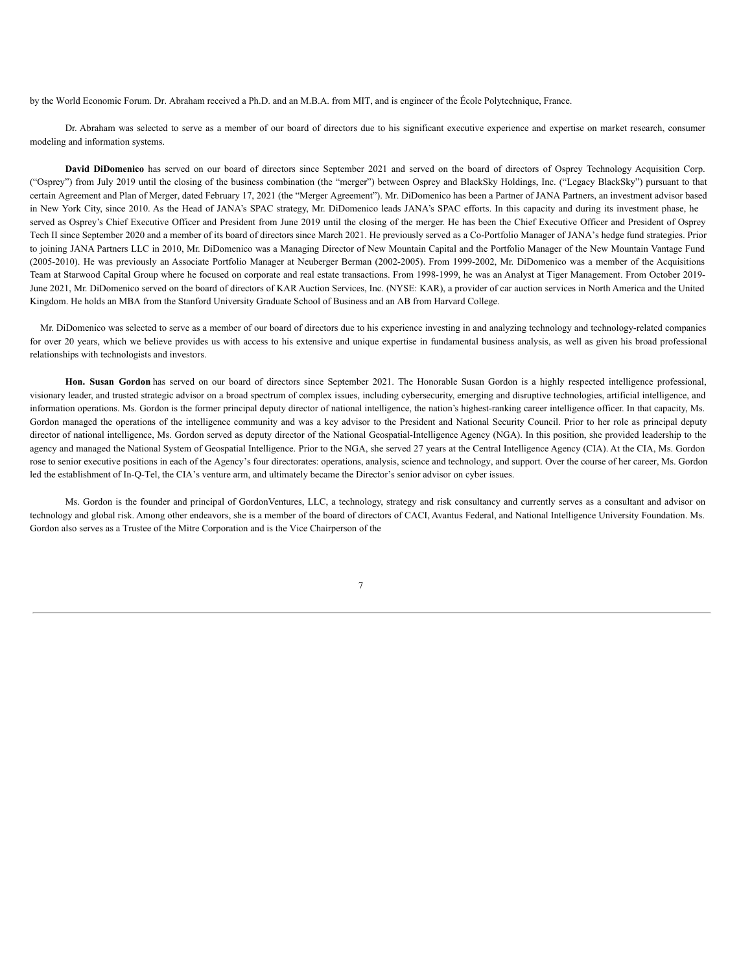by the World Economic Forum. Dr. Abraham received a Ph.D. and an M.B.A. from MIT, and is engineer of the École Polytechnique, France.

Dr. Abraham was selected to serve as a member of our board of directors due to his significant executive experience and expertise on market research, consumer modeling and information systems.

**David DiDomenico** has served on our board of directors since September 2021 and served on the board of directors of Osprey Technology Acquisition Corp. ("Osprey") from July 2019 until the closing of the business combination (the "merger") between Osprey and BlackSky Holdings, Inc. ("Legacy BlackSky") pursuant to that certain Agreement and Plan of Merger, dated February 17, 2021 (the "Merger Agreement"). Mr. DiDomenico has been a Partner of JANA Partners, an investment advisor based in New York City, since 2010. As the Head of JANA's SPAC strategy, Mr. DiDomenico leads JANA's SPAC efforts. In this capacity and during its investment phase, he served as Osprey's Chief Executive Officer and President from June 2019 until the closing of the merger. He has been the Chief Executive Officer and President of Osprey Tech II since September 2020 and a member of its board of directors since March 2021. He previously served as a Co-Portfolio Manager of JANA's hedge fund strategies. Prior to joining JANA Partners LLC in 2010, Mr. DiDomenico was a Managing Director of New Mountain Capital and the Portfolio Manager of the New Mountain Vantage Fund (2005-2010). He was previously an Associate Portfolio Manager at Neuberger Berman (2002-2005). From 1999-2002, Mr. DiDomenico was a member of the Acquisitions Team at Starwood Capital Group where he focused on corporate and real estate transactions. From 1998-1999, he was an Analyst at Tiger Management. From October 2019- June 2021, Mr. DiDomenico served on the board of directors of KAR Auction Services, Inc. (NYSE: KAR), a provider of car auction services in North America and the United Kingdom. He holds an MBA from the Stanford University Graduate School of Business and an AB from Harvard College.

Mr. DiDomenico was selected to serve as a member of our board of directors due to his experience investing in and analyzing technology and technology-related companies for over 20 years, which we believe provides us with access to his extensive and unique expertise in fundamental business analysis, as well as given his broad professional relationships with technologists and investors.

**Hon. Susan Gordon** has served on our board of directors since September 2021. The Honorable Susan Gordon is a highly respected intelligence professional, visionary leader, and trusted strategic advisor on a broad spectrum of complex issues, including cybersecurity, emerging and disruptive technologies, artificial intelligence, and information operations. Ms. Gordon is the former principal deputy director of national intelligence, the nation's highest-ranking career intelligence officer. In that capacity, Ms. Gordon managed the operations of the intelligence community and was a key advisor to the President and National Security Council. Prior to her role as principal deputy director of national intelligence, Ms. Gordon served as deputy director of the National Geospatial-Intelligence Agency (NGA). In this position, she provided leadership to the agency and managed the National System of Geospatial Intelligence. Prior to the NGA, she served 27 years at the Central Intelligence Agency (CIA). At the CIA, Ms. Gordon rose to senior executive positions in each of the Agency's four directorates: operations, analysis, science and technology, and support. Over the course of her career, Ms. Gordon led the establishment of In-Q-Tel, the CIA's venture arm, and ultimately became the Director's senior advisor on cyber issues.

Ms. Gordon is the founder and principal of GordonVentures, LLC, a technology, strategy and risk consultancy and currently serves as a consultant and advisor on technology and global risk. Among other endeavors, she is a member of the board of directors of CACI, Avantus Federal, and National Intelligence University Foundation. Ms. Gordon also serves as a Trustee of the Mitre Corporation and is the Vice Chairperson of the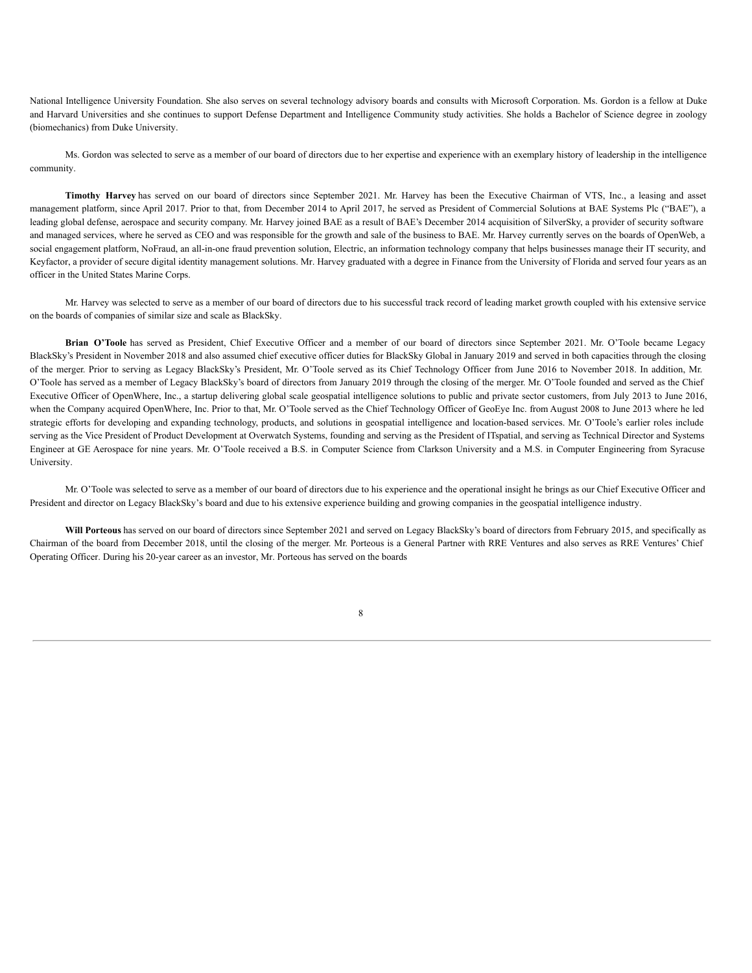National Intelligence University Foundation. She also serves on several technology advisory boards and consults with Microsoft Corporation. Ms. Gordon is a fellow at Duke and Harvard Universities and she continues to support Defense Department and Intelligence Community study activities. She holds a Bachelor of Science degree in zoology (biomechanics) from Duke University.

Ms. Gordon was selected to serve as a member of our board of directors due to her expertise and experience with an exemplary history of leadership in the intelligence community.

**Timothy Harvey** has served on our board of directors since September 2021. Mr. Harvey has been the Executive Chairman of VTS, Inc., a leasing and asset management platform, since April 2017. Prior to that, from December 2014 to April 2017, he served as President of Commercial Solutions at BAE Systems Plc ("BAE"), a leading global defense, aerospace and security company. Mr. Harvey joined BAE as a result of BAE's December 2014 acquisition of SilverSky, a provider of security software and managed services, where he served as CEO and was responsible for the growth and sale of the business to BAE. Mr. Harvey currently serves on the boards of OpenWeb, a social engagement platform, NoFraud, an all-in-one fraud prevention solution, Electric, an information technology company that helps businesses manage their IT security, and Keyfactor, a provider of secure digital identity management solutions. Mr. Harvey graduated with a degree in Finance from the University of Florida and served four years as an officer in the United States Marine Corps.

Mr. Harvey was selected to serve as a member of our board of directors due to his successful track record of leading market growth coupled with his extensive service on the boards of companies of similar size and scale as BlackSky.

**Brian O'Toole** has served as President, Chief Executive Officer and a member of our board of directors since September 2021. Mr. O'Toole became Legacy BlackSky's President in November 2018 and also assumed chief executive officer duties for BlackSky Global in January 2019 and served in both capacities through the closing of the merger. Prior to serving as Legacy BlackSky's President, Mr. O'Toole served as its Chief Technology Officer from June 2016 to November 2018. In addition, Mr. O'Toole has served as a member of Legacy BlackSky's board of directors from January 2019 through the closing of the merger. Mr. O'Toole founded and served as the Chief Executive Officer of OpenWhere, Inc., a startup delivering global scale geospatial intelligence solutions to public and private sector customers, from July 2013 to June 2016, when the Company acquired OpenWhere, Inc. Prior to that, Mr. O'Toole served as the Chief Technology Officer of GeoEye Inc. from August 2008 to June 2013 where he led strategic efforts for developing and expanding technology, products, and solutions in geospatial intelligence and location-based services. Mr. O'Toole's earlier roles include serving as the Vice President of Product Development at Overwatch Systems, founding and serving as the President of ITspatial, and serving as Technical Director and Systems Engineer at GE Aerospace for nine years. Mr. O'Toole received a B.S. in Computer Science from Clarkson University and a M.S. in Computer Engineering from Syracuse University.

Mr. O'Toole was selected to serve as a member of our board of directors due to his experience and the operational insight he brings as our Chief Executive Officer and President and director on Legacy BlackSky's board and due to his extensive experience building and growing companies in the geospatial intelligence industry.

**Will Porteous** has served on our board of directors since September 2021 and served on Legacy BlackSky's board of directors from February 2015, and specifically as Chairman of the board from December 2018, until the closing of the merger. Mr. Porteous is a General Partner with RRE Ventures and also serves as RRE Ventures' Chief Operating Officer. During his 20-year career as an investor, Mr. Porteous has served on the boards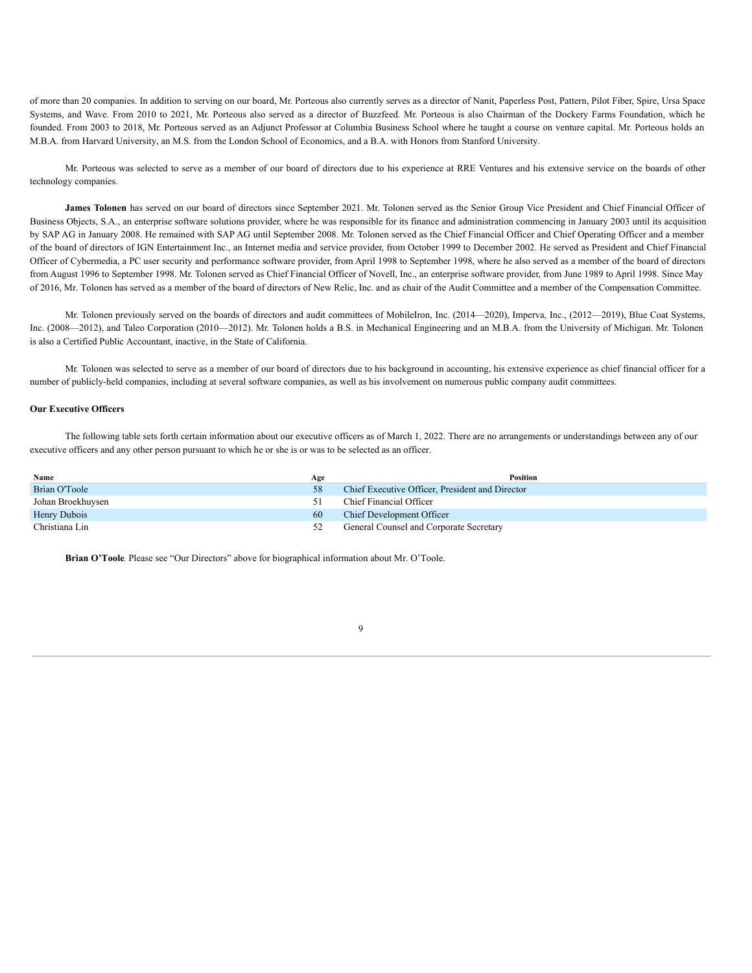of more than 20 companies. In addition to serving on our board, Mr. Porteous also currently serves as a director of Nanit, Paperless Post, Pattern, Pilot Fiber, Spire, Ursa Space Systems, and Wave. From 2010 to 2021, Mr. Porteous also served as a director of Buzzfeed. Mr. Porteous is also Chairman of the Dockery Farms Foundation, which he founded. From 2003 to 2018, Mr. Porteous served as an Adjunct Professor at Columbia Business School where he taught a course on venture capital. Mr. Porteous holds an M.B.A. from Harvard University, an M.S. from the London School of Economics, and a B.A. with Honors from Stanford University.

Mr. Porteous was selected to serve as a member of our board of directors due to his experience at RRE Ventures and his extensive service on the boards of other technology companies.

**James Tolonen** has served on our board of directors since September 2021. Mr. Tolonen served as the Senior Group Vice President and Chief Financial Officer of Business Objects, S.A., an enterprise software solutions provider, where he was responsible for its finance and administration commencing in January 2003 until its acquisition by SAP AG in January 2008. He remained with SAP AG until September 2008. Mr. Tolonen served as the Chief Financial Officer and Chief Operating Officer and a member of the board of directors of IGN Entertainment Inc., an Internet media and service provider, from October 1999 to December 2002. He served as President and Chief Financial Officer of Cybermedia, a PC user security and performance software provider, from April 1998 to September 1998, where he also served as a member of the board of directors from August 1996 to September 1998. Mr. Tolonen served as Chief Financial Officer of Novell, Inc., an enterprise software provider, from June 1989 to April 1998. Since May of 2016, Mr. Tolonen has served as a member of the board of directors of New Relic, Inc. and as chair of the Audit Committee and a member of the Compensation Committee.

Mr. Tolonen previously served on the boards of directors and audit committees of MobileIron, Inc. (2014—2020), Imperva, Inc., (2012—2019), Blue Coat Systems, Inc. (2008—2012), and Taleo Corporation (2010—2012). Mr. Tolonen holds a B.S. in Mechanical Engineering and an M.B.A. from the University of Michigan. Mr. Tolonen is also a Certified Public Accountant, inactive, in the State of California.

Mr. Tolonen was selected to serve as a member of our board of directors due to his background in accounting, his extensive experience as chief financial officer for a number of publicly-held companies, including at several software companies, as well as his involvement on numerous public company audit committees.

# **Our Executive Officers**

The following table sets forth certain information about our executive officers as of March 1, 2022. There are no arrangements or understandings between any of our executive officers and any other person pursuant to which he or she is or was to be selected as an officer.

| Name              | Age | <b>Position</b>                                 |
|-------------------|-----|-------------------------------------------------|
| Brian O'Toole     |     | Chief Executive Officer, President and Director |
| Johan Broekhuysen |     | Chief Financial Officer                         |
| Henry Dubois      | 60  | Chief Development Officer                       |
| Christiana Lin    |     | General Counsel and Corporate Secretary         |

**Brian O'Toole***.* Please see "Our Directors" above for biographical information about Mr. O'Toole.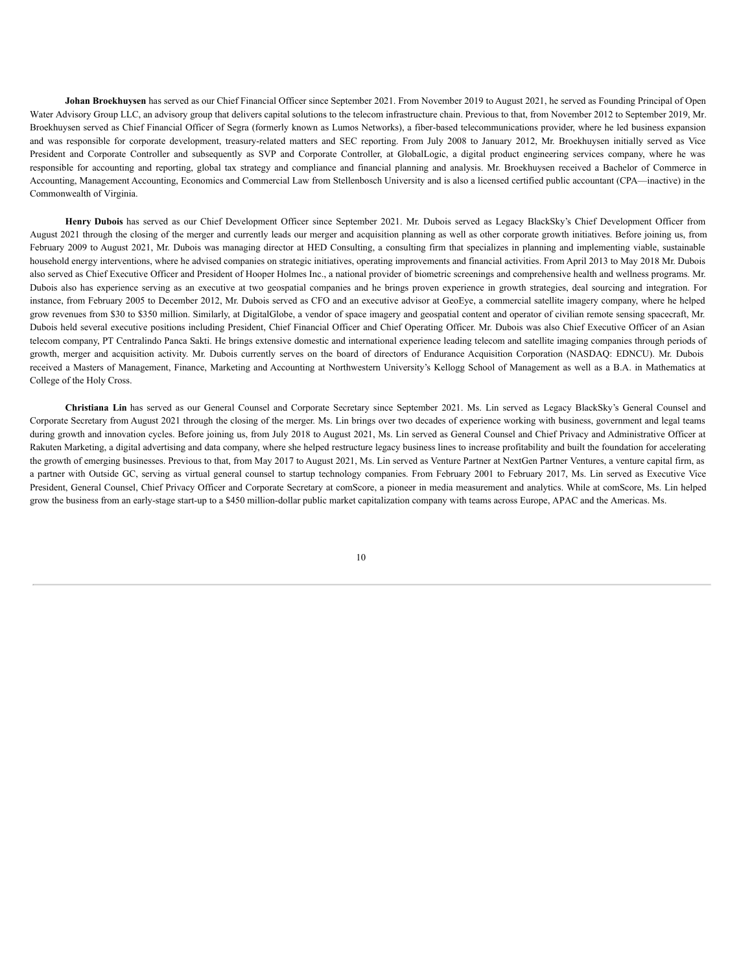**Johan Broekhuysen** has served as our Chief Financial Officer since September 2021. From November 2019 to August 2021, he served as Founding Principal of Open Water Advisory Group LLC, an advisory group that delivers capital solutions to the telecom infrastructure chain. Previous to that, from November 2012 to September 2019, Mr. Broekhuysen served as Chief Financial Officer of Segra (formerly known as Lumos Networks), a fiber-based telecommunications provider, where he led business expansion and was responsible for corporate development, treasury-related matters and SEC reporting. From July 2008 to January 2012, Mr. Broekhuysen initially served as Vice President and Corporate Controller and subsequently as SVP and Corporate Controller, at GlobalLogic, a digital product engineering services company, where he was responsible for accounting and reporting, global tax strategy and compliance and financial planning and analysis. Mr. Broekhuysen received a Bachelor of Commerce in Accounting, Management Accounting, Economics and Commercial Law from Stellenbosch University and is also a licensed certified public accountant (CPA—inactive) in the Commonwealth of Virginia.

**Henry Dubois** has served as our Chief Development Officer since September 2021. Mr. Dubois served as Legacy BlackSky's Chief Development Officer from August 2021 through the closing of the merger and currently leads our merger and acquisition planning as well as other corporate growth initiatives. Before joining us, from February 2009 to August 2021, Mr. Dubois was managing director at HED Consulting, a consulting firm that specializes in planning and implementing viable, sustainable household energy interventions, where he advised companies on strategic initiatives, operating improvements and financial activities. From April 2013 to May 2018 Mr. Dubois also served as Chief Executive Officer and President of Hooper Holmes Inc., a national provider of biometric screenings and comprehensive health and wellness programs. Mr. Dubois also has experience serving as an executive at two geospatial companies and he brings proven experience in growth strategies, deal sourcing and integration. For instance, from February 2005 to December 2012, Mr. Dubois served as CFO and an executive advisor at GeoEye, a commercial satellite imagery company, where he helped grow revenues from \$30 to \$350 million. Similarly, at DigitalGlobe, a vendor of space imagery and geospatial content and operator of civilian remote sensing spacecraft, Mr. Dubois held several executive positions including President, Chief Financial Officer and Chief Operating Officer. Mr. Dubois was also Chief Executive Officer of an Asian telecom company, PT Centralindo Panca Sakti. He brings extensive domestic and international experience leading telecom and satellite imaging companies through periods of growth, merger and acquisition activity. Mr. Dubois currently serves on the board of directors of Endurance Acquisition Corporation (NASDAQ: EDNCU). Mr. Dubois received a Masters of Management, Finance, Marketing and Accounting at Northwestern University's Kellogg School of Management as well as a B.A. in Mathematics at College of the Holy Cross.

**Christiana Lin** has served as our General Counsel and Corporate Secretary since September 2021. Ms. Lin served as Legacy BlackSky's General Counsel and Corporate Secretary from August 2021 through the closing of the merger. Ms. Lin brings over two decades of experience working with business, government and legal teams during growth and innovation cycles. Before joining us, from July 2018 to August 2021, Ms. Lin served as General Counsel and Chief Privacy and Administrative Officer at Rakuten Marketing, a digital advertising and data company, where she helped restructure legacy business lines to increase profitability and built the foundation for accelerating the growth of emerging businesses. Previous to that, from May 2017 to August 2021, Ms. Lin served as Venture Partner at NextGen Partner Ventures, a venture capital firm, as a partner with Outside GC, serving as virtual general counsel to startup technology companies. From February 2001 to February 2017, Ms. Lin served as Executive Vice President, General Counsel, Chief Privacy Officer and Corporate Secretary at comScore, a pioneer in media measurement and analytics. While at comScore, Ms. Lin helped grow the business from an early-stage start-up to a \$450 million-dollar public market capitalization company with teams across Europe, APAC and the Americas. Ms.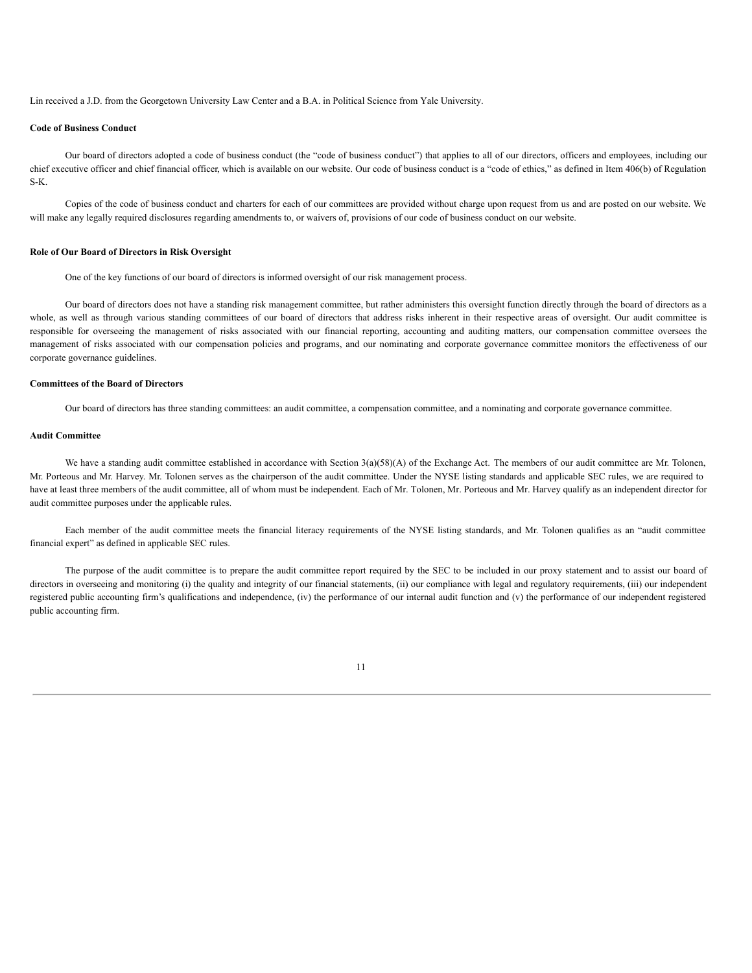Lin received a J.D. from the Georgetown University Law Center and a B.A. in Political Science from Yale University.

# **Code of Business Conduct**

Our board of directors adopted a code of business conduct (the "code of business conduct") that applies to all of our directors, officers and employees, including our chief executive officer and chief financial officer, which is available on our website. Our code of business conduct is a "code of ethics," as defined in Item 406(b) of Regulation S-K.

Copies of the code of business conduct and charters for each of our committees are provided without charge upon request from us and are posted on our website. We will make any legally required disclosures regarding amendments to, or waivers of, provisions of our code of business conduct on our website.

#### **Role of Our Board of Directors in Risk Oversight**

One of the key functions of our board of directors is informed oversight of our risk management process.

Our board of directors does not have a standing risk management committee, but rather administers this oversight function directly through the board of directors as a whole, as well as through various standing committees of our board of directors that address risks inherent in their respective areas of oversight. Our audit committee is responsible for overseeing the management of risks associated with our financial reporting, accounting and auditing matters, our compensation committee oversees the management of risks associated with our compensation policies and programs, and our nominating and corporate governance committee monitors the effectiveness of our corporate governance guidelines.

# **Committees of the Board of Directors**

Our board of directors has three standing committees: an audit committee, a compensation committee, and a nominating and corporate governance committee.

# **Audit Committee**

We have a standing audit committee established in accordance with Section  $3(a)(58)(A)$  of the Exchange Act. The members of our audit committee are Mr. Tolonen, Mr. Porteous and Mr. Harvey. Mr. Tolonen serves as the chairperson of the audit committee. Under the NYSE listing standards and applicable SEC rules, we are required to have at least three members of the audit committee, all of whom must be independent. Each of Mr. Tolonen, Mr. Porteous and Mr. Harvey qualify as an independent director for audit committee purposes under the applicable rules.

Each member of the audit committee meets the financial literacy requirements of the NYSE listing standards, and Mr. Tolonen qualifies as an "audit committee financial expert" as defined in applicable SEC rules.

The purpose of the audit committee is to prepare the audit committee report required by the SEC to be included in our proxy statement and to assist our board of directors in overseeing and monitoring (i) the quality and integrity of our financial statements, (ii) our compliance with legal and regulatory requirements, (iii) our independent registered public accounting firm's qualifications and independence, (iv) the performance of our internal audit function and (v) the performance of our independent registered public accounting firm.

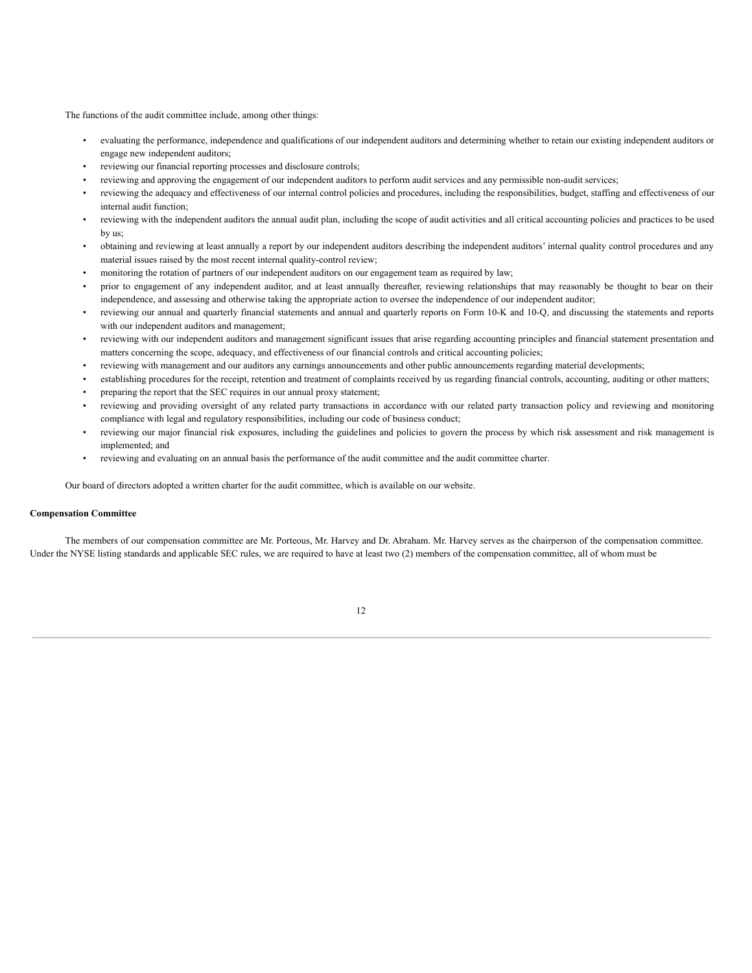The functions of the audit committee include, among other things:

- evaluating the performance, independence and qualifications of our independent auditors and determining whether to retain our existing independent auditors or engage new independent auditors;
- reviewing our financial reporting processes and disclosure controls;
- reviewing and approving the engagement of our independent auditors to perform audit services and any permissible non-audit services;
- reviewing the adequacy and effectiveness of our internal control policies and procedures, including the responsibilities, budget, staffing and effectiveness of our internal audit function;
- reviewing with the independent auditors the annual audit plan, including the scope of audit activities and all critical accounting policies and practices to be used by us;
- obtaining and reviewing at least annually a report by our independent auditors describing the independent auditors' internal quality control procedures and any material issues raised by the most recent internal quality-control review;
- monitoring the rotation of partners of our independent auditors on our engagement team as required by law;
- prior to engagement of any independent auditor, and at least annually thereafter, reviewing relationships that may reasonably be thought to bear on their independence, and assessing and otherwise taking the appropriate action to oversee the independence of our independent auditor;
- reviewing our annual and quarterly financial statements and annual and quarterly reports on Form 10-K and 10-Q, and discussing the statements and reports with our independent auditors and management;
- reviewing with our independent auditors and management significant issues that arise regarding accounting principles and financial statement presentation and matters concerning the scope, adequacy, and effectiveness of our financial controls and critical accounting policies;
- reviewing with management and our auditors any earnings announcements and other public announcements regarding material developments;
- establishing procedures for the receipt, retention and treatment of complaints received by us regarding financial controls, accounting, auditing or other matters;
- preparing the report that the SEC requires in our annual proxy statement;
- reviewing and providing oversight of any related party transactions in accordance with our related party transaction policy and reviewing and monitoring compliance with legal and regulatory responsibilities, including our code of business conduct;
- reviewing our major financial risk exposures, including the guidelines and policies to govern the process by which risk assessment and risk management is implemented; and
- reviewing and evaluating on an annual basis the performance of the audit committee and the audit committee charter.

Our board of directors adopted a written charter for the audit committee, which is available on our website.

# **Compensation Committee**

The members of our compensation committee are Mr. Porteous, Mr. Harvey and Dr. Abraham. Mr. Harvey serves as the chairperson of the compensation committee. Under the NYSE listing standards and applicable SEC rules, we are required to have at least two (2) members of the compensation committee, all of whom must be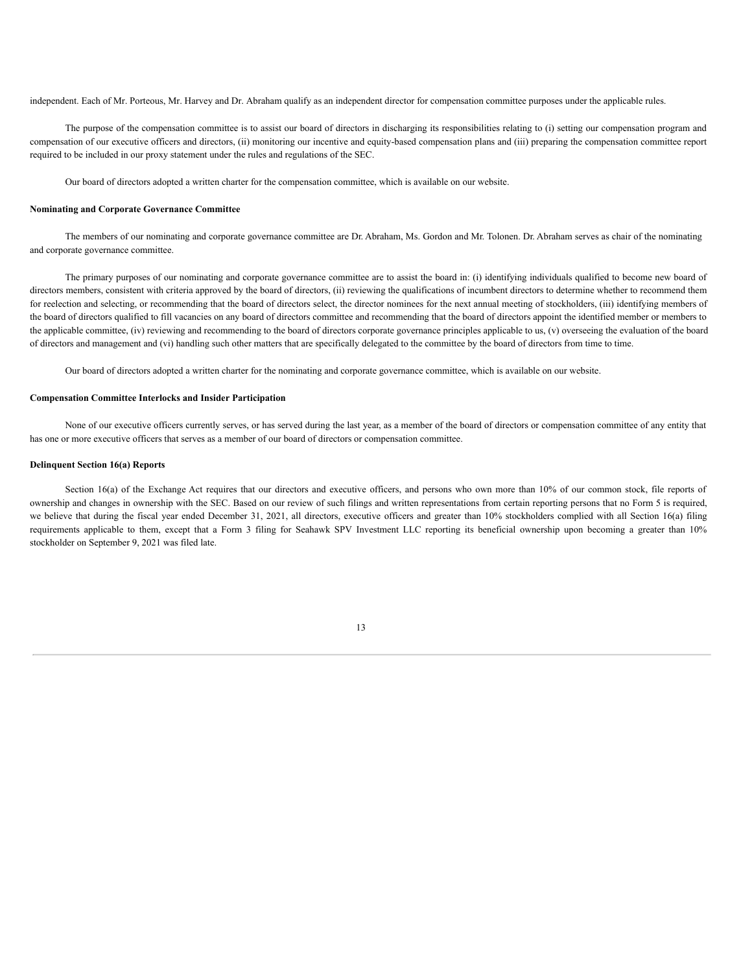independent. Each of Mr. Porteous, Mr. Harvey and Dr. Abraham qualify as an independent director for compensation committee purposes under the applicable rules.

The purpose of the compensation committee is to assist our board of directors in discharging its responsibilities relating to (i) setting our compensation program and compensation of our executive officers and directors, (ii) monitoring our incentive and equity-based compensation plans and (iii) preparing the compensation committee report required to be included in our proxy statement under the rules and regulations of the SEC.

Our board of directors adopted a written charter for the compensation committee, which is available on our website.

#### **Nominating and Corporate Governance Committee**

The members of our nominating and corporate governance committee are Dr. Abraham, Ms. Gordon and Mr. Tolonen. Dr. Abraham serves as chair of the nominating and corporate governance committee.

The primary purposes of our nominating and corporate governance committee are to assist the board in: (i) identifying individuals qualified to become new board of directors members, consistent with criteria approved by the board of directors, (ii) reviewing the qualifications of incumbent directors to determine whether to recommend them for reelection and selecting, or recommending that the board of directors select, the director nominees for the next annual meeting of stockholders, (iii) identifying members of the board of directors qualified to fill vacancies on any board of directors committee and recommending that the board of directors appoint the identified member or members to the applicable committee, (iv) reviewing and recommending to the board of directors corporate governance principles applicable to us, (v) overseeing the evaluation of the board of directors and management and (vi) handling such other matters that are specifically delegated to the committee by the board of directors from time to time.

Our board of directors adopted a written charter for the nominating and corporate governance committee, which is available on our website.

# **Compensation Committee Interlocks and Insider Participation**

None of our executive officers currently serves, or has served during the last year, as a member of the board of directors or compensation committee of any entity that has one or more executive officers that serves as a member of our board of directors or compensation committee.

# **Delinquent Section 16(a) Reports**

Section 16(a) of the Exchange Act requires that our directors and executive officers, and persons who own more than 10% of our common stock, file reports of ownership and changes in ownership with the SEC. Based on our review of such filings and written representations from certain reporting persons that no Form 5 is required, we believe that during the fiscal year ended December 31, 2021, all directors, executive officers and greater than 10% stockholders complied with all Section 16(a) filing requirements applicable to them, except that a Form 3 filing for Seahawk SPV Investment LLC reporting its beneficial ownership upon becoming a greater than 10% stockholder on September 9, 2021 was filed late.

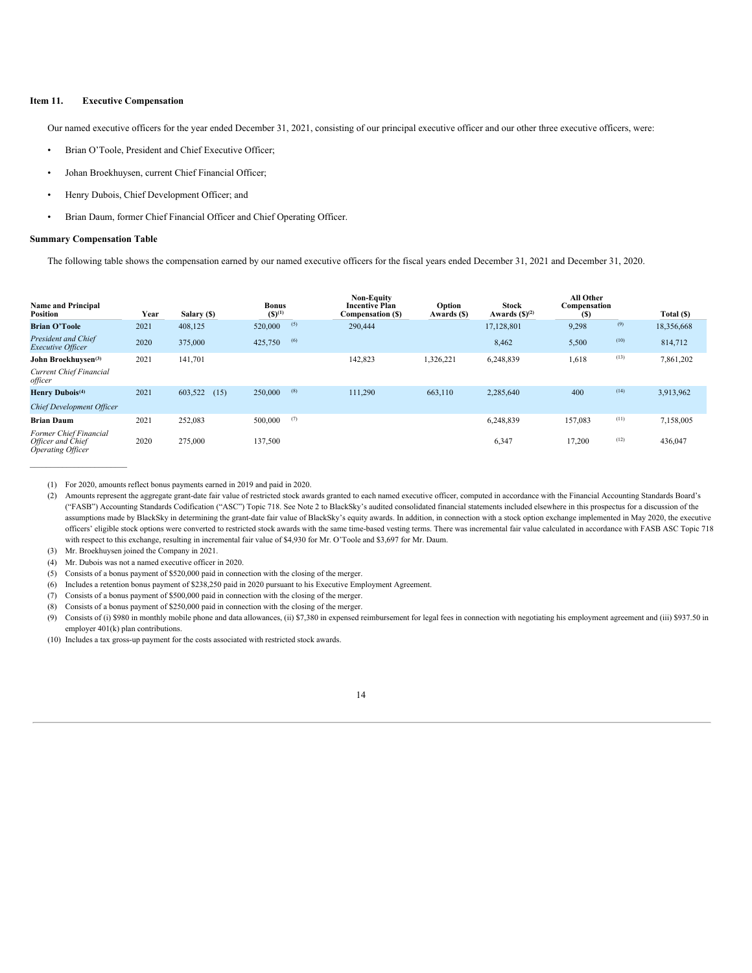# **Item 11. Executive Compensation**

Our named executive officers for the year ended December 31, 2021, consisting of our principal executive officer and our other three executive officers, were:

- Brian O'Toole, President and Chief Executive Officer;
- Johan Broekhuysen, current Chief Financial Officer;
- Henry Dubois, Chief Development Officer; and
- Brian Daum, former Chief Financial Officer and Chief Operating Officer.

#### **Summary Compensation Table**

 $\mathcal{L}_\text{max}$ 

The following table shows the compensation earned by our named executive officers for the fiscal years ended December 31, 2021 and December 31, 2020.

| <b>Name and Principal</b><br>Position                                   | Year | Salary (\$)     | <b>Bonus</b><br>$(S)^{(1)}$ |     | <b>Non-Equity</b><br><b>Incentive Plan</b><br><b>Compensation (S)</b> | Option<br>Awards (\$) | <b>Stock</b><br>Awards $(\mathbf{S})^{(2)}$ | <b>All Other</b><br>Compensation<br>(S) |      | Total (\$) |
|-------------------------------------------------------------------------|------|-----------------|-----------------------------|-----|-----------------------------------------------------------------------|-----------------------|---------------------------------------------|-----------------------------------------|------|------------|
| <b>Brian O'Toole</b>                                                    | 2021 | 408,125         | 520,000                     | (5) | 290,444                                                               |                       | 17,128,801                                  | 9,298                                   | (9)  | 18,356,668 |
| <b>President and Chief</b><br><b>Executive Officer</b>                  | 2020 | 375,000         | 425,750                     | (6) |                                                                       |                       | 8,462                                       | 5,500                                   | (10) | 814,712    |
| John Broekhuysen <sup>(3)</sup>                                         | 2021 | 141,701         |                             |     | 142,823                                                               | 1,326,221             | 6,248,839                                   | 1,618                                   | (13) | 7,861,202  |
| Current Chief Financial<br>officer                                      |      |                 |                             |     |                                                                       |                       |                                             |                                         |      |            |
| Henry Dubois <sup>(4)</sup>                                             | 2021 | 603,522<br>(15) | 250,000                     | (8) | 111,290                                                               | 663,110               | 2,285,640                                   | 400                                     | (14) | 3,913,962  |
| <b>Chief Development Officer</b>                                        |      |                 |                             |     |                                                                       |                       |                                             |                                         |      |            |
| <b>Brian Daum</b>                                                       | 2021 | 252,083         | 500,000                     | (7) |                                                                       |                       | 6,248,839                                   | 157,083                                 | (11) | 7,158,005  |
| Former Chief Financial<br>Officer and Chief<br><b>Operating Officer</b> | 2020 | 275,000         | 137,500                     |     |                                                                       |                       | 6,347                                       | 17,200                                  | (12) | 436,047    |

<sup>(1)</sup> For 2020, amounts reflect bonus payments earned in 2019 and paid in 2020.

(3) Mr. Broekhuysen joined the Company in 2021.

(4) Mr. Dubois was not a named executive officer in 2020.

- (6) Includes a retention bonus payment of \$238,250 paid in 2020 pursuant to his Executive Employment Agreement.
- (7) Consists of a bonus payment of \$500,000 paid in connection with the closing of the merger.
- (8) Consists of a bonus payment of \$250,000 paid in connection with the closing of the merger.

(9) Consists of (i) \$980 in monthly mobile phone and data allowances, (ii) \$7,380 in expensed reimbursement for legal fees in connection with negotiating his employment agreement and (iii) \$937.50 in employer 401(k) plan contributions.

(10) Includes a tax gross-up payment for the costs associated with restricted stock awards.

<sup>(2)</sup> Amounts represent the aggregate grant-date fair value of restricted stock awards granted to each named executive officer, computed in accordance with the Financial Accounting Standards Board's ("FASB") Accounting Standards Codification ("ASC") Topic 718. See Note 2 to BlackSky's audited consolidated financial statements included elsewhere in this prospectus for a discussion of the assumptions made by BlackSky in determining the grant-date fair value of BlackSky's equity awards. In addition, in connection with a stock option exchange implemented in May 2020, the executive officers' eligible stock options were converted to restricted stock awards with the same time-based vesting terms. There was incremental fair value calculated in accordance with FASB ASC Topic 718 with respect to this exchange, resulting in incremental fair value of \$4,930 for Mr. O'Toole and \$3,697 for Mr. Daum.

<sup>(5)</sup> Consists of a bonus payment of \$520,000 paid in connection with the closing of the merger.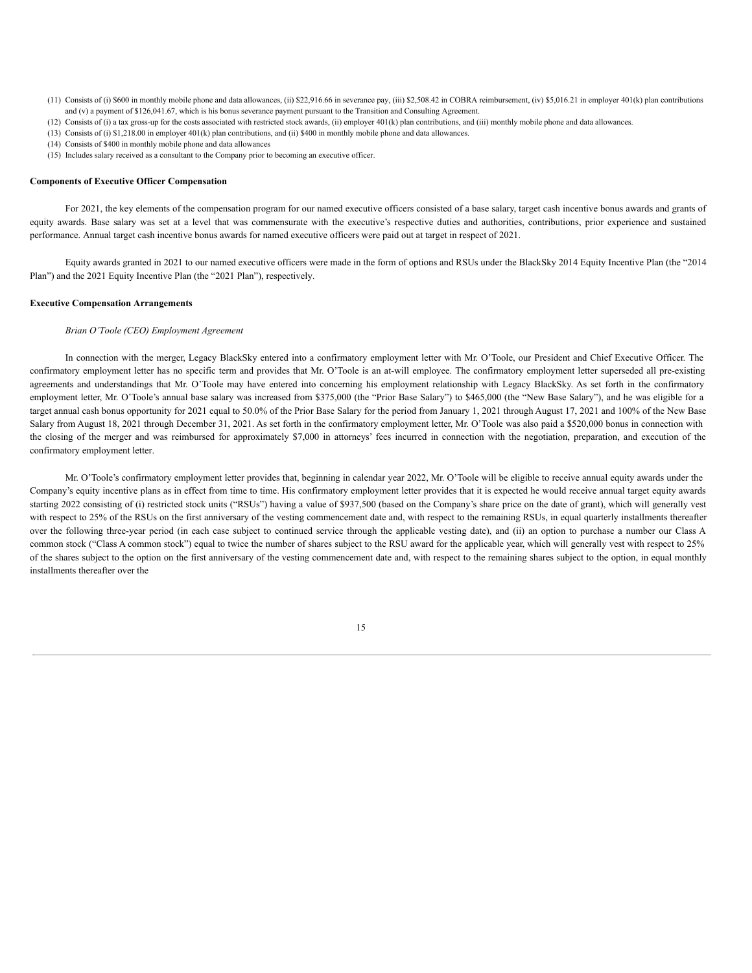- (11) Consists of (i) \$600 in monthly mobile phone and data allowances, (ii) \$22,916.66 in severance pay, (iii) \$2,508.42 in COBRA reimbursement, (iv) \$5,016.21 in employer 401(k) plan contributions and (v) a payment of \$126,041.67, which is his bonus severance payment pursuant to the Transition and Consulting Agreement.
- (12) Consists of (i) a tax gross-up for the costs associated with restricted stock awards, (ii) employer 401(k) plan contributions, and (iii) monthly mobile phone and data allowances.
- (13) Consists of (i) \$1,218.00 in employer 401(k) plan contributions, and (ii) \$400 in monthly mobile phone and data allowances.
- (14) Consists of \$400 in monthly mobile phone and data allowances
- (15) Includes salary received as a consultant to the Company prior to becoming an executive officer.

# **Components of Executive Officer Compensation**

For 2021, the key elements of the compensation program for our named executive officers consisted of a base salary, target cash incentive bonus awards and grants of equity awards. Base salary was set at a level that was commensurate with the executive's respective duties and authorities, contributions, prior experience and sustained performance. Annual target cash incentive bonus awards for named executive officers were paid out at target in respect of 2021.

Equity awards granted in 2021 to our named executive officers were made in the form of options and RSUs under the BlackSky 2014 Equity Incentive Plan (the "2014 Plan") and the 2021 Equity Incentive Plan (the "2021 Plan"), respectively.

# **Executive Compensation Arrangements**

# *Brian O'Toole (CEO) Employment Agreement*

In connection with the merger, Legacy BlackSky entered into a confirmatory employment letter with Mr. O'Toole, our President and Chief Executive Officer. The confirmatory employment letter has no specific term and provides that Mr. O'Toole is an at-will employee. The confirmatory employment letter superseded all pre-existing agreements and understandings that Mr. O'Toole may have entered into concerning his employment relationship with Legacy BlackSky. As set forth in the confirmatory employment letter, Mr. O'Toole's annual base salary was increased from \$375,000 (the "Prior Base Salary") to \$465,000 (the "New Base Salary"), and he was eligible for a target annual cash bonus opportunity for 2021 equal to 50.0% of the Prior Base Salary for the period from January 1, 2021 through August 17, 2021 and 100% of the New Base Salary from August 18, 2021 through December 31, 2021. As set forth in the confirmatory employment letter, Mr. O'Toole was also paid a \$520,000 bonus in connection with the closing of the merger and was reimbursed for approximately \$7,000 in attorneys' fees incurred in connection with the negotiation, preparation, and execution of the confirmatory employment letter.

Mr. O'Toole's confirmatory employment letter provides that, beginning in calendar year 2022, Mr. O'Toole will be eligible to receive annual equity awards under the Company's equity incentive plans as in effect from time to time. His confirmatory employment letter provides that it is expected he would receive annual target equity awards starting 2022 consisting of (i) restricted stock units ("RSUs") having a value of \$937,500 (based on the Company's share price on the date of grant), which will generally vest with respect to 25% of the RSUs on the first anniversary of the vesting commencement date and, with respect to the remaining RSUs, in equal quarterly installments thereafter over the following three-year period (in each case subject to continued service through the applicable vesting date), and (ii) an option to purchase a number our Class A common stock ("Class A common stock") equal to twice the number of shares subject to the RSU award for the applicable year, which will generally vest with respect to 25% of the shares subject to the option on the first anniversary of the vesting commencement date and, with respect to the remaining shares subject to the option, in equal monthly installments thereafter over the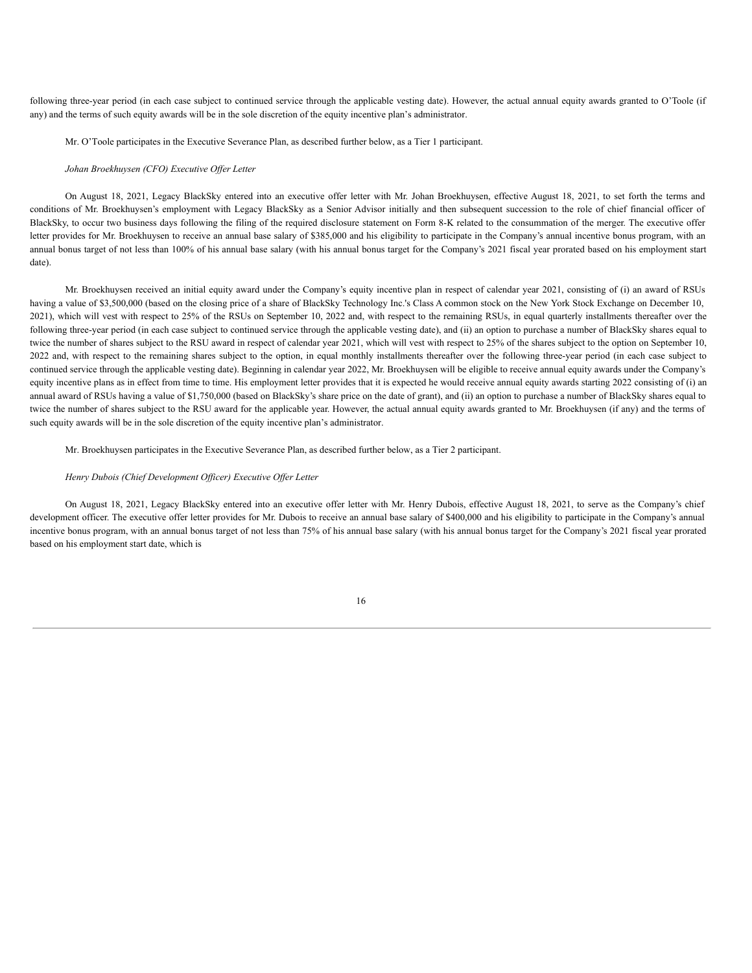following three-year period (in each case subject to continued service through the applicable vesting date). However, the actual annual equity awards granted to O'Toole (if any) and the terms of such equity awards will be in the sole discretion of the equity incentive plan's administrator.

Mr. O'Toole participates in the Executive Severance Plan, as described further below, as a Tier 1 participant.

### *Johan Broekhuysen (CFO) Executive Of er Letter*

On August 18, 2021, Legacy BlackSky entered into an executive offer letter with Mr. Johan Broekhuysen, effective August 18, 2021, to set forth the terms and conditions of Mr. Broekhuysen's employment with Legacy BlackSky as a Senior Advisor initially and then subsequent succession to the role of chief financial officer of BlackSky, to occur two business days following the filing of the required disclosure statement on Form 8-K related to the consummation of the merger. The executive offer letter provides for Mr. Broekhuysen to receive an annual base salary of \$385,000 and his eligibility to participate in the Company's annual incentive bonus program, with an annual bonus target of not less than 100% of his annual base salary (with his annual bonus target for the Company's 2021 fiscal year prorated based on his employment start date).

Mr. Broekhuysen received an initial equity award under the Company's equity incentive plan in respect of calendar year 2021, consisting of (i) an award of RSUs having a value of \$3,500,000 (based on the closing price of a share of BlackSky Technology Inc.'s Class A common stock on the New York Stock Exchange on December 10, 2021), which will vest with respect to 25% of the RSUs on September 10, 2022 and, with respect to the remaining RSUs, in equal quarterly installments thereafter over the following three-year period (in each case subject to continued service through the applicable vesting date), and (ii) an option to purchase a number of BlackSky shares equal to twice the number of shares subject to the RSU award in respect of calendar year 2021, which will vest with respect to 25% of the shares subject to the option on September 10, 2022 and, with respect to the remaining shares subject to the option, in equal monthly installments thereafter over the following three-year period (in each case subject to continued service through the applicable vesting date). Beginning in calendar year 2022, Mr. Broekhuysen will be eligible to receive annual equity awards under the Company's equity incentive plans as in effect from time to time. His employment letter provides that it is expected he would receive annual equity awards starting 2022 consisting of (i) an annual award of RSUs having a value of \$1,750,000 (based on BlackSky's share price on the date of grant), and (ii) an option to purchase a number of BlackSky shares equal to twice the number of shares subject to the RSU award for the applicable year. However, the actual annual equity awards granted to Mr. Broekhuysen (if any) and the terms of such equity awards will be in the sole discretion of the equity incentive plan's administrator.

Mr. Broekhuysen participates in the Executive Severance Plan, as described further below, as a Tier 2 participant.

### *Henry Dubois (Chief Development Of icer) Executive Of er Letter*

On August 18, 2021, Legacy BlackSky entered into an executive offer letter with Mr. Henry Dubois, effective August 18, 2021, to serve as the Company's chief development officer. The executive offer letter provides for Mr. Dubois to receive an annual base salary of \$400,000 and his eligibility to participate in the Company's annual incentive bonus program, with an annual bonus target of not less than 75% of his annual base salary (with his annual bonus target for the Company's 2021 fiscal year prorated based on his employment start date, which is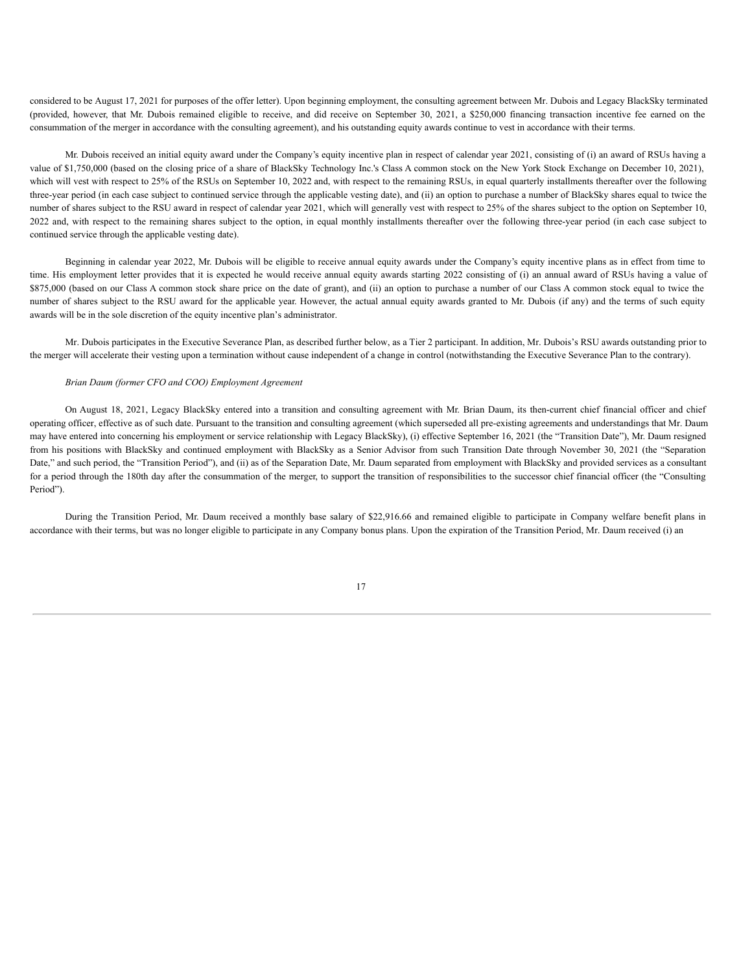considered to be August 17, 2021 for purposes of the offer letter). Upon beginning employment, the consulting agreement between Mr. Dubois and Legacy BlackSky terminated (provided, however, that Mr. Dubois remained eligible to receive, and did receive on September 30, 2021, a \$250,000 financing transaction incentive fee earned on the consummation of the merger in accordance with the consulting agreement), and his outstanding equity awards continue to vest in accordance with their terms.

Mr. Dubois received an initial equity award under the Company's equity incentive plan in respect of calendar year 2021, consisting of (i) an award of RSUs having a value of \$1,750,000 (based on the closing price of a share of BlackSky Technology Inc.'s Class A common stock on the New York Stock Exchange on December 10, 2021), which will vest with respect to 25% of the RSUs on September 10, 2022 and, with respect to the remaining RSUs, in equal quarterly installments thereafter over the following three-year period (in each case subject to continued service through the applicable vesting date), and (ii) an option to purchase a number of BlackSky shares equal to twice the number of shares subject to the RSU award in respect of calendar year 2021, which will generally vest with respect to 25% of the shares subject to the option on September 10, 2022 and, with respect to the remaining shares subject to the option, in equal monthly installments thereafter over the following three-year period (in each case subject to continued service through the applicable vesting date).

Beginning in calendar year 2022, Mr. Dubois will be eligible to receive annual equity awards under the Company's equity incentive plans as in effect from time to time. His employment letter provides that it is expected he would receive annual equity awards starting 2022 consisting of (i) an annual award of RSUs having a value of \$875,000 (based on our Class A common stock share price on the date of grant), and (ii) an option to purchase a number of our Class A common stock equal to twice the number of shares subject to the RSU award for the applicable year. However, the actual annual equity awards granted to Mr. Dubois (if any) and the terms of such equity awards will be in the sole discretion of the equity incentive plan's administrator.

Mr. Dubois participates in the Executive Severance Plan, as described further below, as a Tier 2 participant. In addition, Mr. Dubois's RSU awards outstanding prior to the merger will accelerate their vesting upon a termination without cause independent of a change in control (notwithstanding the Executive Severance Plan to the contrary).

# *Brian Daum (former CFO and COO) Employment Agreement*

On August 18, 2021, Legacy BlackSky entered into a transition and consulting agreement with Mr. Brian Daum, its then-current chief financial officer and chief operating officer, effective as of such date. Pursuant to the transition and consulting agreement (which superseded all pre-existing agreements and understandings that Mr. Daum may have entered into concerning his employment or service relationship with Legacy BlackSky), (i) effective September 16, 2021 (the "Transition Date"), Mr. Daum resigned from his positions with BlackSky and continued employment with BlackSky as a Senior Advisor from such Transition Date through November 30, 2021 (the "Separation Date," and such period, the "Transition Period"), and (ii) as of the Separation Date, Mr. Daum separated from employment with BlackSky and provided services as a consultant for a period through the 180th day after the consummation of the merger, to support the transition of responsibilities to the successor chief financial officer (the "Consulting Period").

During the Transition Period, Mr. Daum received a monthly base salary of \$22,916.66 and remained eligible to participate in Company welfare benefit plans in accordance with their terms, but was no longer eligible to participate in any Company bonus plans. Upon the expiration of the Transition Period, Mr. Daum received (i) an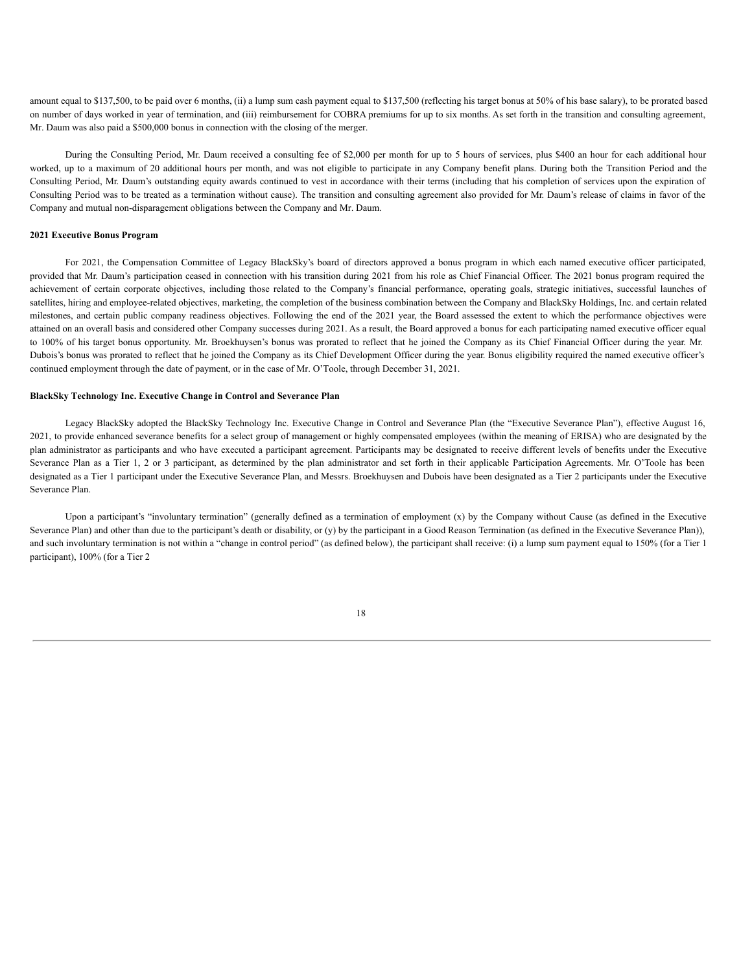amount equal to \$137,500, to be paid over 6 months, (ii) a lump sum cash payment equal to \$137,500 (reflecting his target bonus at 50% of his base salary), to be prorated based on number of days worked in year of termination, and (iii) reimbursement for COBRA premiums for up to six months. As set forth in the transition and consulting agreement, Mr. Daum was also paid a \$500,000 bonus in connection with the closing of the merger.

During the Consulting Period, Mr. Daum received a consulting fee of \$2,000 per month for up to 5 hours of services, plus \$400 an hour for each additional hour worked, up to a maximum of 20 additional hours per month, and was not eligible to participate in any Company benefit plans. During both the Transition Period and the Consulting Period, Mr. Daum's outstanding equity awards continued to vest in accordance with their terms (including that his completion of services upon the expiration of Consulting Period was to be treated as a termination without cause). The transition and consulting agreement also provided for Mr. Daum's release of claims in favor of the Company and mutual non-disparagement obligations between the Company and Mr. Daum.

### **2021 Executive Bonus Program**

For 2021, the Compensation Committee of Legacy BlackSky's board of directors approved a bonus program in which each named executive officer participated, provided that Mr. Daum's participation ceased in connection with his transition during 2021 from his role as Chief Financial Officer. The 2021 bonus program required the achievement of certain corporate objectives, including those related to the Company's financial performance, operating goals, strategic initiatives, successful launches of satellites, hiring and employee-related objectives, marketing, the completion of the business combination between the Company and BlackSky Holdings, Inc. and certain related milestones, and certain public company readiness objectives. Following the end of the 2021 year, the Board assessed the extent to which the performance objectives were attained on an overall basis and considered other Company successes during 2021. As a result, the Board approved a bonus for each participating named executive officer equal to 100% of his target bonus opportunity. Mr. Broekhuysen's bonus was prorated to reflect that he joined the Company as its Chief Financial Officer during the year. Mr. Dubois's bonus was prorated to reflect that he joined the Company as its Chief Development Officer during the year. Bonus eligibility required the named executive officer's continued employment through the date of payment, or in the case of Mr. O'Toole, through December 31, 2021.

### **BlackSky Technology Inc. Executive Change in Control and Severance Plan**

Legacy BlackSky adopted the BlackSky Technology Inc. Executive Change in Control and Severance Plan (the "Executive Severance Plan"), effective August 16, 2021, to provide enhanced severance benefits for a select group of management or highly compensated employees (within the meaning of ERISA) who are designated by the plan administrator as participants and who have executed a participant agreement. Participants may be designated to receive different levels of benefits under the Executive Severance Plan as a Tier 1, 2 or 3 participant, as determined by the plan administrator and set forth in their applicable Participation Agreements. Mr. O'Toole has been designated as a Tier 1 participant under the Executive Severance Plan, and Messrs. Broekhuysen and Dubois have been designated as a Tier 2 participants under the Executive Severance Plan.

Upon a participant's "involuntary termination" (generally defined as a termination of employment  $(x)$  by the Company without Cause (as defined in the Executive Severance Plan) and other than due to the participant's death or disability, or (y) by the participant in a Good Reason Termination (as defined in the Executive Severance Plan)), and such involuntary termination is not within a "change in control period" (as defined below), the participant shall receive: (i) a lump sum payment equal to 150% (for a Tier 1 participant), 100% (for a Tier 2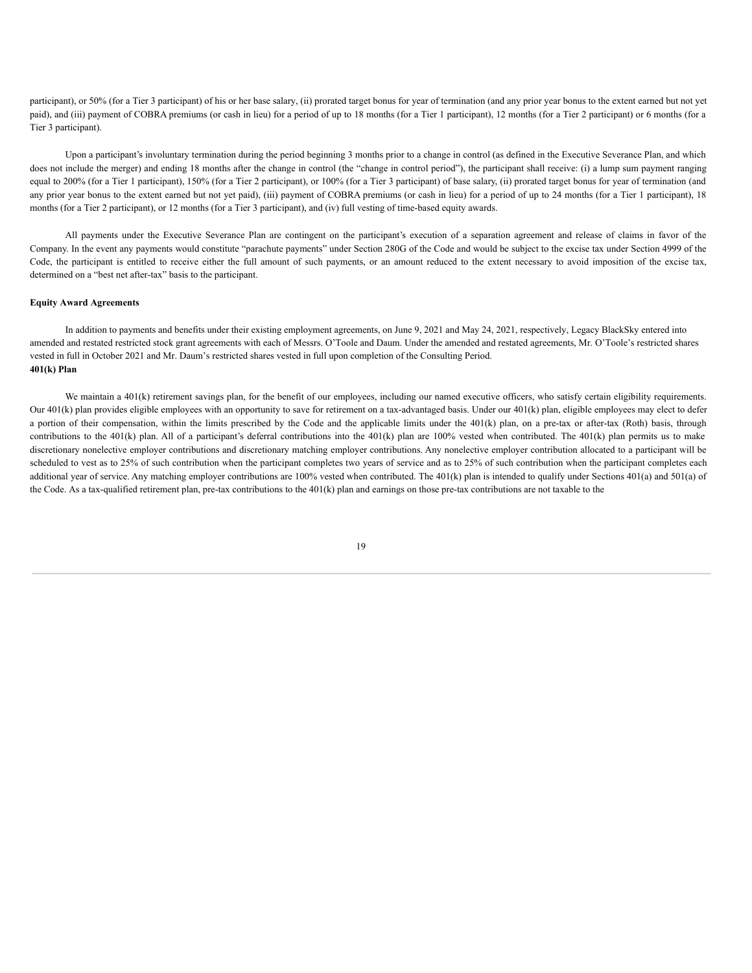participant), or 50% (for a Tier 3 participant) of his or her base salary, (ii) prorated target bonus for year of termination (and any prior year bonus to the extent earned but not yet paid), and (iii) payment of COBRA premiums (or cash in lieu) for a period of up to 18 months (for a Tier 1 participant), 12 months (for a Tier 2 participant) or 6 months (for a Tier 3 participant).

Upon a participant's involuntary termination during the period beginning 3 months prior to a change in control (as defined in the Executive Severance Plan, and which does not include the merger) and ending 18 months after the change in control (the "change in control period"), the participant shall receive: (i) a lump sum payment ranging equal to 200% (for a Tier 1 participant), 150% (for a Tier 2 participant), or 100% (for a Tier 3 participant) of base salary, (ii) prorated target bonus for year of termination (and any prior year bonus to the extent earned but not yet paid), (iii) payment of COBRA premiums (or cash in lieu) for a period of up to 24 months (for a Tier 1 participant), 18 months (for a Tier 2 participant), or 12 months (for a Tier 3 participant), and (iv) full vesting of time-based equity awards.

All payments under the Executive Severance Plan are contingent on the participant's execution of a separation agreement and release of claims in favor of the Company. In the event any payments would constitute "parachute payments" under Section 280G of the Code and would be subject to the excise tax under Section 4999 of the Code, the participant is entitled to receive either the full amount of such payments, or an amount reduced to the extent necessary to avoid imposition of the excise tax, determined on a "best net after-tax" basis to the participant.

# **Equity Award Agreements**

In addition to payments and benefits under their existing employment agreements, on June 9, 2021 and May 24, 2021, respectively, Legacy BlackSky entered into amended and restated restricted stock grant agreements with each of Messrs. O'Toole and Daum. Under the amended and restated agreements, Mr. O'Toole's restricted shares vested in full in October 2021 and Mr. Daum's restricted shares vested in full upon completion of the Consulting Period. **401(k) Plan**

We maintain a 401(k) retirement savings plan, for the benefit of our employees, including our named executive officers, who satisfy certain eligibility requirements. Our 401(k) plan provides eligible employees with an opportunity to save for retirement on a tax-advantaged basis. Under our 401(k) plan, eligible employees may elect to defer a portion of their compensation, within the limits prescribed by the Code and the applicable limits under the 401(k) plan, on a pre-tax or after-tax (Roth) basis, through contributions to the 401(k) plan. All of a participant's deferral contributions into the 401(k) plan are 100% vested when contributed. The 401(k) plan permits us to make discretionary nonelective employer contributions and discretionary matching employer contributions. Any nonelective employer contribution allocated to a participant will be scheduled to vest as to 25% of such contribution when the participant completes two years of service and as to 25% of such contribution when the participant completes each additional year of service. Any matching employer contributions are 100% vested when contributed. The 401(k) plan is intended to qualify under Sections 401(a) and 501(a) of the Code. As a tax-qualified retirement plan, pre-tax contributions to the  $401(k)$  plan and earnings on those pre-tax contributions are not taxable to the

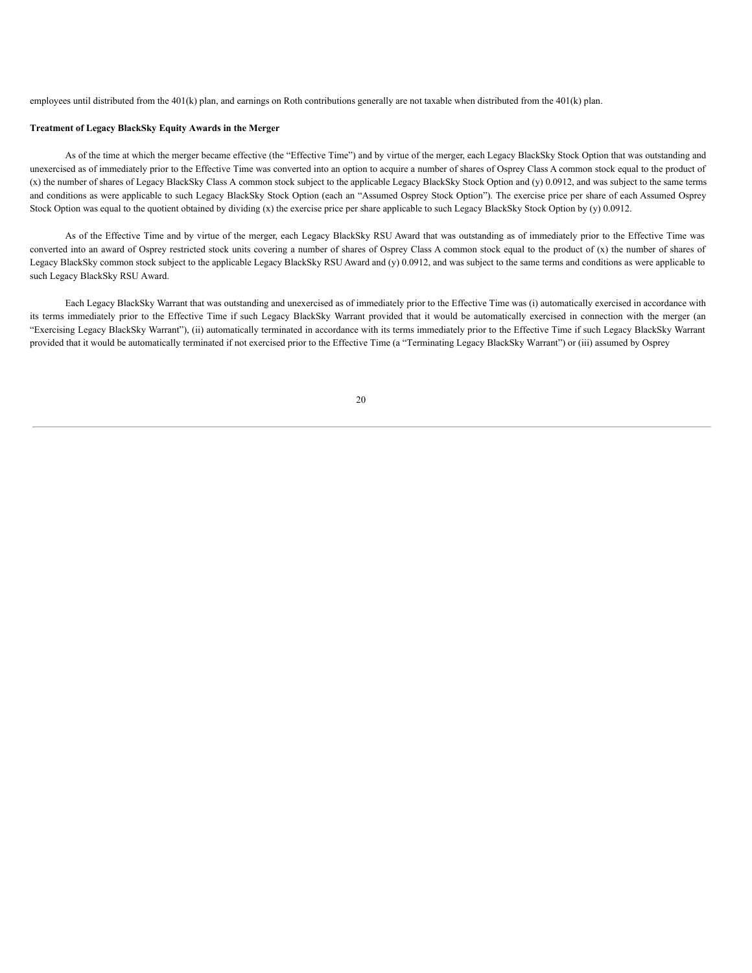employees until distributed from the 401(k) plan, and earnings on Roth contributions generally are not taxable when distributed from the 401(k) plan.

# **Treatment of Legacy BlackSky Equity Awards in the Merger**

As of the time at which the merger became effective (the "Effective Time") and by virtue of the merger, each Legacy BlackSky Stock Option that was outstanding and unexercised as of immediately prior to the Effective Time was converted into an option to acquire a number of shares of Osprey Class A common stock equal to the product of (x) the number of shares of Legacy BlackSky Class A common stock subject to the applicable Legacy BlackSky Stock Option and (y) 0.0912, and was subject to the same terms and conditions as were applicable to such Legacy BlackSky Stock Option (each an "Assumed Osprey Stock Option"). The exercise price per share of each Assumed Osprey Stock Option was equal to the quotient obtained by dividing (x) the exercise price per share applicable to such Legacy BlackSky Stock Option by (y) 0.0912.

As of the Effective Time and by virtue of the merger, each Legacy BlackSky RSU Award that was outstanding as of immediately prior to the Effective Time was converted into an award of Osprey restricted stock units covering a number of shares of Osprey Class A common stock equal to the product of (x) the number of shares of Legacy BlackSky common stock subject to the applicable Legacy BlackSky RSU Award and (y) 0.0912, and was subject to the same terms and conditions as were applicable to such Legacy BlackSky RSU Award.

Each Legacy BlackSky Warrant that was outstanding and unexercised as of immediately prior to the Effective Time was (i) automatically exercised in accordance with its terms immediately prior to the Effective Time if such Legacy BlackSky Warrant provided that it would be automatically exercised in connection with the merger (an "Exercising Legacy BlackSky Warrant"), (ii) automatically terminated in accordance with its terms immediately prior to the Effective Time if such Legacy BlackSky Warrant provided that it would be automatically terminated if not exercised prior to the Effective Time (a "Terminating Legacy BlackSky Warrant") or (iii) assumed by Osprey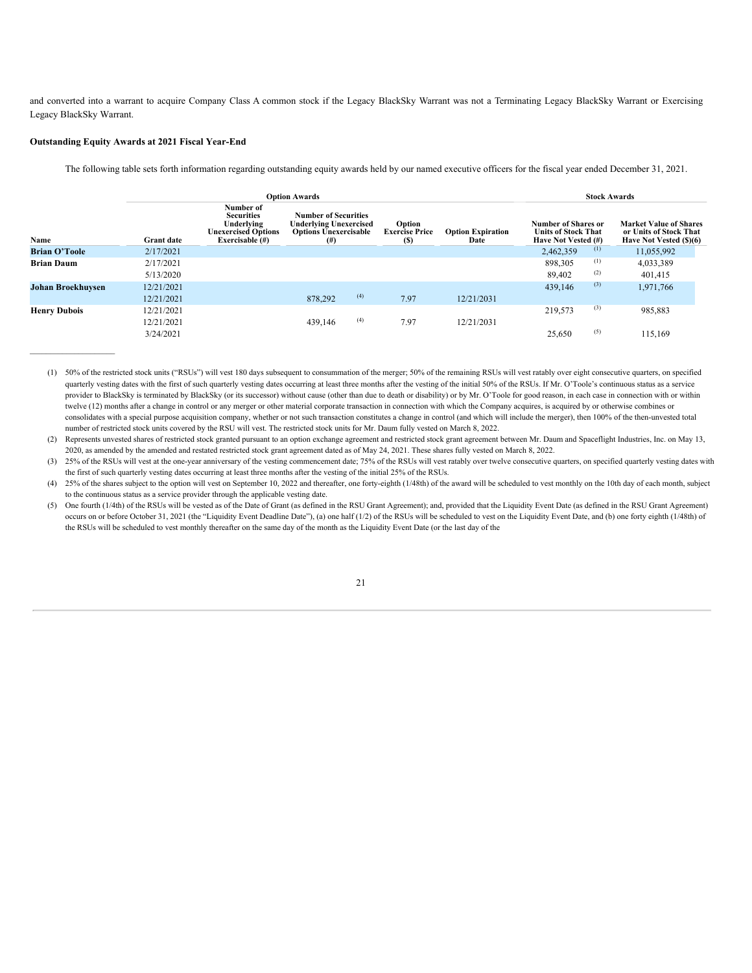and converted into a warrant to acquire Company Class A common stock if the Legacy BlackSky Warrant was not a Terminating Legacy BlackSky Warrant or Exercising Legacy BlackSky Warrant.

# **Outstanding Equity Awards at 2021 Fiscal Year-End**

 $\mathcal{L}_\text{max}$ 

The following table sets forth information regarding outstanding equity awards held by our named executive officers for the fiscal year ended December 31, 2021.

|                          |                   | <b>Option Awards</b>                                                                            | <b>Stock Awards</b>                                                                                       |     |                                        |                                  |                                                                          |     |                                                                                    |
|--------------------------|-------------------|-------------------------------------------------------------------------------------------------|-----------------------------------------------------------------------------------------------------------|-----|----------------------------------------|----------------------------------|--------------------------------------------------------------------------|-----|------------------------------------------------------------------------------------|
| Name                     | <b>Grant</b> date | Number of<br><b>Securities</b><br>Underlying<br><b>Unexercised Options</b><br>Exercisable $(H)$ | <b>Number of Securities</b><br><b>Underlying Unexercised</b><br><b>Options Unexercisable</b><br>$($ # $)$ |     | Option<br><b>Exercise Price</b><br>(S) | <b>Option Expiration</b><br>Date | Number of Shares or<br><b>Units of Stock That</b><br>Have Not Vested (#) |     | <b>Market Value of Shares</b><br>or Units of Stock That<br>Have Not Vested (\$)(6) |
| <b>Brian O'Toole</b>     | 2/17/2021         |                                                                                                 |                                                                                                           |     |                                        |                                  | 2,462,359                                                                | (1) | 11,055,992                                                                         |
| <b>Brian Daum</b>        | 2/17/2021         |                                                                                                 |                                                                                                           |     |                                        |                                  | 898,305                                                                  | (1) | 4,033,389                                                                          |
|                          | 5/13/2020         |                                                                                                 |                                                                                                           |     |                                        |                                  | 89,402                                                                   | (2) | 401,415                                                                            |
| <b>Johan Broekhuysen</b> | 12/21/2021        |                                                                                                 |                                                                                                           |     |                                        |                                  | 439,146                                                                  | (3) | 1,971,766                                                                          |
|                          | 12/21/2021        |                                                                                                 | 878,292                                                                                                   | (4) | 7.97                                   | 12/21/2031                       |                                                                          |     |                                                                                    |
| <b>Henry Dubois</b>      | 12/21/2021        |                                                                                                 |                                                                                                           |     |                                        |                                  | 219,573                                                                  | (3) | 985,883                                                                            |
|                          | 12/21/2021        |                                                                                                 | 439,146                                                                                                   | (4) | 7.97                                   | 12/21/2031                       |                                                                          |     |                                                                                    |
|                          | 3/24/2021         |                                                                                                 |                                                                                                           |     |                                        |                                  | 25.650                                                                   | (5) | 115,169                                                                            |

<sup>(1)</sup> 50% of the restricted stock units ("RSUs") will vest 180 days subsequent to consummation of the merger; 50% of the remaining RSUs will vest ratably over eight consecutive quarters, on specified quarterly vesting dates with the first of such quarterly vesting dates occurring at least three months after the vesting of the initial 50% of the RSUs. If Mr. O'Toole's continuous status as a service provider to BlackSky is terminated by BlackSky (or its successor) without cause (other than due to death or disability) or by Mr. O'Toole for good reason, in each case in connection with or within twelve (12) months after a change in control or any merger or other material corporate transaction in connection with which the Company acquires, is acquired by or otherwise combines or consolidates with a special purpose acquisition company, whether or not such transaction constitutes a change in control (and which will include the merger), then 100% of the then-unvested total number of restricted stock units covered by the RSU will vest. The restricted stock units for Mr. Daum fully vested on March 8, 2022.

(2) Represents unvested shares of restricted stock granted pursuant to an option exchange agreement and restricted stock grant agreement between Mr. Daum and Spaceflight Industries, Inc. on May 13, 2020, as amended by the amended and restated restricted stock grant agreement dated as of May 24, 2021. These shares fully vested on March 8, 2022.

(3) 25% of the RSUs will vest at the one-year anniversary of the vesting commencement date; 75% of the RSUs will vest ratably over twelve consecutive quarters, on specified quarterly vesting dates with the first of such quarterly vesting dates occurring at least three months after the vesting of the initial 25% of the RSUs.

(4) 25% of the shares subject to the option will vest on September 10, 2022 and thereafter, one forty-eighth (1/48th) of the award will be scheduled to vest monthly on the 10th day of each month, subject to the continuous status as a service provider through the applicable vesting date.

(5) One fourth (1/4th) of the RSUs will be vested as of the Date of Grant (as defined in the RSU Grant Agreement); and, provided that the Liquidity Event Date (as defined in the RSU Grant Agreement) occurs on or before October 31, 2021 (the "Liquidity Event Deadline Date"), (a) one half (1/2) of the RSUs will be scheduled to vest on the Liquidity Event Date, and (b) one forty eighth (1/48th) of the RSUs will be scheduled to vest monthly thereafter on the same day of the month as the Liquidity Event Date (or the last day of the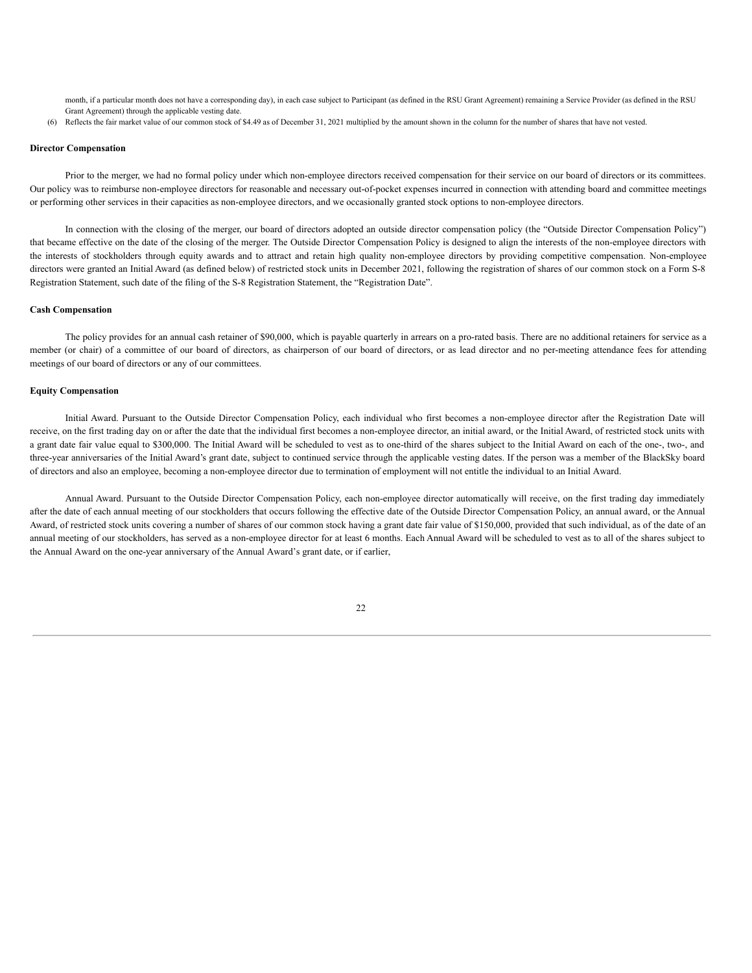month, if a particular month does not have a corresponding day), in each case subject to Participant (as defined in the RSU Grant Agreement) remaining a Service Provider (as defined in the RSU Grant Agreement) through the applicable vesting date.

(6) Reflects the fair market value of our common stock of \$4.49 as of December 31, 2021 multiplied by the amount shown in the column for the number of shares that have not vested.

#### **Director Compensation**

Prior to the merger, we had no formal policy under which non-employee directors received compensation for their service on our board of directors or its committees. Our policy was to reimburse non-employee directors for reasonable and necessary out-of-pocket expenses incurred in connection with attending board and committee meetings or performing other services in their capacities as non-employee directors, and we occasionally granted stock options to non-employee directors.

In connection with the closing of the merger, our board of directors adopted an outside director compensation policy (the "Outside Director Compensation Policy") that became effective on the date of the closing of the merger. The Outside Director Compensation Policy is designed to align the interests of the non-employee directors with the interests of stockholders through equity awards and to attract and retain high quality non-employee directors by providing competitive compensation. Non-employee directors were granted an Initial Award (as defined below) of restricted stock units in December 2021, following the registration of shares of our common stock on a Form S-8 Registration Statement, such date of the filing of the S-8 Registration Statement, the "Registration Date".

#### **Cash Compensation**

The policy provides for an annual cash retainer of \$90,000, which is payable quarterly in arrears on a pro-rated basis. There are no additional retainers for service as a member (or chair) of a committee of our board of directors, as chairperson of our board of directors, or as lead director and no per-meeting attendance fees for attending meetings of our board of directors or any of our committees.

#### **Equity Compensation**

Initial Award. Pursuant to the Outside Director Compensation Policy, each individual who first becomes a non-employee director after the Registration Date will receive, on the first trading day on or after the date that the individual first becomes a non-employee director, an initial award, or the Initial Award, of restricted stock units with a grant date fair value equal to \$300,000. The Initial Award will be scheduled to vest as to one-third of the shares subject to the Initial Award on each of the one-, two-, and three-year anniversaries of the Initial Award's grant date, subject to continued service through the applicable vesting dates. If the person was a member of the BlackSky board of directors and also an employee, becoming a non-employee director due to termination of employment will not entitle the individual to an Initial Award.

Annual Award. Pursuant to the Outside Director Compensation Policy, each non-employee director automatically will receive, on the first trading day immediately after the date of each annual meeting of our stockholders that occurs following the effective date of the Outside Director Compensation Policy, an annual award, or the Annual Award, of restricted stock units covering a number of shares of our common stock having a grant date fair value of \$150,000, provided that such individual, as of the date of an annual meeting of our stockholders, has served as a non-employee director for at least 6 months. Each Annual Award will be scheduled to vest as to all of the shares subject to the Annual Award on the one-year anniversary of the Annual Award's grant date, or if earlier,

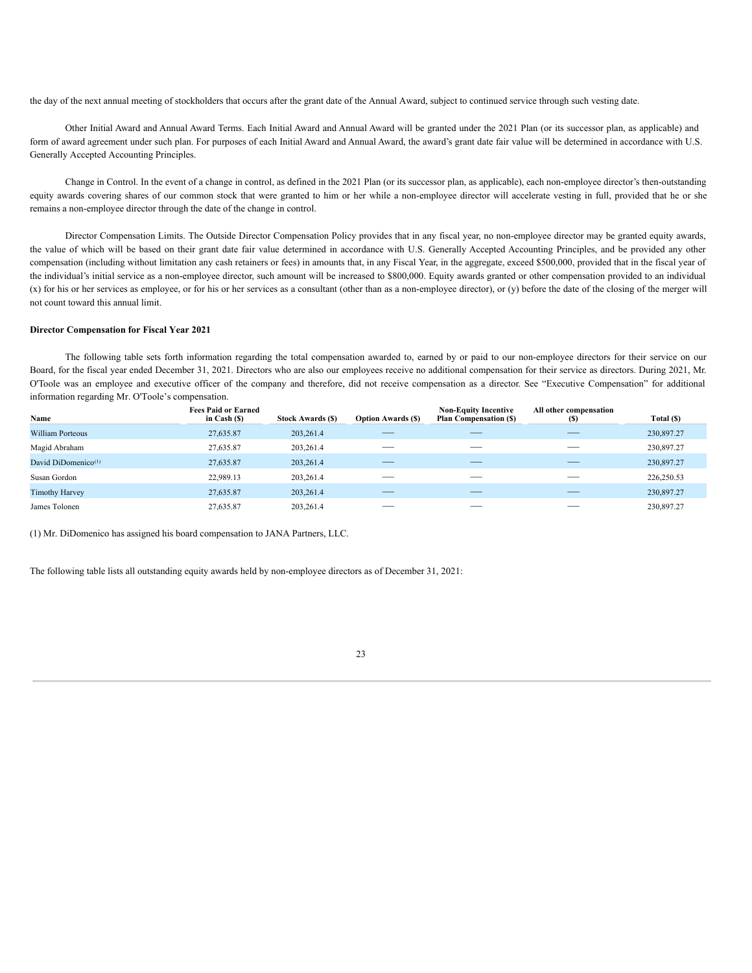the day of the next annual meeting of stockholders that occurs after the grant date of the Annual Award, subject to continued service through such vesting date.

Other Initial Award and Annual Award Terms. Each Initial Award and Annual Award will be granted under the 2021 Plan (or its successor plan, as applicable) and form of award agreement under such plan. For purposes of each Initial Award and Annual Award, the award's grant date fair value will be determined in accordance with U.S. Generally Accepted Accounting Principles.

Change in Control. In the event of a change in control, as defined in the 2021 Plan (or its successor plan, as applicable), each non-employee director's then-outstanding equity awards covering shares of our common stock that were granted to him or her while a non-employee director will accelerate vesting in full, provided that he or she remains a non-employee director through the date of the change in control.

Director Compensation Limits. The Outside Director Compensation Policy provides that in any fiscal year, no non-employee director may be granted equity awards, the value of which will be based on their grant date fair value determined in accordance with U.S. Generally Accepted Accounting Principles, and be provided any other compensation (including without limitation any cash retainers or fees) in amounts that, in any Fiscal Year, in the aggregate, exceed \$500,000, provided that in the fiscal year of the individual's initial service as a non-employee director, such amount will be increased to \$800,000. Equity awards granted or other compensation provided to an individual (x) for his or her services as employee, or for his or her services as a consultant (other than as a non-employee director), or (y) before the date of the closing of the merger will not count toward this annual limit.

# **Director Compensation for Fiscal Year 2021**

The following table sets forth information regarding the total compensation awarded to, earned by or paid to our non-employee directors for their service on our Board, for the fiscal year ended December 31, 2021. Directors who are also our employees receive no additional compensation for their service as directors. During 2021, Mr. O'Toole was an employee and executive officer of the company and therefore, did not receive compensation as a director. See "Executive Compensation" for additional information regarding Mr. O'Toole's compensation.

| Name                            | <b>Fees Paid or Earned</b><br>in Cash $(S)$ | <b>Stock Awards (S)</b> | <b>Option Awards (\$)</b> | <b>Non-Equity Incentive</b><br><b>Plan Compensation (\$)</b> | All other compensation<br>(S) | Total (\$) |
|---------------------------------|---------------------------------------------|-------------------------|---------------------------|--------------------------------------------------------------|-------------------------------|------------|
| William Porteous                | 27,635.87                                   | 203,261.4               |                           |                                                              |                               | 230,897.27 |
| Magid Abraham                   | 27,635.87                                   | 203,261.4               |                           |                                                              |                               | 230,897.27 |
| David DiDomenico <sup>(1)</sup> | 27,635.87                                   | 203,261.4               |                           |                                                              |                               | 230,897.27 |
| Susan Gordon                    | 22,989.13                                   | 203,261.4               |                           |                                                              |                               | 226,250.53 |
| <b>Timothy Harvey</b>           | 27,635.87                                   | 203,261.4               |                           |                                                              |                               | 230,897.27 |
| James Tolonen                   | 27,635.87                                   | 203,261.4               |                           |                                                              |                               | 230,897.27 |

(1) Mr. DiDomenico has assigned his board compensation to JANA Partners, LLC.

The following table lists all outstanding equity awards held by non-employee directors as of December 31, 2021: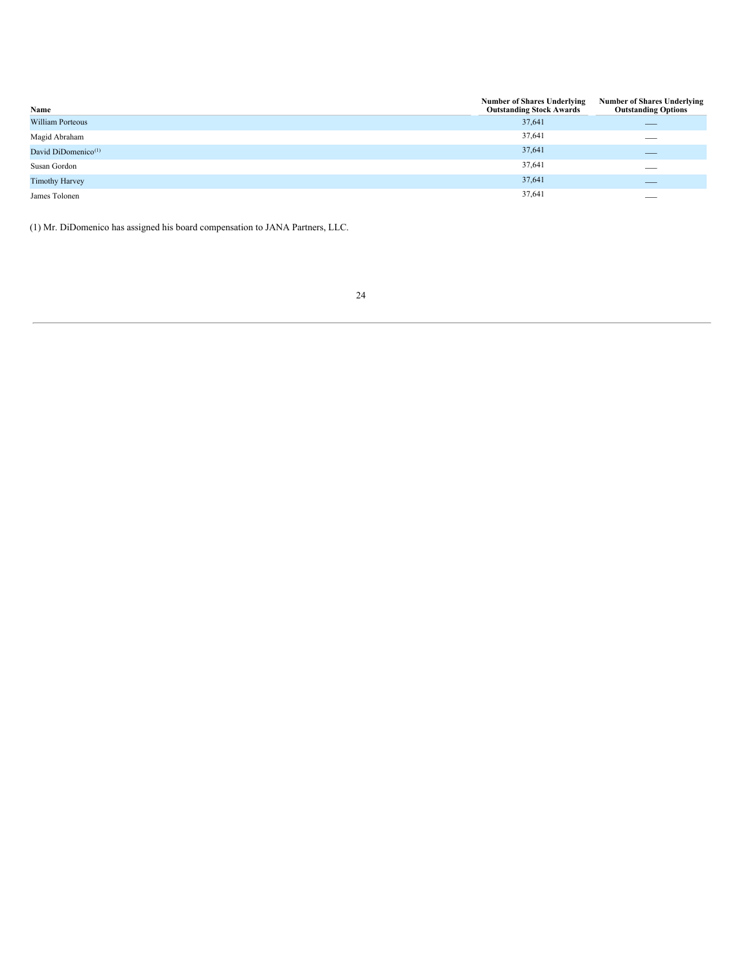| Name                            | <b>Number of Shares Underlying</b><br><b>Outstanding Stock Awards</b> | <b>Number of Shares Underlying</b><br><b>Outstanding Options</b> |
|---------------------------------|-----------------------------------------------------------------------|------------------------------------------------------------------|
| <b>William Porteous</b>         | 37,641                                                                | __                                                               |
| Magid Abraham                   | 37,641                                                                | __                                                               |
| David DiDomenico <sup>(1)</sup> | 37,641                                                                |                                                                  |
| Susan Gordon                    | 37,641                                                                | $\overline{\phantom{a}}$                                         |
| <b>Timothy Harvey</b>           | 37,641                                                                |                                                                  |
| James Tolonen                   | 37,641                                                                | __                                                               |

(1) Mr. DiDomenico has assigned his board compensation to JANA Partners, LLC.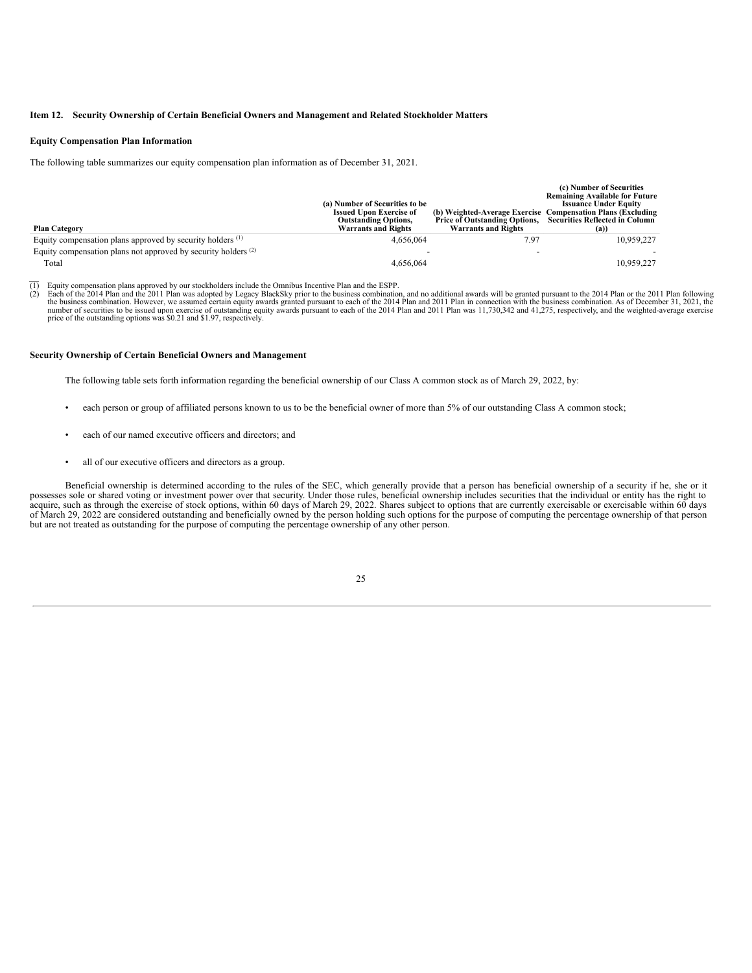# **Item 12. Security Ownership of Certain Beneficial Owners and Management and Related Stockholder Matters**

#### **Equity Compensation Plan Information**

The following table summarizes our equity compensation plan information as of December 31, 2021.

| <b>Plan Category</b>                                                  | (a) Number of Securities to be<br><b>Issued Upon Exercise of</b><br><b>Outstanding Options,</b><br><b>Warrants and Rights</b> | <b>Price of Outstanding Options,</b><br><b>Warrants and Rights</b> | (c) Number of Securities<br><b>Remaining Available for Future</b><br><b>Issuance Under Equity</b><br>(b) Weighted-Average Exercise Compensation Plans (Excluding<br><b>Securities Reflected in Column</b><br>(a) |
|-----------------------------------------------------------------------|-------------------------------------------------------------------------------------------------------------------------------|--------------------------------------------------------------------|------------------------------------------------------------------------------------------------------------------------------------------------------------------------------------------------------------------|
| Equity compensation plans approved by security holders <sup>(1)</sup> | 4.656.064                                                                                                                     | 7.97                                                               | 10.959.227                                                                                                                                                                                                       |
| Equity compensation plans not approved by security holders $(2)$      |                                                                                                                               |                                                                    |                                                                                                                                                                                                                  |
| Total                                                                 | 4,656,064                                                                                                                     |                                                                    | 10.959.227                                                                                                                                                                                                       |

 $\overline{(1)}$  Equity compensation plans approved by our stockholders include the Omnibus Incentive Plan and the ESPP.<br>(2) Each of the 2014 Plan and the 2011 Plan was adopted by Legacy BlackSky prior to the business combination

(2) Each of the 2014 Plan and the 2011 Plan was adopted by Legacy BlackSky prior to the business combination, and no additional awards will be granted pursuant to the 2014 Plan or the 2011 Plan following the business combi number of securities to be issued upon exercise of outstanding equity awards pursuant to each of the 2014 Plan and 2011 Plan was 11,730,342 and 41,275, respectively, and the weighted-average exercise price of the outstandi

#### **Security Ownership of Certain Beneficial Owners and Management**

The following table sets forth information regarding the beneficial ownership of our Class A common stock as of March 29, 2022, by:

- each person or group of affiliated persons known to us to be the beneficial owner of more than 5% of our outstanding Class A common stock;
- each of our named executive officers and directors; and
- all of our executive officers and directors as a group.

Beneficial ownership is determined according to the rules of the SEC, which generally provide that a person has beneficial ownership of a security if he, she or it possesses sole or shared voting or investment power over that security. Under those rules, beneficial ownership includes securities that the individual or entity has the right to acquire, such as through the exercise of stock options, within 60 days of March 29, 2022. Shares subject to options that are currently exercisable or exercisable within 60 days of March 29, 2022 are considered outstanding and beneficially owned by the person holding such options for the purpose of computing the percentage ownership of that person but are not treated as outstanding for the purpose of computing the percentage ownership of any other person.

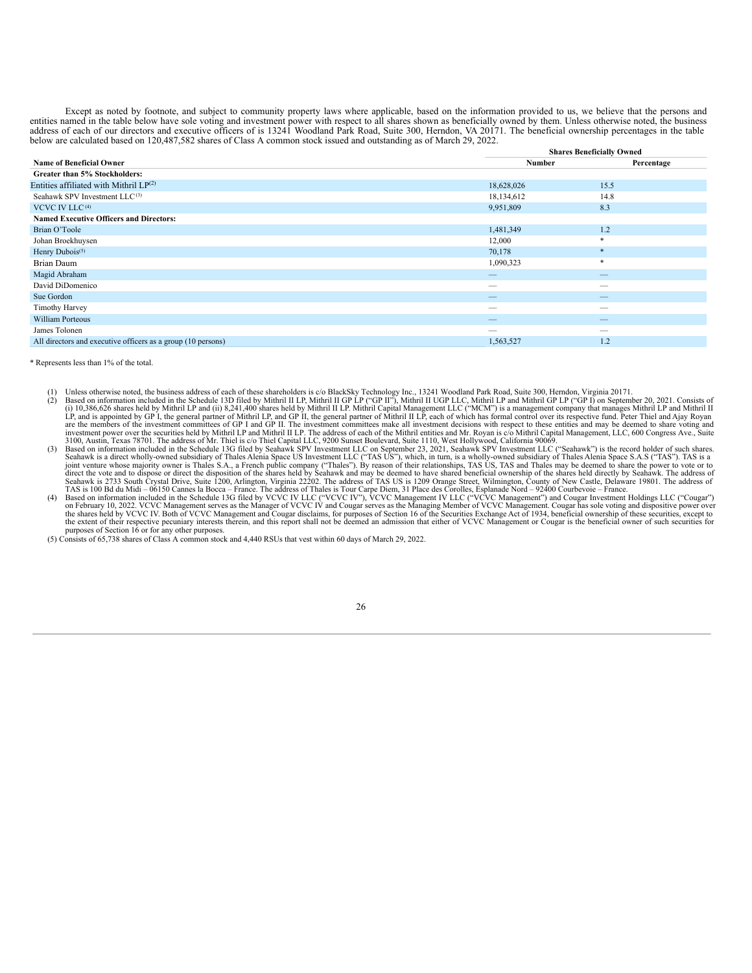Except as noted by footnote, and subject to community property laws where applicable, based on the information provided to us, we believe that the persons and entities named in the table below have sole voting and investment power with respect to all shares shown as beneficially owned by them. Unless otherwise noted, the business address of each of our directors and executive of below are calculated based on 120,487,582 shares of Class A common stock issued and outstanding as of March 29, 2022.

|                                                              | <b>Shares Beneficially Owned</b> |                          |  |  |
|--------------------------------------------------------------|----------------------------------|--------------------------|--|--|
| <b>Name of Beneficial Owner</b>                              | Number                           | Percentage               |  |  |
| Greater than 5% Stockholders:                                |                                  |                          |  |  |
| Entities affiliated with Mithril $LP(2)$                     | 18,628,026                       | 15.5                     |  |  |
| Seahawk SPV Investment LLC <sup>(3)</sup>                    | 18,134,612                       | 14.8                     |  |  |
| VCVC IV LLC <sup>(4)</sup>                                   | 9,951,809                        | 8.3                      |  |  |
| <b>Named Executive Officers and Directors:</b>               |                                  |                          |  |  |
| Brian O'Toole                                                | 1,481,349                        | 1.2                      |  |  |
| Johan Broekhuysen                                            | 12,000                           | $\ast$                   |  |  |
| Henry Dubois <sup>(5)</sup>                                  | 70,178                           | $\ast$                   |  |  |
| Brian Daum                                                   | 1,090,323                        | $\ast$                   |  |  |
| Magid Abraham                                                |                                  | $\qquad \qquad$          |  |  |
| David DiDomenico                                             | __                               | $\overline{\phantom{a}}$ |  |  |
| Sue Gordon                                                   | $-$                              |                          |  |  |
| <b>Timothy Harvey</b>                                        | $-$                              |                          |  |  |
| <b>William Porteous</b>                                      | $-$                              | $\qquad \qquad$          |  |  |
| James Tolonen                                                |                                  |                          |  |  |
| All directors and executive officers as a group (10 persons) | 1,563,527                        | 1.2                      |  |  |

\* Represents less than 1% of the total.

- (1) Unless otherwise noted, the business address of each of these shareholders is c/o BlackSky Technology Inc., 13241 Woodland Park Road, Suite 300, Herndon, Virginia 20171.<br>(2) Based on information included in the Schedul (i) 10,386,626 shares held by Mithril LP and (ii) 8,241,400 shares held by Mithril II LP. Mithril Capital Management LLC ("MCM") is a management company that manages Mithril LP and Mithril II and Mithril II and Mithril II
- investment power over the securities held by Mithril LP and Mithril II LP. The address of and of the Mithril II and Mithril II and Nithril II and The Mithril II and Nithril II and Nithril II and The Hitles and of the Nithr
- purposes of Section 16 or for any other purposes. (5) Consists of 65,738 shares of Class A common stock and 4,440 RSUs that vest within 60 days of March 29, 2022.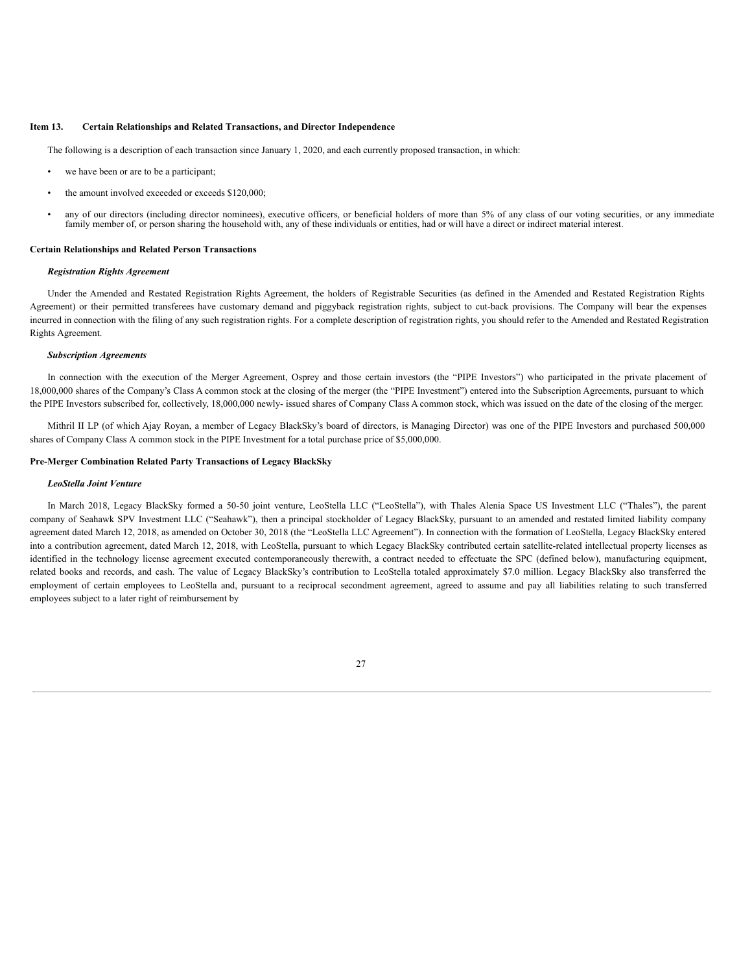# **Item 13. Certain Relationships and Related Transactions, and Director Independence**

The following is a description of each transaction since January 1, 2020, and each currently proposed transaction, in which:

- we have been or are to be a participant;
- the amount involved exceeded or exceeds \$120,000;
- any of our directors (including director nominees), executive officers, or beneficial holders of more than 5% of any class of our voting securities, or any immediate family member of, or person sharing the household with, any of these individuals or entities, had or will have a direct or indirect material interest.

# **Certain Relationships and Related Person Transactions**

### *Registration Rights Agreement*

Under the Amended and Restated Registration Rights Agreement, the holders of Registrable Securities (as defined in the Amended and Restated Registration Rights Agreement) or their permitted transferees have customary demand and piggyback registration rights, subject to cut-back provisions. The Company will bear the expenses incurred in connection with the filing of any such registration rights. For a complete description of registration rights, you should refer to the Amended and Restated Registration Rights Agreement.

#### *Subscription Agreements*

In connection with the execution of the Merger Agreement, Osprey and those certain investors (the "PIPE Investors") who participated in the private placement of 18,000,000 shares of the Company's Class A common stock at the closing of the merger (the "PIPE Investment") entered into the Subscription Agreements, pursuant to which the PIPE Investors subscribed for, collectively, 18,000,000 newly- issued shares of Company Class A common stock, which was issued on the date of the closing of the merger.

Mithril II LP (of which Ajay Royan, a member of Legacy BlackSky's board of directors, is Managing Director) was one of the PIPE Investors and purchased 500,000 shares of Company Class A common stock in the PIPE Investment for a total purchase price of \$5,000,000.

# **Pre-Merger Combination Related Party Transactions of Legacy BlackSky**

#### *LeoStella Joint Venture*

In March 2018, Legacy BlackSky formed a 50-50 joint venture, LeoStella LLC ("LeoStella"), with Thales Alenia Space US Investment LLC ("Thales"), the parent company of Seahawk SPV Investment LLC ("Seahawk"), then a principal stockholder of Legacy BlackSky, pursuant to an amended and restated limited liability company agreement dated March 12, 2018, as amended on October 30, 2018 (the "LeoStella LLC Agreement"). In connection with the formation of LeoStella, Legacy BlackSky entered into a contribution agreement, dated March 12, 2018, with LeoStella, pursuant to which Legacy BlackSky contributed certain satellite-related intellectual property licenses as identified in the technology license agreement executed contemporaneously therewith, a contract needed to effectuate the SPC (defined below), manufacturing equipment, related books and records, and cash. The value of Legacy BlackSky's contribution to LeoStella totaled approximately \$7.0 million. Legacy BlackSky also transferred the employment of certain employees to LeoStella and, pursuant to a reciprocal secondment agreement, agreed to assume and pay all liabilities relating to such transferred employees subject to a later right of reimbursement by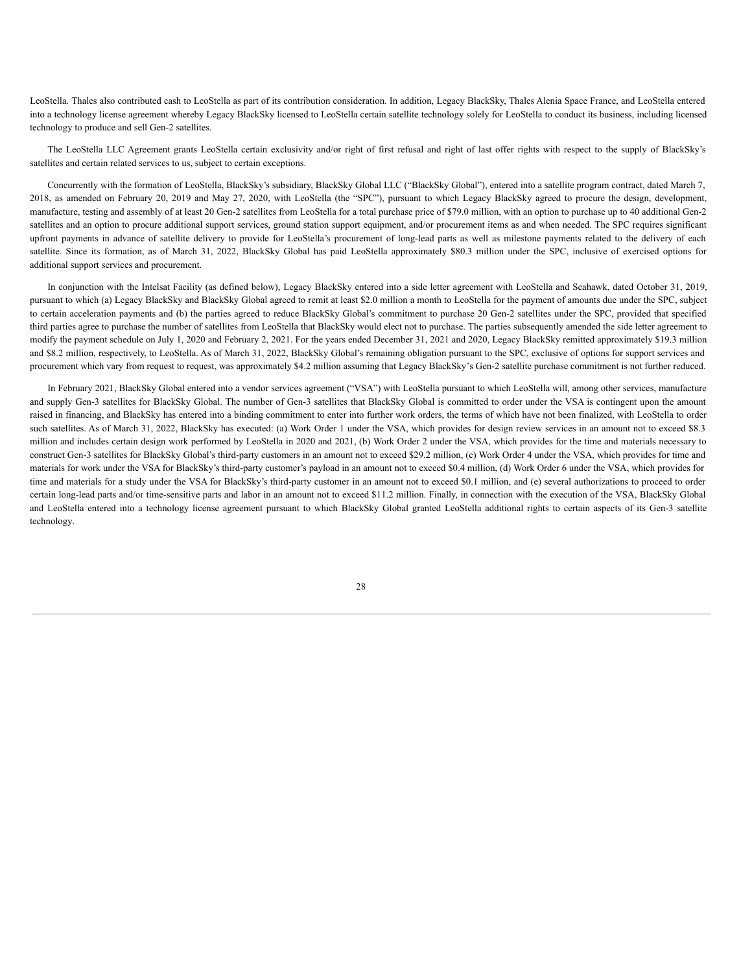LeoStella. Thales also contributed cash to LeoStella as part of its contribution consideration. In addition, Legacy BlackSky, Thales Alenia Space France, and LeoStella entered into a technology license agreement whereby Legacy BlackSky licensed to LeoStella certain satellite technology solely for LeoStella to conduct its business, including licensed technology to produce and sell Gen-2 satellites.

The LeoStella LLC Agreement grants LeoStella certain exclusivity and/or right of first refusal and right of last offer rights with respect to the supply of BlackSky's satellites and certain related services to us, subject to certain exceptions.

Concurrently with the formation of LeoStella, BlackSky's subsidiary, BlackSky Global LLC ("BlackSky Global"), entered into a satellite program contract, dated March 7, 2018, as amended on February 20, 2019 and May 27, 2020, with LeoStella (the "SPC"), pursuant to which Legacy BlackSky agreed to procure the design, development, manufacture, testing and assembly of at least 20 Gen-2 satellites from LeoStella for a total purchase price of \$79.0 million, with an option to purchase up to 40 additional Gen-2 satellites and an option to procure additional support services, ground station support equipment, and/or procurement items as and when needed. The SPC requires significant upfront payments in advance of satellite delivery to provide for LeoStella's procurement of long-lead parts as well as milestone payments related to the delivery of each satellite. Since its formation, as of March 31, 2022, BlackSky Global has paid LeoStella approximately \$80.3 million under the SPC, inclusive of exercised options for additional support services and procurement.

In conjunction with the Intelsat Facility (as defined below), Legacy BlackSky entered into a side letter agreement with LeoStella and Seahawk, dated October 31, 2019, pursuant to which (a) Legacy BlackSky and BlackSky Global agreed to remit at least \$2.0 million a month to LeoStella for the payment of amounts due under the SPC, subject to certain acceleration payments and (b) the parties agreed to reduce BlackSky Global's commitment to purchase 20 Gen-2 satellites under the SPC, provided that specified third parties agree to purchase the number of satellites from LeoStella that BlackSky would elect not to purchase. The parties subsequently amended the side letter agreement to modify the payment schedule on July 1, 2020 and February 2, 2021. For the years ended December 31, 2021 and 2020, Legacy BlackSky remitted approximately \$19.3 million and \$8.2 million, respectively, to LeoStella. As of March 31, 2022, BlackSky Global's remaining obligation pursuant to the SPC, exclusive of options for support services and procurement which vary from request to request, was approximately \$4.2 million assuming that Legacy BlackSky's Gen-2 satellite purchase commitment is not further reduced.

In February 2021, BlackSky Global entered into a vendor services agreement ("VSA") with LeoStella pursuant to which LeoStella will, among other services, manufacture and supply Gen-3 satellites for BlackSky Global. The number of Gen-3 satellites that BlackSky Global is committed to order under the VSA is contingent upon the amount raised in financing, and BlackSky has entered into a binding commitment to enter into further work orders, the terms of which have not been finalized, with LeoStella to order such satellites. As of March 31, 2022, BlackSky has executed: (a) Work Order 1 under the VSA, which provides for design review services in an amount not to exceed \$8.3 million and includes certain design work performed by LeoStella in 2020 and 2021, (b) Work Order 2 under the VSA, which provides for the time and materials necessary to construct Gen-3 satellites for BlackSky Global's third-party customers in an amount not to exceed \$29.2 million, (c) Work Order 4 under the VSA, which provides for time and materials for work under the VSA for BlackSky's third-party customer's payload in an amount not to exceed \$0.4 million, (d) Work Order 6 under the VSA, which provides for time and materials for a study under the VSA for BlackSky's third-party customer in an amount not to exceed \$0.1 million, and (e) several authorizations to proceed to order certain long-lead parts and/or time-sensitive parts and labor in an amount not to exceed \$11.2 million. Finally, in connection with the execution of the VSA, BlackSky Global and LeoStella entered into a technology license agreement pursuant to which BlackSky Global granted LeoStella additional rights to certain aspects of its Gen-3 satellite technology.

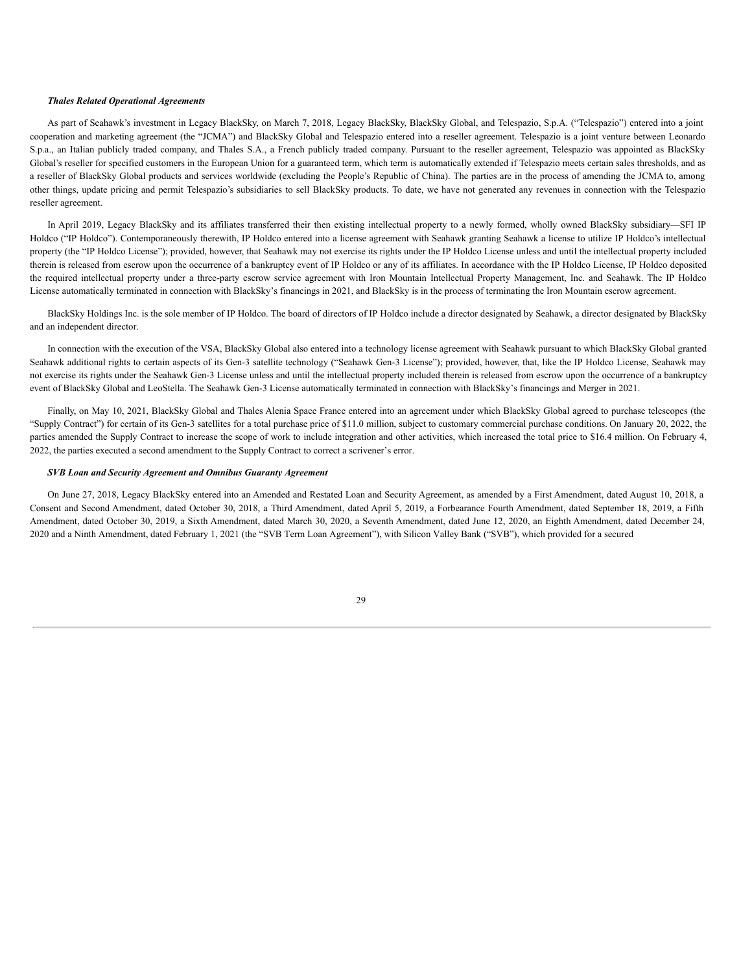# *Thales Related Operational Agreements*

As part of Seahawk's investment in Legacy BlackSky, on March 7, 2018, Legacy BlackSky, BlackSky Global, and Telespazio, S.p.A. ("Telespazio") entered into a joint cooperation and marketing agreement (the "JCMA") and BlackSky Global and Telespazio entered into a reseller agreement. Telespazio is a joint venture between Leonardo S.p.a., an Italian publicly traded company, and Thales S.A., a French publicly traded company. Pursuant to the reseller agreement, Telespazio was appointed as BlackSky Global's reseller for specified customers in the European Union for a guaranteed term, which term is automatically extended if Telespazio meets certain sales thresholds, and as a reseller of BlackSky Global products and services worldwide (excluding the People's Republic of China). The parties are in the process of amending the JCMA to, among other things, update pricing and permit Telespazio's subsidiaries to sell BlackSky products. To date, we have not generated any revenues in connection with the Telespazio reseller agreement.

In April 2019, Legacy BlackSky and its affiliates transferred their then existing intellectual property to a newly formed, wholly owned BlackSky subsidiary—SFI IP Holdco ("IP Holdco"). Contemporaneously therewith, IP Holdco entered into a license agreement with Seahawk granting Seahawk a license to utilize IP Holdco's intellectual property (the "IP Holdco License"); provided, however, that Seahawk may not exercise its rights under the IP Holdco License unless and until the intellectual property included therein is released from escrow upon the occurrence of a bankruptcy event of IP Holdco or any of its affiliates. In accordance with the IP Holdco License, IP Holdco deposited the required intellectual property under a three-party escrow service agreement with Iron Mountain Intellectual Property Management, Inc. and Seahawk. The IP Holdco License automatically terminated in connection with BlackSky's financings in 2021, and BlackSky is in the process of terminating the Iron Mountain escrow agreement.

BlackSky Holdings Inc. is the sole member of IP Holdco. The board of directors of IP Holdco include a director designated by Seahawk, a director designated by BlackSky and an independent director.

In connection with the execution of the VSA, BlackSky Global also entered into a technology license agreement with Seahawk pursuant to which BlackSky Global granted Seahawk additional rights to certain aspects of its Gen-3 satellite technology ("Seahawk Gen-3 License"); provided, however, that, like the IP Holdco License, Seahawk may not exercise its rights under the Seahawk Gen-3 License unless and until the intellectual property included therein is released from escrow upon the occurrence of a bankruptcy event of BlackSky Global and LeoStella. The Seahawk Gen-3 License automatically terminated in connection with BlackSky's financings and Merger in 2021.

Finally, on May 10, 2021, BlackSky Global and Thales Alenia Space France entered into an agreement under which BlackSky Global agreed to purchase telescopes (the "Supply Contract") for certain of its Gen-3 satellites for a total purchase price of \$11.0 million, subject to customary commercial purchase conditions. On January 20, 2022, the parties amended the Supply Contract to increase the scope of work to include integration and other activities, which increased the total price to \$16.4 million. On February 4, 2022, the parties executed a second amendment to the Supply Contract to correct a scrivener's error.

#### *SVB Loan and Security Agreement and Omnibus Guaranty Agreement*

On June 27, 2018, Legacy BlackSky entered into an Amended and Restated Loan and Security Agreement, as amended by a First Amendment, dated August 10, 2018, a Consent and Second Amendment, dated October 30, 2018, a Third Amendment, dated April 5, 2019, a Forbearance Fourth Amendment, dated September 18, 2019, a Fifth Amendment, dated October 30, 2019, a Sixth Amendment, dated March 30, 2020, a Seventh Amendment, dated June 12, 2020, an Eighth Amendment, dated December 24, 2020 and a Ninth Amendment, dated February 1, 2021 (the "SVB Term Loan Agreement"), with Silicon Valley Bank ("SVB"), which provided for a secured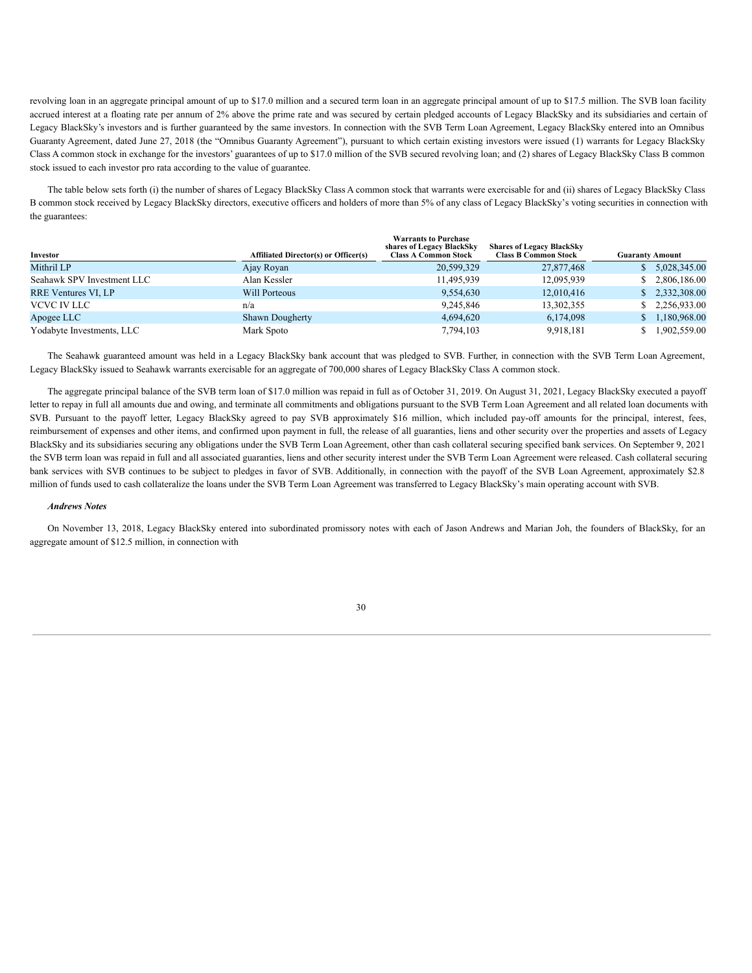revolving loan in an aggregate principal amount of up to \$17.0 million and a secured term loan in an aggregate principal amount of up to \$17.5 million. The SVB loan facility accrued interest at a floating rate per annum of 2% above the prime rate and was secured by certain pledged accounts of Legacy BlackSky and its subsidiaries and certain of Legacy BlackSky's investors and is further guaranteed by the same investors. In connection with the SVB Term Loan Agreement, Legacy BlackSky entered into an Omnibus Guaranty Agreement, dated June 27, 2018 (the "Omnibus Guaranty Agreement"), pursuant to which certain existing investors were issued (1) warrants for Legacy BlackSky Class A common stock in exchange for the investors' guarantees of up to \$17.0 million of the SVB secured revolving loan; and (2) shares of Legacy BlackSky Class B common stock issued to each investor pro rata according to the value of guarantee.

The table below sets forth (i) the number of shares of Legacy BlackSky Class A common stock that warrants were exercisable for and (ii) shares of Legacy BlackSky Class B common stock received by Legacy BlackSky directors, executive officers and holders of more than 5% of any class of Legacy BlackSky's voting securities in connection with the guarantees:

| Investor                   | <b>Affiliated Director(s) or Officer(s)</b> | <b>Warrants to Purchase</b><br>shares of Legacy BlackSky<br><b>Class A Common Stock</b> | <b>Shares of Legacy BlackSky</b><br><b>Class B Common Stock</b> | <b>Guaranty Amount</b> |                |
|----------------------------|---------------------------------------------|-----------------------------------------------------------------------------------------|-----------------------------------------------------------------|------------------------|----------------|
| Mithril LP                 | Ajay Royan                                  | 20,599,329                                                                              | 27,877,468                                                      |                        | 5,028,345.00   |
| Seahawk SPV Investment LLC | Alan Kessler                                | 11.495.939                                                                              | 12.095.939                                                      |                        | \$2,806,186,00 |
| <b>RRE Ventures VI, LP</b> | Will Porteous                               | 9,554,630                                                                               | 12.010.416                                                      |                        | \$2,332,308.00 |
| VCVC IV LLC                | n/a                                         | 9,245,846                                                                               | 13,302,355                                                      |                        | \$2,256,933.00 |
| Apogee LLC                 | <b>Shawn Dougherty</b>                      | 4,694,620                                                                               | 6,174,098                                                       |                        | 1,180,968.00   |
| Yodabyte Investments, LLC  | Mark Spoto                                  | 7,794,103                                                                               | 9,918,181                                                       |                        | 1.902.559.00   |

The Seahawk guaranteed amount was held in a Legacy BlackSky bank account that was pledged to SVB. Further, in connection with the SVB Term Loan Agreement, Legacy BlackSky issued to Seahawk warrants exercisable for an aggregate of 700,000 shares of Legacy BlackSky Class A common stock.

The aggregate principal balance of the SVB term loan of \$17.0 million was repaid in full as of October 31, 2019. On August 31, 2021, Legacy BlackSky executed a payoff letter to repay in full all amounts due and owing, and terminate all commitments and obligations pursuant to the SVB Term Loan Agreement and all related loan documents with SVB. Pursuant to the payoff letter, Legacy BlackSky agreed to pay SVB approximately \$16 million, which included pay-off amounts for the principal, interest, fees, reimbursement of expenses and other items, and confirmed upon payment in full, the release of all guaranties, liens and other security over the properties and assets of Legacy BlackSky and its subsidiaries securing any obligations under the SVB Term Loan Agreement, other than cash collateral securing specified bank services. On September 9, 2021 the SVB term loan was repaid in full and all associated guaranties, liens and other security interest under the SVB Term Loan Agreement were released. Cash collateral securing bank services with SVB continues to be subject to pledges in favor of SVB. Additionally, in connection with the payoff of the SVB Loan Agreement, approximately \$2.8 million of funds used to cash collateralize the loans under the SVB Term Loan Agreement was transferred to Legacy BlackSky's main operating account with SVB.

# *Andrews Notes*

On November 13, 2018, Legacy BlackSky entered into subordinated promissory notes with each of Jason Andrews and Marian Joh, the founders of BlackSky, for an aggregate amount of \$12.5 million, in connection with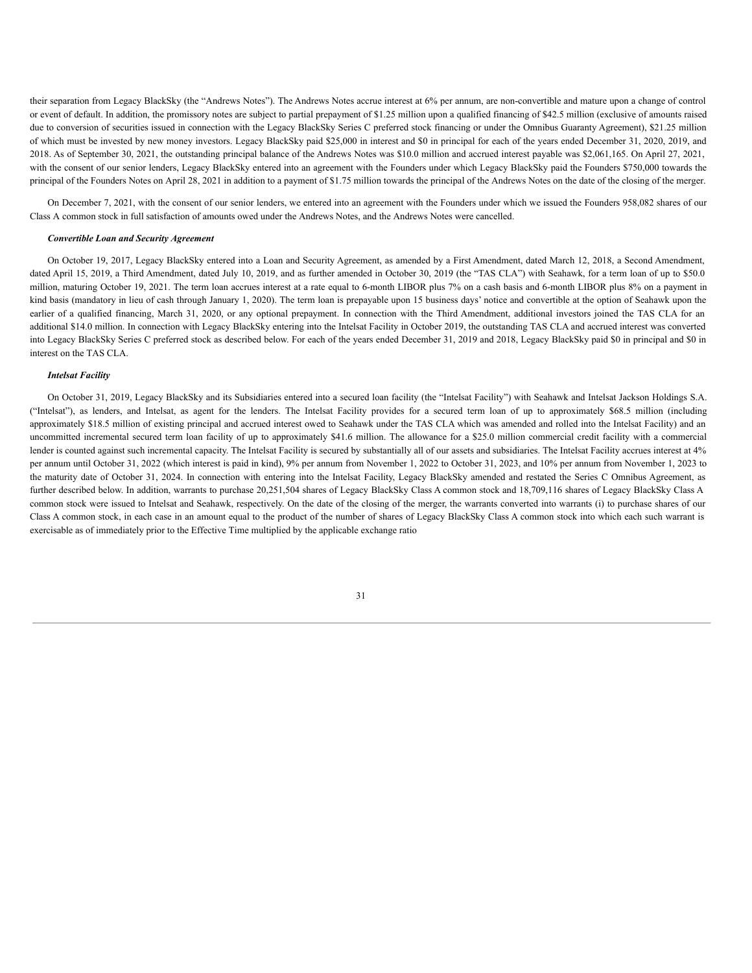their separation from Legacy BlackSky (the "Andrews Notes"). The Andrews Notes accrue interest at 6% per annum, are non-convertible and mature upon a change of control or event of default. In addition, the promissory notes are subject to partial prepayment of \$1.25 million upon a qualified financing of \$42.5 million (exclusive of amounts raised due to conversion of securities issued in connection with the Legacy BlackSky Series C preferred stock financing or under the Omnibus Guaranty Agreement), \$21.25 million of which must be invested by new money investors. Legacy BlackSky paid \$25,000 in interest and \$0 in principal for each of the years ended December 31, 2020, 2019, and 2018. As of September 30, 2021, the outstanding principal balance of the Andrews Notes was \$10.0 million and accrued interest payable was \$2,061,165. On April 27, 2021, with the consent of our senior lenders, Legacy BlackSky entered into an agreement with the Founders under which Legacy BlackSky paid the Founders \$750,000 towards the principal of the Founders Notes on April 28, 2021 in addition to a payment of \$1.75 million towards the principal of the Andrews Notes on the date of the closing of the merger.

On December 7, 2021, with the consent of our senior lenders, we entered into an agreement with the Founders under which we issued the Founders 958,082 shares of our Class A common stock in full satisfaction of amounts owed under the Andrews Notes, and the Andrews Notes were cancelled.

#### *Convertible Loan and Security Agreement*

On October 19, 2017, Legacy BlackSky entered into a Loan and Security Agreement, as amended by a First Amendment, dated March 12, 2018, a Second Amendment, dated April 15, 2019, a Third Amendment, dated July 10, 2019, and as further amended in October 30, 2019 (the "TAS CLA") with Seahawk, for a term loan of up to \$50.0 million, maturing October 19, 2021. The term loan accrues interest at a rate equal to 6-month LIBOR plus 7% on a cash basis and 6-month LIBOR plus 8% on a payment in kind basis (mandatory in lieu of cash through January 1, 2020). The term loan is prepayable upon 15 business days' notice and convertible at the option of Seahawk upon the earlier of a qualified financing, March 31, 2020, or any optional prepayment. In connection with the Third Amendment, additional investors joined the TAS CLA for an additional \$14.0 million. In connection with Legacy BlackSky entering into the Intelsat Facility in October 2019, the outstanding TAS CLA and accrued interest was converted into Legacy BlackSky Series C preferred stock as described below. For each of the years ended December 31, 2019 and 2018, Legacy BlackSky paid \$0 in principal and \$0 in interest on the TAS CLA.

#### *Intelsat Facility*

On October 31, 2019, Legacy BlackSky and its Subsidiaries entered into a secured loan facility (the "Intelsat Facility") with Seahawk and Intelsat Jackson Holdings S.A. ("Intelsat"), as lenders, and Intelsat, as agent for the lenders. The Intelsat Facility provides for a secured term loan of up to approximately \$68.5 million (including approximately \$18.5 million of existing principal and accrued interest owed to Seahawk under the TAS CLA which was amended and rolled into the Intelsat Facility) and an uncommitted incremental secured term loan facility of up to approximately \$41.6 million. The allowance for a \$25.0 million commercial credit facility with a commercial lender is counted against such incremental capacity. The Intelsat Facility is secured by substantially all of our assets and subsidiaries. The Intelsat Facility accrues interest at 4% per annum until October 31, 2022 (which interest is paid in kind), 9% per annum from November 1, 2022 to October 31, 2023, and 10% per annum from November 1, 2023 to the maturity date of October 31, 2024. In connection with entering into the Intelsat Facility, Legacy BlackSky amended and restated the Series C Omnibus Agreement, as further described below. In addition, warrants to purchase 20,251,504 shares of Legacy BlackSky Class A common stock and 18,709,116 shares of Legacy BlackSky Class A common stock were issued to Intelsat and Seahawk, respectively. On the date of the closing of the merger, the warrants converted into warrants (i) to purchase shares of our Class A common stock, in each case in an amount equal to the product of the number of shares of Legacy BlackSky Class A common stock into which each such warrant is exercisable as of immediately prior to the Effective Time multiplied by the applicable exchange ratio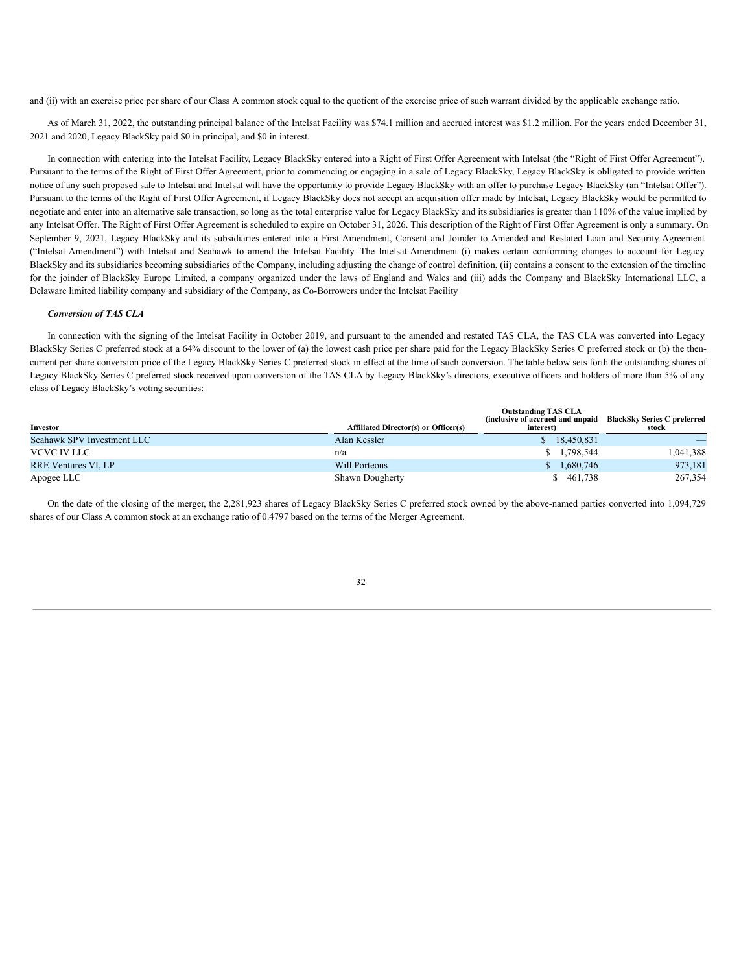and (ii) with an exercise price per share of our Class A common stock equal to the quotient of the exercise price of such warrant divided by the applicable exchange ratio.

As of March 31, 2022, the outstanding principal balance of the Intelsat Facility was \$74.1 million and accrued interest was \$1.2 million. For the years ended December 31, 2021 and 2020, Legacy BlackSky paid \$0 in principal, and \$0 in interest.

In connection with entering into the Intelsat Facility, Legacy BlackSky entered into a Right of First Offer Agreement with Intelsat (the "Right of First Offer Agreement"). Pursuant to the terms of the Right of First Offer Agreement, prior to commencing or engaging in a sale of Legacy BlackSky, Legacy BlackSky is obligated to provide written notice of any such proposed sale to Intelsat and Intelsat will have the opportunity to provide Legacy BlackSky with an offer to purchase Legacy BlackSky (an "Intelsat Offer"). Pursuant to the terms of the Right of First Offer Agreement, if Legacy BlackSky does not accept an acquisition offer made by Intelsat, Legacy BlackSky would be permitted to negotiate and enter into an alternative sale transaction, so long as the total enterprise value for Legacy BlackSky and its subsidiaries is greater than 110% of the value implied by any Intelsat Offer. The Right of First Offer Agreement is scheduled to expire on October 31, 2026. This description of the Right of First Offer Agreement is only a summary. On September 9, 2021, Legacy BlackSky and its subsidiaries entered into a First Amendment, Consent and Joinder to Amended and Restated Loan and Security Agreement ("Intelsat Amendment") with Intelsat and Seahawk to amend the Intelsat Facility. The Intelsat Amendment (i) makes certain conforming changes to account for Legacy BlackSky and its subsidiaries becoming subsidiaries of the Company, including adjusting the change of control definition, (ii) contains a consent to the extension of the timeline for the joinder of BlackSky Europe Limited, a company organized under the laws of England and Wales and (iii) adds the Company and BlackSky International LLC, a Delaware limited liability company and subsidiary of the Company, as Co-Borrowers under the Intelsat Facility

#### *Conversion of TAS CLA*

In connection with the signing of the Intelsat Facility in October 2019, and pursuant to the amended and restated TAS CLA, the TAS CLA was converted into Legacy BlackSky Series C preferred stock at a 64% discount to the lower of (a) the lowest cash price per share paid for the Legacy BlackSky Series C preferred stock or (b) the thencurrent per share conversion price of the Legacy BlackSky Series C preferred stock in effect at the time of such conversion. The table below sets forth the outstanding shares of Legacy BlackSky Series C preferred stock received upon conversion of the TAS CLA by Legacy BlackSky's directors, executive officers and holders of more than 5% of any class of Legacy BlackSky's voting securities:

|                            |                                             | <b>Outstanding TAS CLA</b><br>(inclusive of accrued and unpaid BlackSky Series C preferred |           |
|----------------------------|---------------------------------------------|--------------------------------------------------------------------------------------------|-----------|
| Investor                   | <b>Affiliated Director(s) or Officer(s)</b> | interest)                                                                                  | stock     |
| Seahawk SPV Investment LLC | Alan Kessler                                | 18.450.831                                                                                 |           |
| VCVC IV LLC                | n/a                                         | \$1,798,544                                                                                | 1,041,388 |
| <b>RRE Ventures VI, LP</b> | Will Porteous                               | 1,680,746                                                                                  | 973,181   |
| Apogee LLC                 | Shawn Dougherty                             | 461,738                                                                                    | 267,354   |

On the date of the closing of the merger, the 2,281,923 shares of Legacy BlackSky Series C preferred stock owned by the above-named parties converted into 1,094,729 shares of our Class A common stock at an exchange ratio of 0.4797 based on the terms of the Merger Agreement.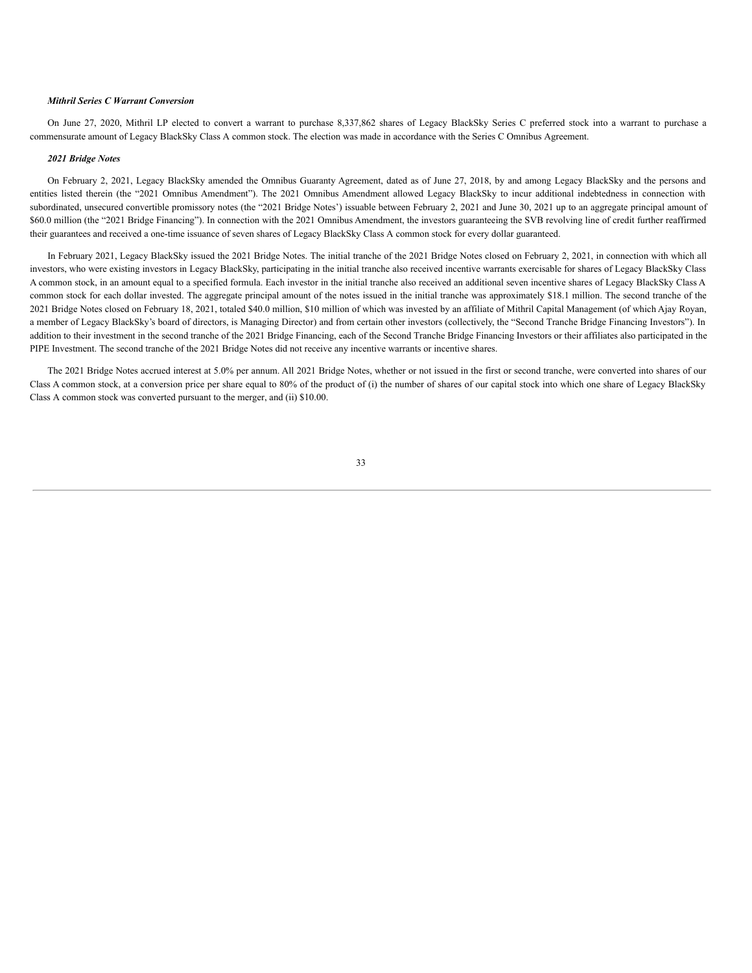# *Mithril Series C Warrant Conversion*

On June 27, 2020, Mithril LP elected to convert a warrant to purchase 8,337,862 shares of Legacy BlackSky Series C preferred stock into a warrant to purchase a commensurate amount of Legacy BlackSky Class A common stock. The election was made in accordance with the Series C Omnibus Agreement.

#### *2021 Bridge Notes*

On February 2, 2021, Legacy BlackSky amended the Omnibus Guaranty Agreement, dated as of June 27, 2018, by and among Legacy BlackSky and the persons and entities listed therein (the "2021 Omnibus Amendment"). The 2021 Omnibus Amendment allowed Legacy BlackSky to incur additional indebtedness in connection with subordinated, unsecured convertible promissory notes (the "2021 Bridge Notes') issuable between February 2, 2021 and June 30, 2021 up to an aggregate principal amount of \$60.0 million (the "2021 Bridge Financing"). In connection with the 2021 Omnibus Amendment, the investors guaranteeing the SVB revolving line of credit further reaffirmed their guarantees and received a one-time issuance of seven shares of Legacy BlackSky Class A common stock for every dollar guaranteed.

In February 2021, Legacy BlackSky issued the 2021 Bridge Notes. The initial tranche of the 2021 Bridge Notes closed on February 2, 2021, in connection with which all investors, who were existing investors in Legacy BlackSky, participating in the initial tranche also received incentive warrants exercisable for shares of Legacy BlackSky Class A common stock, in an amount equal to a specified formula. Each investor in the initial tranche also received an additional seven incentive shares of Legacy BlackSky Class A common stock for each dollar invested. The aggregate principal amount of the notes issued in the initial tranche was approximately \$18.1 million. The second tranche of the 2021 Bridge Notes closed on February 18, 2021, totaled \$40.0 million, \$10 million of which was invested by an affiliate of Mithril Capital Management (of which Ajay Royan, a member of Legacy BlackSky's board of directors, is Managing Director) and from certain other investors (collectively, the "Second Tranche Bridge Financing Investors"). In addition to their investment in the second tranche of the 2021 Bridge Financing, each of the Second Tranche Bridge Financing Investors or their affiliates also participated in the PIPE Investment. The second tranche of the 2021 Bridge Notes did not receive any incentive warrants or incentive shares.

The 2021 Bridge Notes accrued interest at 5.0% per annum. All 2021 Bridge Notes, whether or not issued in the first or second tranche, were converted into shares of our Class A common stock, at a conversion price per share equal to 80% of the product of (i) the number of shares of our capital stock into which one share of Legacy BlackSky Class A common stock was converted pursuant to the merger, and (ii) \$10.00.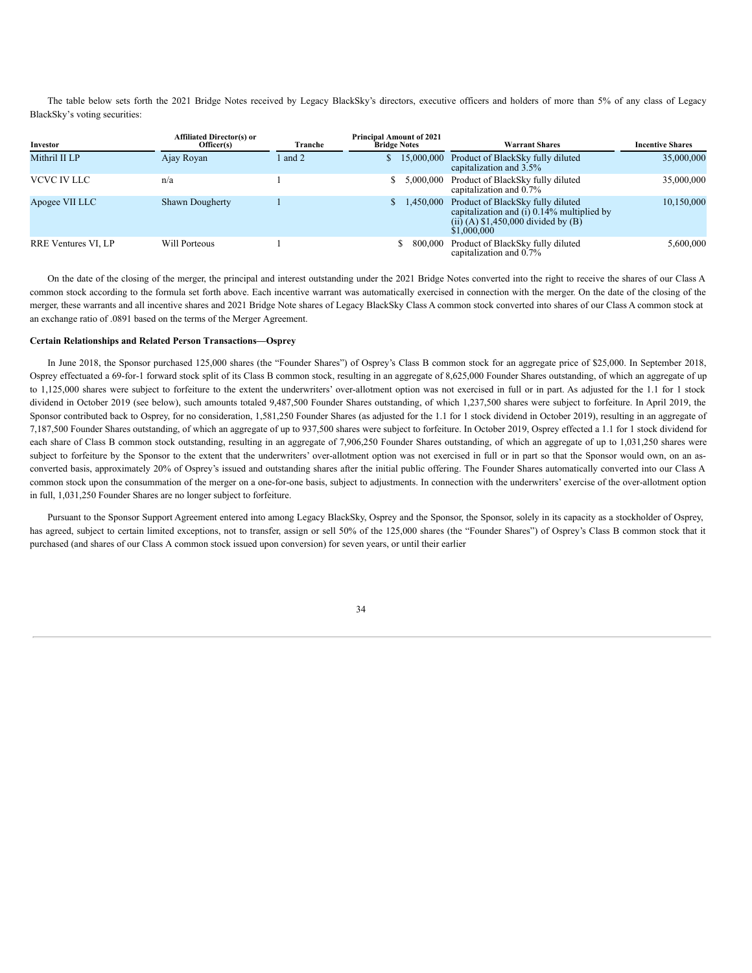The table below sets forth the 2021 Bridge Notes received by Legacy BlackSky's directors, executive officers and holders of more than 5% of any class of Legacy BlackSky's voting securities:

| Investor            | <b>Affiliated Director(s) or</b><br>Officer(s) | Tranche | <b>Principal Amount of 2021</b><br><b>Bridge Notes</b> | <b>Warrant Shares</b>                                                                                                                    | <b>Incentive Shares</b> |  |
|---------------------|------------------------------------------------|---------|--------------------------------------------------------|------------------------------------------------------------------------------------------------------------------------------------------|-------------------------|--|
| Mithril II LP       | Ajay Royan                                     | l and 2 | 15,000,000<br>S                                        | Product of BlackSky fully diluted<br>capitalization and 3.5%                                                                             | 35,000,000              |  |
| VCVC IV LLC         | n/a                                            |         | 5,000,000                                              | Product of BlackSky fully diluted<br>capitalization and 0.7%                                                                             | 35,000,000              |  |
| Apogee VII LLC      | <b>Shawn Dougherty</b>                         |         | 1,450,000                                              | Product of BlackSky fully diluted<br>capitalization and $(i)$ 0.14% multiplied by<br>(ii) (A) $$1,450,000$ divided by (B)<br>\$1,000,000 | 10,150,000              |  |
| RRE Ventures VI, LP | Will Porteous                                  |         | 800.000                                                | Product of BlackSky fully diluted<br>capitalization and 0.7%                                                                             | 5,600,000               |  |

On the date of the closing of the merger, the principal and interest outstanding under the 2021 Bridge Notes converted into the right to receive the shares of our Class A common stock according to the formula set forth above. Each incentive warrant was automatically exercised in connection with the merger. On the date of the closing of the merger, these warrants and all incentive shares and 2021 Bridge Note shares of Legacy BlackSky Class A common stock converted into shares of our Class A common stock at an exchange ratio of .0891 based on the terms of the Merger Agreement.

# **Certain Relationships and Related Person Transactions—Osprey**

In June 2018, the Sponsor purchased 125,000 shares (the "Founder Shares") of Osprey's Class B common stock for an aggregate price of \$25,000. In September 2018, Osprey effectuated a 69-for-1 forward stock split of its Class B common stock, resulting in an aggregate of 8,625,000 Founder Shares outstanding, of which an aggregate of up to 1,125,000 shares were subject to forfeiture to the extent the underwriters' over-allotment option was not exercised in full or in part. As adjusted for the 1.1 for 1 stock dividend in October 2019 (see below), such amounts totaled 9,487,500 Founder Shares outstanding, of which 1,237,500 shares were subject to forfeiture. In April 2019, the Sponsor contributed back to Osprey, for no consideration, 1,581,250 Founder Shares (as adjusted for the 1.1 for 1 stock dividend in October 2019), resulting in an aggregate of 7,187,500 Founder Shares outstanding, of which an aggregate of up to 937,500 shares were subject to forfeiture. In October 2019, Osprey effected a 1.1 for 1 stock dividend for each share of Class B common stock outstanding, resulting in an aggregate of 7,906,250 Founder Shares outstanding, of which an aggregate of up to 1,031,250 shares were subject to forfeiture by the Sponsor to the extent that the underwriters' over-allotment option was not exercised in full or in part so that the Sponsor would own, on an asconverted basis, approximately 20% of Osprey's issued and outstanding shares after the initial public offering. The Founder Shares automatically converted into our Class A common stock upon the consummation of the merger on a one-for-one basis, subject to adjustments. In connection with the underwriters' exercise of the over-allotment option in full, 1,031,250 Founder Shares are no longer subject to forfeiture.

Pursuant to the Sponsor Support Agreement entered into among Legacy BlackSky, Osprey and the Sponsor, the Sponsor, solely in its capacity as a stockholder of Osprey, has agreed, subject to certain limited exceptions, not to transfer, assign or sell 50% of the 125,000 shares (the "Founder Shares") of Osprey's Class B common stock that it purchased (and shares of our Class A common stock issued upon conversion) for seven years, or until their earlier

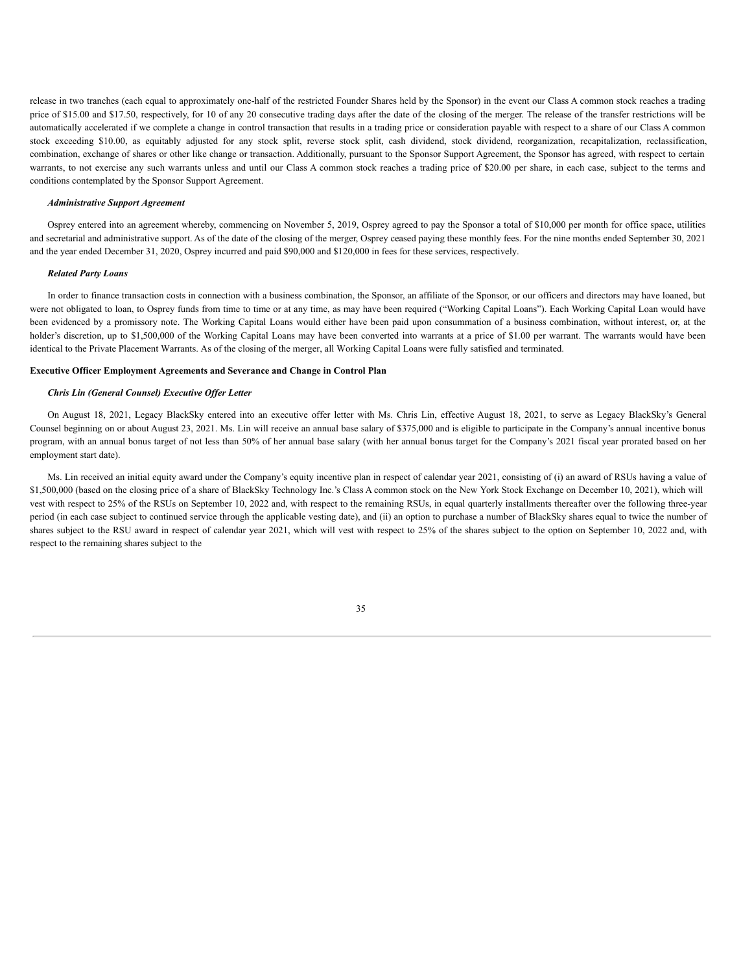release in two tranches (each equal to approximately one-half of the restricted Founder Shares held by the Sponsor) in the event our Class A common stock reaches a trading price of \$15.00 and \$17.50, respectively, for 10 of any 20 consecutive trading days after the date of the closing of the merger. The release of the transfer restrictions will be automatically accelerated if we complete a change in control transaction that results in a trading price or consideration payable with respect to a share of our Class A common stock exceeding \$10.00, as equitably adjusted for any stock split, reverse stock split, cash dividend, stock dividend, reorganization, recapitalization, reclassification, combination, exchange of shares or other like change or transaction. Additionally, pursuant to the Sponsor Support Agreement, the Sponsor has agreed, with respect to certain warrants, to not exercise any such warrants unless and until our Class A common stock reaches a trading price of \$20.00 per share, in each case, subject to the terms and conditions contemplated by the Sponsor Support Agreement.

### *Administrative Support Agreement*

Osprey entered into an agreement whereby, commencing on November 5, 2019, Osprey agreed to pay the Sponsor a total of \$10,000 per month for office space, utilities and secretarial and administrative support. As of the date of the closing of the merger, Osprey ceased paying these monthly fees. For the nine months ended September 30, 2021 and the year ended December 31, 2020, Osprey incurred and paid \$90,000 and \$120,000 in fees for these services, respectively.

# *Related Party Loans*

In order to finance transaction costs in connection with a business combination, the Sponsor, an affiliate of the Sponsor, or our officers and directors may have loaned, but were not obligated to loan, to Osprey funds from time to time or at any time, as may have been required ("Working Capital Loans"). Each Working Capital Loan would have been evidenced by a promissory note. The Working Capital Loans would either have been paid upon consummation of a business combination, without interest, or, at the holder's discretion, up to \$1,500,000 of the Working Capital Loans may have been converted into warrants at a price of \$1.00 per warrant. The warrants would have been identical to the Private Placement Warrants. As of the closing of the merger, all Working Capital Loans were fully satisfied and terminated.

# **Executive Officer Employment Agreements and Severance and Change in Control Plan**

# *Chris Lin (General Counsel) Executive Of er Letter*

On August 18, 2021, Legacy BlackSky entered into an executive offer letter with Ms. Chris Lin, effective August 18, 2021, to serve as Legacy BlackSky's General Counsel beginning on or about August 23, 2021. Ms. Lin will receive an annual base salary of \$375,000 and is eligible to participate in the Company's annual incentive bonus program, with an annual bonus target of not less than 50% of her annual base salary (with her annual bonus target for the Company's 2021 fiscal year prorated based on her employment start date).

Ms. Lin received an initial equity award under the Company's equity incentive plan in respect of calendar year 2021, consisting of (i) an award of RSUs having a value of \$1,500,000 (based on the closing price of a share of BlackSky Technology Inc.'s Class A common stock on the New York Stock Exchange on December 10, 2021), which will vest with respect to 25% of the RSUs on September 10, 2022 and, with respect to the remaining RSUs, in equal quarterly installments thereafter over the following three-year period (in each case subject to continued service through the applicable vesting date), and (ii) an option to purchase a number of BlackSky shares equal to twice the number of shares subject to the RSU award in respect of calendar year 2021, which will vest with respect to 25% of the shares subject to the option on September 10, 2022 and, with respect to the remaining shares subject to the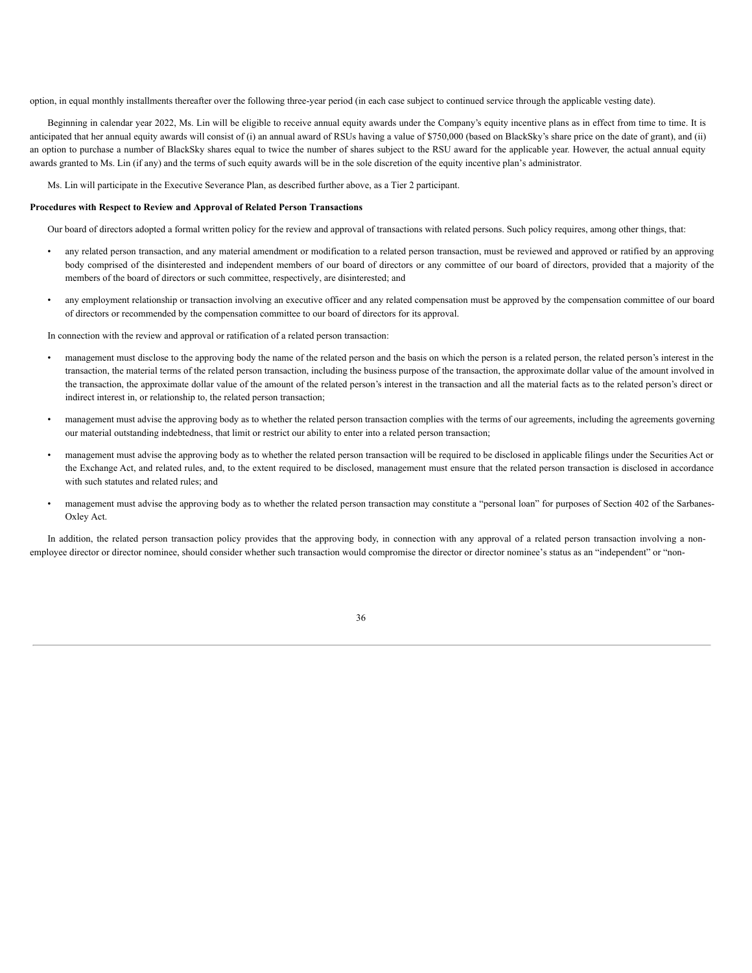option, in equal monthly installments thereafter over the following three-year period (in each case subject to continued service through the applicable vesting date).

Beginning in calendar year 2022, Ms. Lin will be eligible to receive annual equity awards under the Company's equity incentive plans as in effect from time to time. It is anticipated that her annual equity awards will consist of (i) an annual award of RSUs having a value of \$750,000 (based on BlackSky's share price on the date of grant), and (ii) an option to purchase a number of BlackSky shares equal to twice the number of shares subject to the RSU award for the applicable year. However, the actual annual equity awards granted to Ms. Lin (if any) and the terms of such equity awards will be in the sole discretion of the equity incentive plan's administrator.

Ms. Lin will participate in the Executive Severance Plan, as described further above, as a Tier 2 participant.

### **Procedures with Respect to Review and Approval of Related Person Transactions**

Our board of directors adopted a formal written policy for the review and approval of transactions with related persons. Such policy requires, among other things, that:

- any related person transaction, and any material amendment or modification to a related person transaction, must be reviewed and approved or ratified by an approving body comprised of the disinterested and independent members of our board of directors or any committee of our board of directors, provided that a majority of the members of the board of directors or such committee, respectively, are disinterested; and
- any employment relationship or transaction involving an executive officer and any related compensation must be approved by the compensation committee of our board of directors or recommended by the compensation committee to our board of directors for its approval.

In connection with the review and approval or ratification of a related person transaction:

- management must disclose to the approving body the name of the related person and the basis on which the person is a related person, the related person's interest in the transaction, the material terms of the related person transaction, including the business purpose of the transaction, the approximate dollar value of the amount involved in the transaction, the approximate dollar value of the amount of the related person's interest in the transaction and all the material facts as to the related person's direct or indirect interest in, or relationship to, the related person transaction;
- management must advise the approving body as to whether the related person transaction complies with the terms of our agreements, including the agreements governing our material outstanding indebtedness, that limit or restrict our ability to enter into a related person transaction;
- management must advise the approving body as to whether the related person transaction will be required to be disclosed in applicable filings under the Securities Act or the Exchange Act, and related rules, and, to the extent required to be disclosed, management must ensure that the related person transaction is disclosed in accordance with such statutes and related rules; and
- management must advise the approving body as to whether the related person transaction may constitute a "personal loan" for purposes of Section 402 of the Sarbanes-Oxley Act.

In addition, the related person transaction policy provides that the approving body, in connection with any approval of a related person transaction involving a nonemployee director or director nominee, should consider whether such transaction would compromise the director or director nominee's status as an "independent" or "non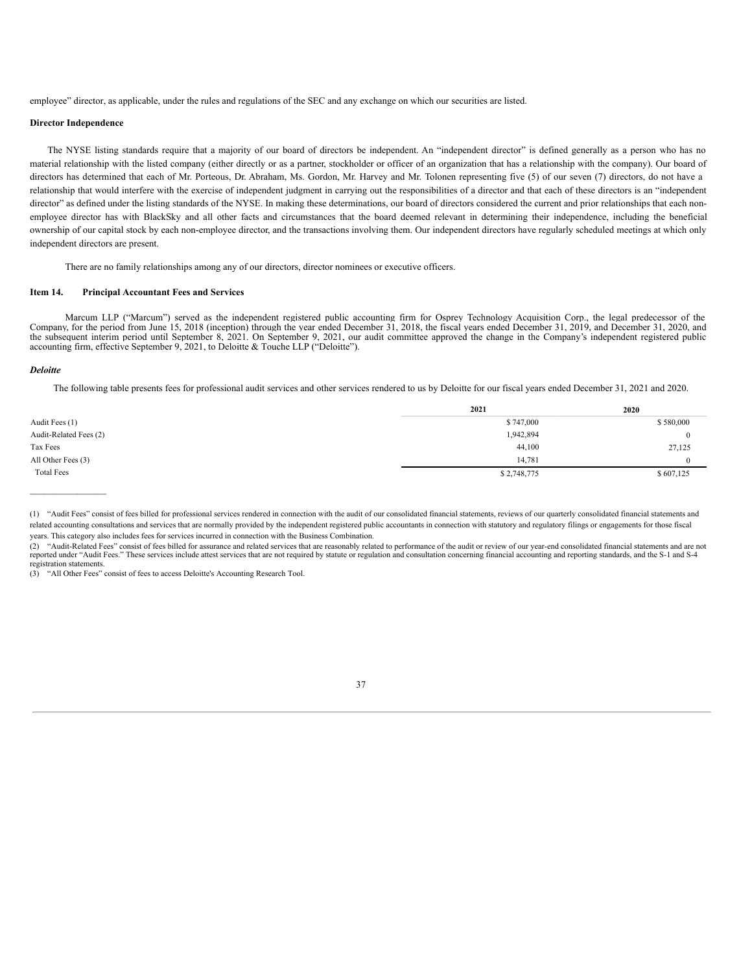employee" director, as applicable, under the rules and regulations of the SEC and any exchange on which our securities are listed.

# **Director Independence**

The NYSE listing standards require that a majority of our board of directors be independent. An "independent director" is defined generally as a person who has no material relationship with the listed company (either directly or as a partner, stockholder or officer of an organization that has a relationship with the company). Our board of directors has determined that each of Mr. Porteous, Dr. Abraham, Ms. Gordon, Mr. Harvey and Mr. Tolonen representing five (5) of our seven (7) directors, do not have a relationship that would interfere with the exercise of independent judgment in carrying out the responsibilities of a director and that each of these directors is an "independent director" as defined under the listing standards of the NYSE. In making these determinations, our board of directors considered the current and prior relationships that each nonemployee director has with BlackSky and all other facts and circumstances that the board deemed relevant in determining their independence, including the beneficial ownership of our capital stock by each non-employee director, and the transactions involving them. Our independent directors have regularly scheduled meetings at which only independent directors are present.

There are no family relationships among any of our directors, director nominees or executive officers.

# **Item 14. Principal Accountant Fees and Services**

Marcum LLP ("Marcum") served as the independent registered public accounting firm for Osprey Technology Acquisition Corp., the legal predecessor of the Company, for the period from June 15, 2018 (inception) through the year ended December 31, 2018, the fiscal years ended December 31, 2019, and December 31, 2020, and the subsequent interim period until September 8, 2021. On September 9, 2021, our audit committee approved the change in the Company's independent registered public accounting firm, effective September 9, 2021, to Deloitte & Touche LLP ("Deloitte").

#### *Deloitte*

 $\mathcal{L}_\text{max}$ 

The following table presents fees for professional audit services and other services rendered to us by Deloitte for our fiscal years ended December 31, 2021 and 2020.

|                        | 2021        | 2020      |
|------------------------|-------------|-----------|
| Audit Fees (1)         | \$747,000   | \$580,000 |
| Audit-Related Fees (2) | 1,942,894   |           |
| Tax Fees               | 44,100      | 27,125    |
| All Other Fees (3)     | 14,781      |           |
| <b>Total Fees</b>      | \$2,748,775 | \$607,125 |

<sup>(1)</sup> "Audit Fees" consist of fees billed for professional services rendered in connection with the audit of our consolidated financial statements, reviews of our quarterly consolidated financial statements and related accounting consultations and services that are normally provided by the independent registered public accountants in connection with statutory and regulatory filings or engagements for those fiscal years. This category also includes fees for services incurred in connection with the Business Combination.



<sup>(2)</sup> "Audit-Related Fees" consist of fees billed for assurance and related services that are reasonably related to performance of the audit or review of our year-end consolidated financial statements and are not reported under "Audit Fees." These services include attest services that are not required by statute or regulation and consultation concerning financial accounting and reporting standards, and the S-1 and S-4 registration statements.

<sup>(3)</sup> "All Other Fees" consist of fees to access Deloitte's Accounting Research Tool.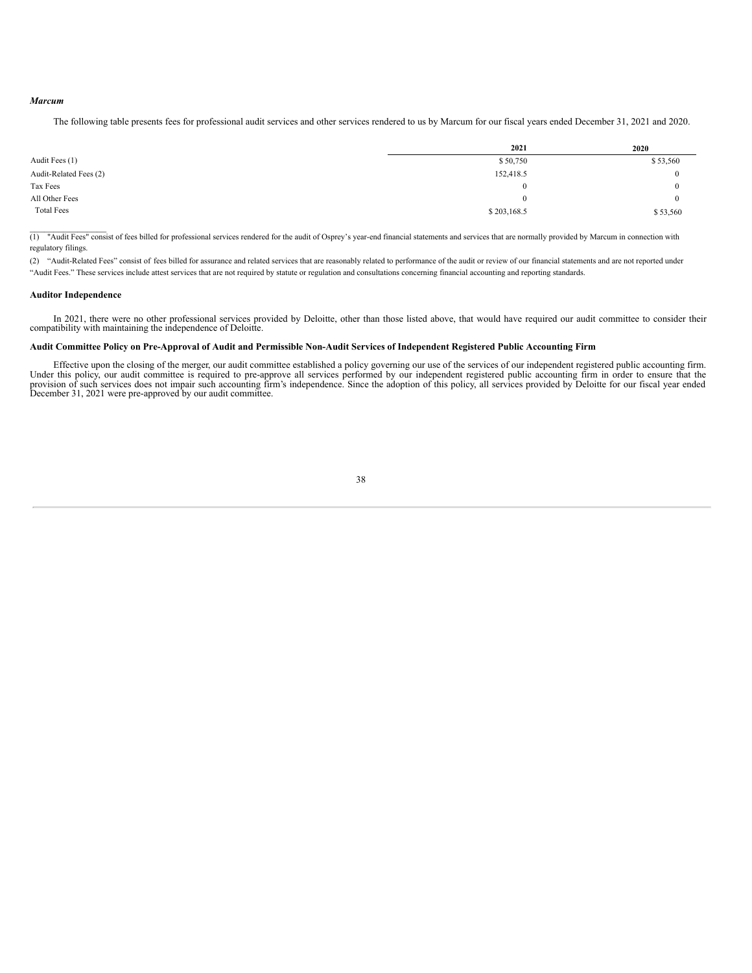### *Marcum*

The following table presents fees for professional audit services and other services rendered to us by Marcum for our fiscal years ended December 31, 2021 and 2020.

|                        | 2021        | 2020     |
|------------------------|-------------|----------|
| Audit Fees (1)         | \$50,750    | \$53,560 |
| Audit-Related Fees (2) | 152,418.5   | $\Omega$ |
| Tax Fees               | $\bf{0}$    | $\Omega$ |
| All Other Fees         | $\Omega$    | $\Omega$ |
| <b>Total Fees</b>      | \$203,168.5 | \$53,560 |

\_\_\_\_\_\_\_\_\_\_\_\_\_\_\_\_ (1) "Audit Fees" consist of fees billed for professional services rendered for the audit of Osprey's year-end financial statements and services that are normally provided by Marcum in connection with regulatory filings.

(2) "Audit-Related Fees" consist of fees billed for assurance and related services that are reasonably related to performance of the audit or review of our financial statements and are not reported under "Audit Fees." These services include attest services that are not required by statute or regulation and consultations concerning financial accounting and reporting standards.

# **Auditor Independence**

In 2021, there were no other professional services provided by Deloitte, other than those listed above, that would have required our audit committee to consider their compatibility with maintaining the independence of Deloitte.

#### Audit Committee Policy on Pre-Approval of Audit and Permissible Non-Audit Services of Independent Registered Public Accounting Firm

Effective upon the closing of the merger, our audit committee established a policy governing our use of the services of our independent registered public accounting firm. Under this policy, our audit committee is required to pre-approve all services performed by our independent registered public accounting firm in order to ensure that the provision of such services does not impair such acco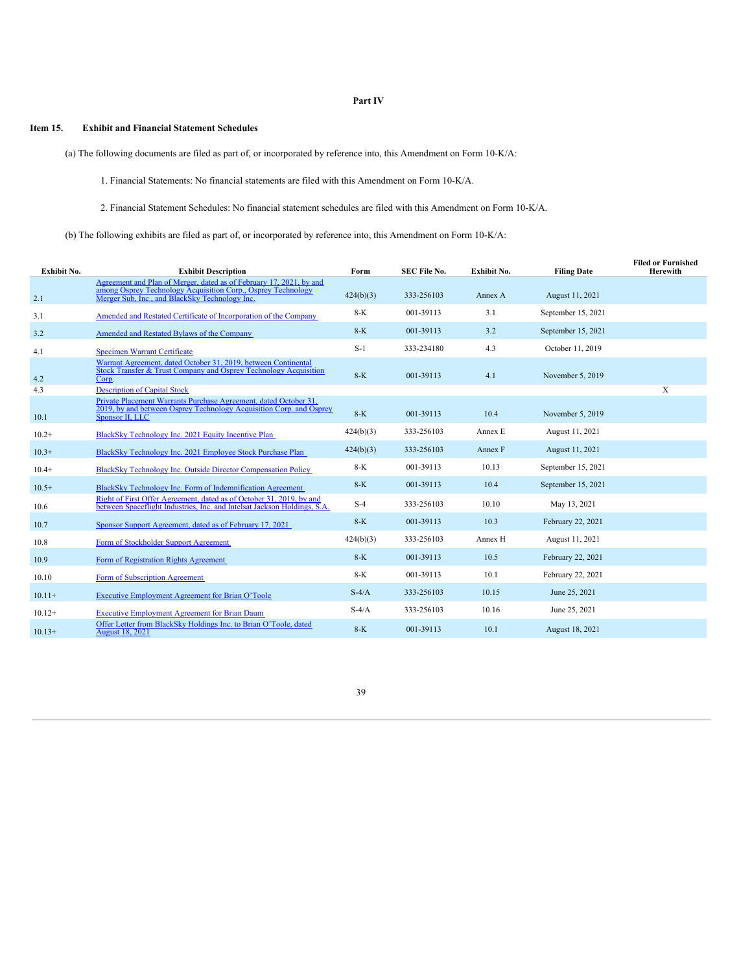# **Part IV**

# **Item 15. Exhibit and Financial Statement Schedules**

(a) The following documents are filed as part of, or incorporated by reference into, this Amendment on Form 10-K/A:

1. Financial Statements: No financial statements are filed with this Amendment on Form 10-K/A.

2. Financial Statement Schedules: No financial statement schedules are filed with this Amendment on Form 10-K/A.

(b) The following exhibits are filed as part of, or incorporated by reference into, this Amendment on Form 10-K/A:

| Exhibit No. | <b>Exhibit Description</b>                                                                                                                                                            | Form      | <b>SEC File No.</b> | Exhibit No. | <b>Filing Date</b> | <b>Filed or Furnished</b><br><b>Herewith</b> |
|-------------|---------------------------------------------------------------------------------------------------------------------------------------------------------------------------------------|-----------|---------------------|-------------|--------------------|----------------------------------------------|
| 2.1         | Agreement and Plan of Merger, dated as of February 17, 2021, by and<br>among Osprey Technology Acquisition Corp., Osprey Technology<br>Merger Sub. Inc., and BlackSky Technology Inc. | 424(b)(3) | 333-256103          | Annex A     | August 11, 2021    |                                              |
| 3.1         | Amended and Restated Certificate of Incorporation of the Company                                                                                                                      | $8-K$     | 001-39113           | 3.1         | September 15, 2021 |                                              |
| 3.2         | Amended and Restated Bylaws of the Company                                                                                                                                            | $8-K$     | 001-39113           | 3.2         | September 15, 2021 |                                              |
| 4.1         | <b>Specimen Warrant Certificate</b>                                                                                                                                                   | $S-1$     | 333-234180          | 4.3         | October 11, 2019   |                                              |
| 4.2         | Warrant Agreement, dated October 31, 2019, between Continental<br>Stock Transfer & Trust Company and Osprey Technology Acquisition<br>Corp.                                           | $8-K$     | 001-39113           | 4.1         | November 5, 2019   |                                              |
| 4.3         | <b>Description of Capital Stock</b>                                                                                                                                                   |           |                     |             |                    | X                                            |
| 10.1        | Private Placement Warrants Purchase Agreement, dated October 31,<br>2019, by and between Osprey Technology Acquisition Corp. and Osprey<br>Sponsor II, LLC                            | $8-K$     | 001-39113           | 10.4        | November 5, 2019   |                                              |
| $10.2+$     | BlackSky Technology Inc. 2021 Equity Incentive Plan                                                                                                                                   | 424(b)(3) | 333-256103          | Annex E     | August 11, 2021    |                                              |
| $10.3+$     | BlackSky Technology Inc. 2021 Employee Stock Purchase Plan                                                                                                                            | 424(b)(3) | 333-256103          | Annex F     | August 11, 2021    |                                              |
| $10.4+$     | BlackSky Technology Inc. Outside Director Compensation Policy                                                                                                                         | $8-K$     | 001-39113           | 10.13       | September 15, 2021 |                                              |
| $10.5+$     | BlackSky Technology Inc. Form of Indemnification Agreement                                                                                                                            | $8-K$     | 001-39113           | 10.4        | September 15, 2021 |                                              |
| 10.6        | Right of First Offer Agreement, dated as of October 31, 2019, by and<br>between Spaceflight Industries, Inc. and Intelsat Jackson Holdings, S.A.                                      | $S-4$     | 333-256103          | 10.10       | May 13, 2021       |                                              |
| 10.7        | Sponsor Support Agreement, dated as of February 17, 2021                                                                                                                              | $8-K$     | 001-39113           | 10.3        | February 22, 2021  |                                              |
| 10.8        | Form of Stockholder Support Agreement                                                                                                                                                 | 424(b)(3) | 333-256103          | Annex H     | August 11, 2021    |                                              |
| 10.9        | Form of Registration Rights Agreement                                                                                                                                                 | $8-K$     | 001-39113           | 10.5        | February 22, 2021  |                                              |
| 10.10       | Form of Subscription Agreement                                                                                                                                                        | $8-K$     | 001-39113           | 10.1        | February 22, 2021  |                                              |
| $10.11+$    | Executive Employment Agreement for Brian O'Toole                                                                                                                                      | $S-4/A$   | 333-256103          | 10.15       | June 25, 2021      |                                              |
| $10.12+$    | <b>Executive Employment Agreement for Brian Daum</b>                                                                                                                                  | $S-4/A$   | 333-256103          | 10.16       | June 25, 2021      |                                              |
| $10.13+$    | Offer Letter from BlackSky Holdings Inc. to Brian O'Toole, dated<br><b>August 18, 2021</b>                                                                                            | $8-K$     | 001-39113           | 10.1        | August 18, 2021    |                                              |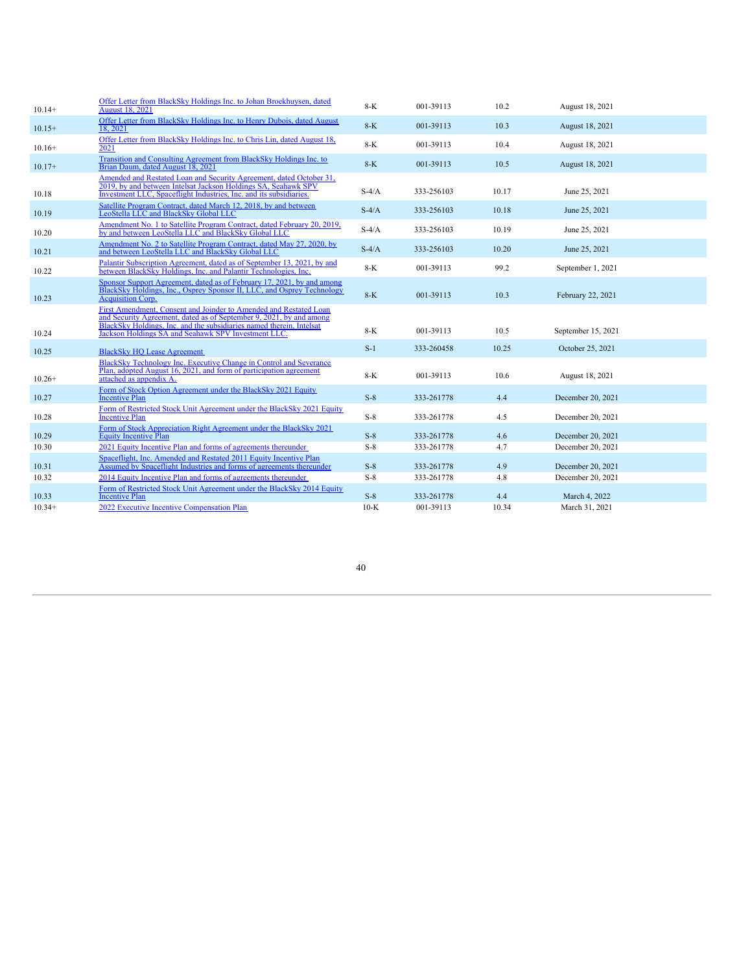| $10.14+$ | Offer Letter from BlackSky Holdings Inc. to Johan Broekhuysen, dated<br><b>August 18, 2021</b>                                                                                                                                                                          | $8-K$   | 001-39113  | 10.2  | August 18, 2021    |  |
|----------|-------------------------------------------------------------------------------------------------------------------------------------------------------------------------------------------------------------------------------------------------------------------------|---------|------------|-------|--------------------|--|
| $10.15+$ | Offer Letter from BlackSky Holdings Inc. to Henry Dubois, dated August<br>18.2021                                                                                                                                                                                       | $8-K$   | 001-39113  | 10.3  | August 18, 2021    |  |
| $10.16+$ | Offer Letter from BlackSky Holdings Inc. to Chris Lin, dated August 18,<br>2021                                                                                                                                                                                         | $8-K$   | 001-39113  | 10.4  | August 18, 2021    |  |
| $10.17+$ | Transition and Consulting Agreement from BlackSky Holdings Inc. to<br>Brian Daum, dated August 18, 2021                                                                                                                                                                 | $8-K$   | 001-39113  | 10.5  | August 18, 2021    |  |
| 10.18    | Amended and Restated Loan and Security Agreement, dated October 31.<br>2019, by and between Intelsat Jackson Holdings SA, Seahawk SPV<br>Investment LLC, Spaceflight Industries, Inc. and its subsidiaries.                                                             | $S-4/A$ | 333-256103 | 10.17 | June 25, 2021      |  |
| 10.19    | Satellite Program Contract, dated March 12, 2018, by and between<br>LeoStella LLC and BlackSky Global LLC                                                                                                                                                               | $S-4/A$ | 333-256103 | 10.18 | June 25, 2021      |  |
| 10.20    | Amendment No. 1 to Satellite Program Contract, dated February 20, 2019,<br>by and between LeoStella LLC and BlackSky Global LLC                                                                                                                                         | $S-4/A$ | 333-256103 | 10.19 | June 25, 2021      |  |
| 10.21    | Amendment No. 2 to Satellite Program Contract, dated May 27, 2020, by<br>and between LeoStella LLC and BlackSky Global LLC                                                                                                                                              | $S-4/A$ | 333-256103 | 10.20 | June 25, 2021      |  |
| 10.22    | Palantir Subscription Agreement, dated as of September 13, 2021, by and<br>between BlackSky Holdings, Inc. and Palantir Technologies, Inc.                                                                                                                              | $8-K$   | 001-39113  | 99.2  | September 1, 2021  |  |
| 10.23    | Sponsor Support Agreement, dated as of February 17, 2021, by and among<br>BlackSky Holdings, Inc., Osprey Sponsor II, LLC, and Osprey Technology<br><b>Acquisition Corp.</b>                                                                                            | $8-K$   | 001-39113  | 10.3  | February 22, 2021  |  |
| 10.24    | First Amendment, Consent and Joinder to Amended and Restated Loan<br>and Security Agreement, dated as of September 9, 2021, by and among<br>BlackSky Holdings, Inc. and the subsidiaries named therein, Intelsat<br>Jackson Holdings SA and Seahawk SPV Investment LLC. | 8-K     | 001-39113  | 10.5  | September 15, 2021 |  |
| 10.25    | <b>BlackSky HO Lease Agreement</b>                                                                                                                                                                                                                                      | $S-1$   | 333-260458 | 10.25 | October 25, 2021   |  |
| $10.26+$ | BlackSky Technology Inc. Executive Change in Control and Severance<br>Plan, adopted August 16, 2021, and form of participation agreement<br>attached as appendix A.                                                                                                     | $8-K$   | 001-39113  | 10.6  | August 18, 2021    |  |
| 10.27    | Form of Stock Option Agreement under the BlackSky 2021 Equity<br><b>Incentive Plan</b>                                                                                                                                                                                  | $S-8$   | 333-261778 | 4.4   | December 20, 2021  |  |
| 10.28    | Form of Restricted Stock Unit Agreement under the BlackSky 2021 Equity<br><b>Incentive Plan</b>                                                                                                                                                                         | $S-8$   | 333-261778 | 4.5   | December 20, 2021  |  |
| 10.29    | Form of Stock Appreciation Right Agreement under the BlackSky 2021<br><b>Equity Incentive Plan</b>                                                                                                                                                                      | $S-8$   | 333-261778 | 4.6   | December 20, 2021  |  |
| 10.30    | 2021 Equity Incentive Plan and forms of agreements thereunder                                                                                                                                                                                                           | $S-8$   | 333-261778 | 4.7   | December 20, 2021  |  |
| 10.31    | Spaceflight, Inc. Amended and Restated 2011 Equity Incentive Plan<br>Assumed by Spaceflight Industries and forms of agreements thereunder                                                                                                                               | $S-8$   | 333-261778 | 4.9   | December 20, 2021  |  |
| 10.32    | 2014 Equity Incentive Plan and forms of agreements thereunder                                                                                                                                                                                                           | $S-8$   | 333-261778 | 4.8   | December 20, 2021  |  |
| 10.33    | Form of Restricted Stock Unit Agreement under the BlackSky 2014 Equity<br><b>Incentive Plan</b>                                                                                                                                                                         | $S-8$   | 333-261778 | 4.4   | March 4, 2022      |  |
| $10.34+$ | 2022 Executive Incentive Compensation Plan                                                                                                                                                                                                                              | $10-K$  | 001-39113  | 10.34 | March 31, 2021     |  |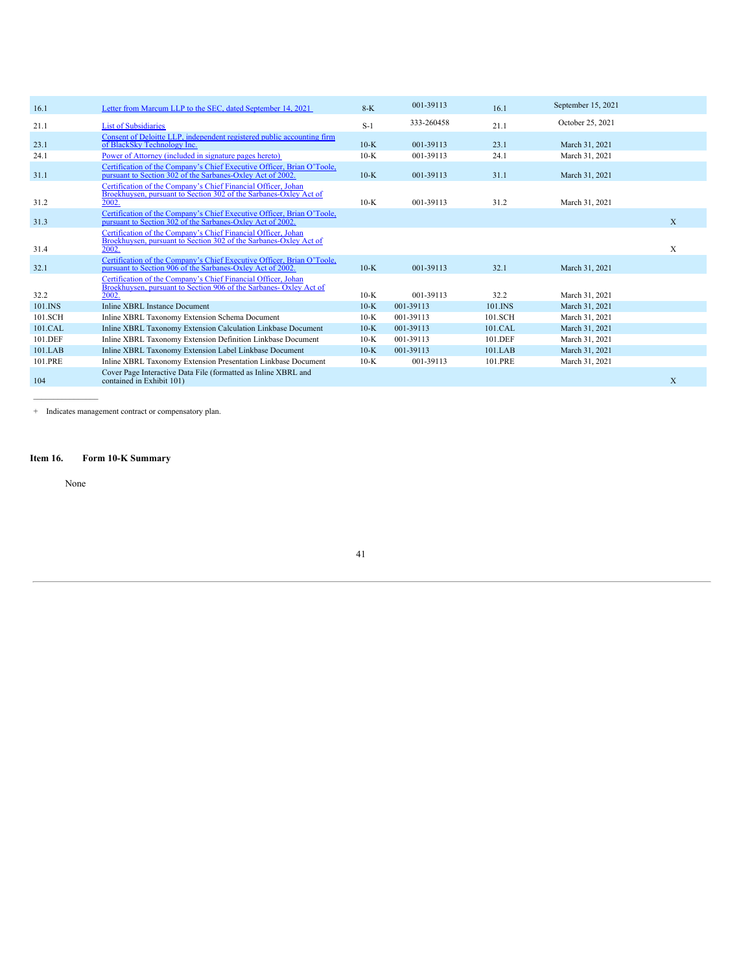| 16.1    | Letter from Marcum LLP to the SEC, dated September 14, 2021                                                                                  | $8-K$  | 001-39113  | 16.1    | September 15, 2021 |   |
|---------|----------------------------------------------------------------------------------------------------------------------------------------------|--------|------------|---------|--------------------|---|
| 21.1    | <b>List of Subsidiaries</b>                                                                                                                  | $S-1$  | 333-260458 | 21.1    | October 25, 2021   |   |
| 23.1    | Consent of Deloitte LLP, independent registered public accounting firm<br>of BlackSky Technology Inc.                                        | $10-K$ | 001-39113  | 23.1    | March 31, 2021     |   |
| 24.1    | Power of Attorney (included in signature pages hereto)                                                                                       | $10-K$ | 001-39113  | 24.1    | March 31, 2021     |   |
| 31.1    | Certification of the Company's Chief Executive Officer, Brian O'Toole,<br>pursuant to Section 302 of the Sarbanes-Oxley Act of 2002.         | $10-K$ | 001-39113  | 31.1    | March 31, 2021     |   |
| 31.2    | Certification of the Company's Chief Financial Officer, Johan<br>Broekhuysen, pursuant to Section 302 of the Sarbanes-Oxley Act of<br>2002.  | $10-K$ | 001-39113  | 31.2    | March 31, 2021     |   |
| 31.3    | Certification of the Company's Chief Executive Officer, Brian O'Toole,<br>pursuant to Section 302 of the Sarbanes-Oxley Act of 2002.         |        |            |         |                    | X |
| 31.4    | Certification of the Company's Chief Financial Officer, Johan<br>Broekhuysen, pursuant to Section 302 of the Sarbanes-Oxley Act of<br>2002.  |        |            |         |                    | X |
| 32.1    | Certification of the Company's Chief Executive Officer, Brian O'Toole,<br>pursuant to Section 906 of the Sarbanes-Oxley Act of 2002.         | $10-K$ | 001-39113  | 32.1    | March 31, 2021     |   |
| 32.2    | Certification of the Company's Chief Financial Officer, Johan<br>Broekhuysen, pursuant to Section 906 of the Sarbanes- Oxley Act of<br>2002. | $10-K$ | 001-39113  | 32.2    | March 31, 2021     |   |
| 101.INS | <b>Inline XBRL Instance Document</b>                                                                                                         | $10-K$ | 001-39113  | 101.INS | March 31, 2021     |   |
| 101.SCH | Inline XBRL Taxonomy Extension Schema Document                                                                                               | $10-K$ | 001-39113  | 101.SCH | March 31, 2021     |   |
| 101.CAL | Inline XBRL Taxonomy Extension Calculation Linkbase Document                                                                                 | $10-K$ | 001-39113  | 101.CAL | March 31, 2021     |   |
| 101.DEF | Inline XBRL Taxonomy Extension Definition Linkbase Document                                                                                  | $10-K$ | 001-39113  | 101.DEF | March 31, 2021     |   |
| 101.LAB | Inline XBRL Taxonomy Extension Label Linkbase Document                                                                                       | $10-K$ | 001-39113  | 101.LAB | March 31, 2021     |   |
| 101.PRE | Inline XBRL Taxonomy Extension Presentation Linkbase Document                                                                                | $10-K$ | 001-39113  | 101.PRE | March 31, 2021     |   |
| 104     | Cover Page Interactive Data File (formatted as Inline XBRL and<br>contained in Exhibit 101)                                                  |        |            |         |                    | X |

+ Indicates management contract or compensatory plan.

# **Item 16. Form 10-K Summary**

None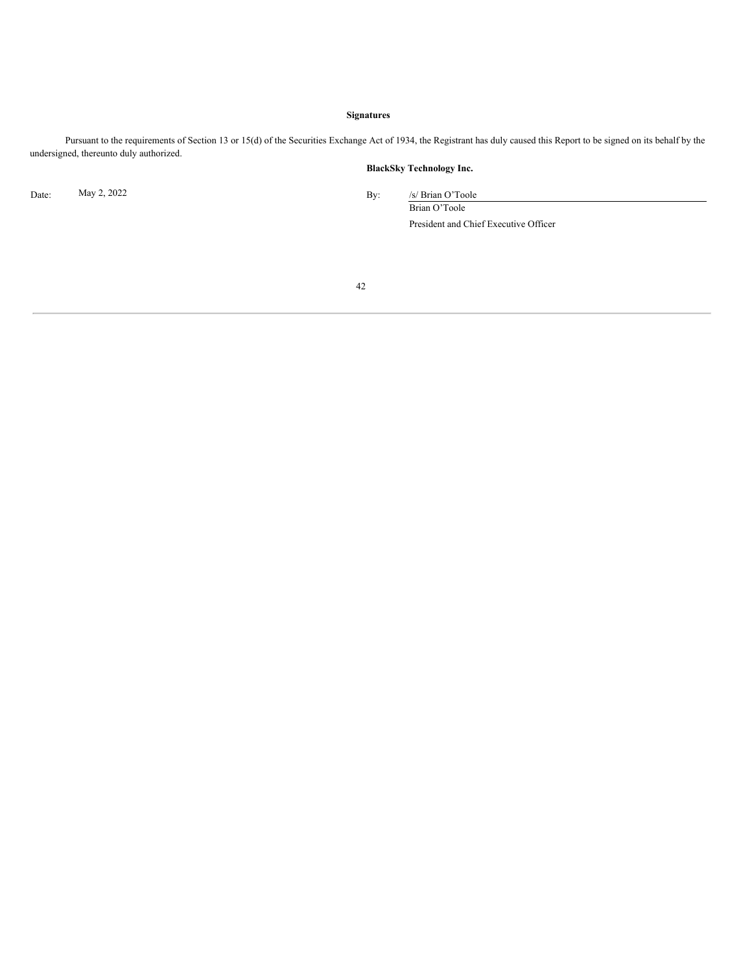# **Signatures**

Pursuant to the requirements of Section 13 or 15(d) of the Securities Exchange Act of 1934, the Registrant has duly caused this Report to be signed on its behalf by the undersigned, thereunto duly authorized.

# **BlackSky Technology Inc.**

<span id="page-41-0"></span>

Date: May 2, 2022 By: /s/ Brian O'Toole Brian O'Toole

President and Chief Executive Officer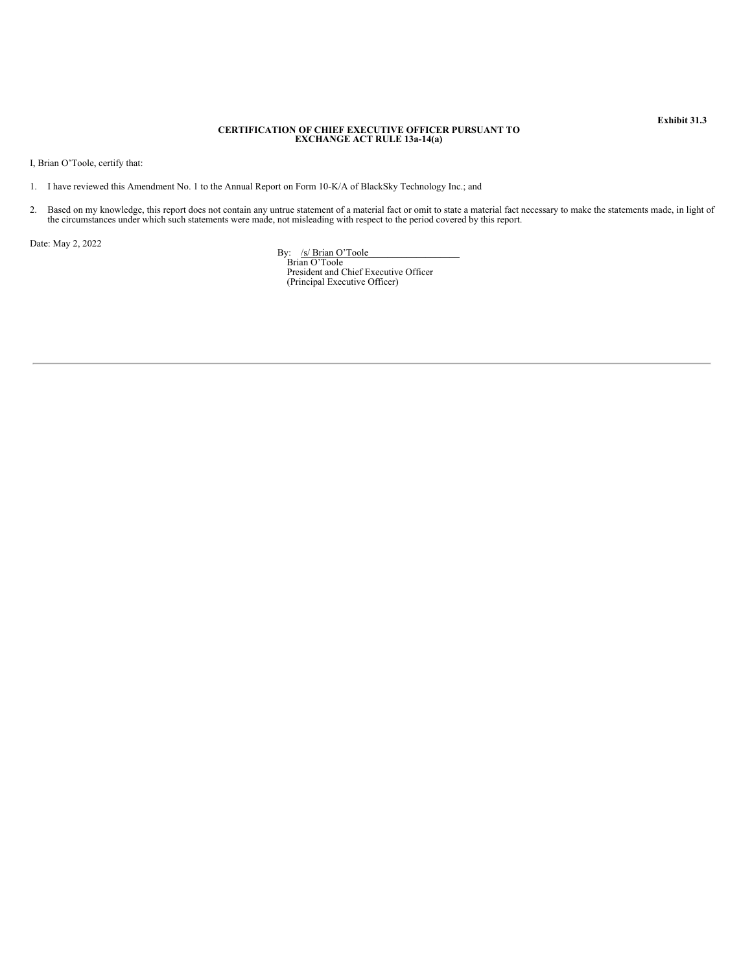# **CERTIFICATION OF CHIEF EXECUTIVE OFFICER PURSUANT TO EXCHANGE ACT RULE 13a-14(a)**

I, Brian O'Toole, certify that:

- 1. I have reviewed this Amendment No. 1 to the Annual Report on Form 10-K/A of BlackSky Technology Inc.; and
- 2. Based on my knowledge, this report does not contain any untrue statement of a material fact or omit to state a material fact necessary to make the statements made, in light of the circumstances under which such statemen

<span id="page-42-0"></span>Date: May 2, 2022

By: /s/ Brian O'Toole\_\_\_\_\_\_\_\_\_\_\_\_\_\_\_\_\_\_\_ Brian O'Toole President and Chief Executive Officer (Principal Executive Officer)

**Exhibit 31.3**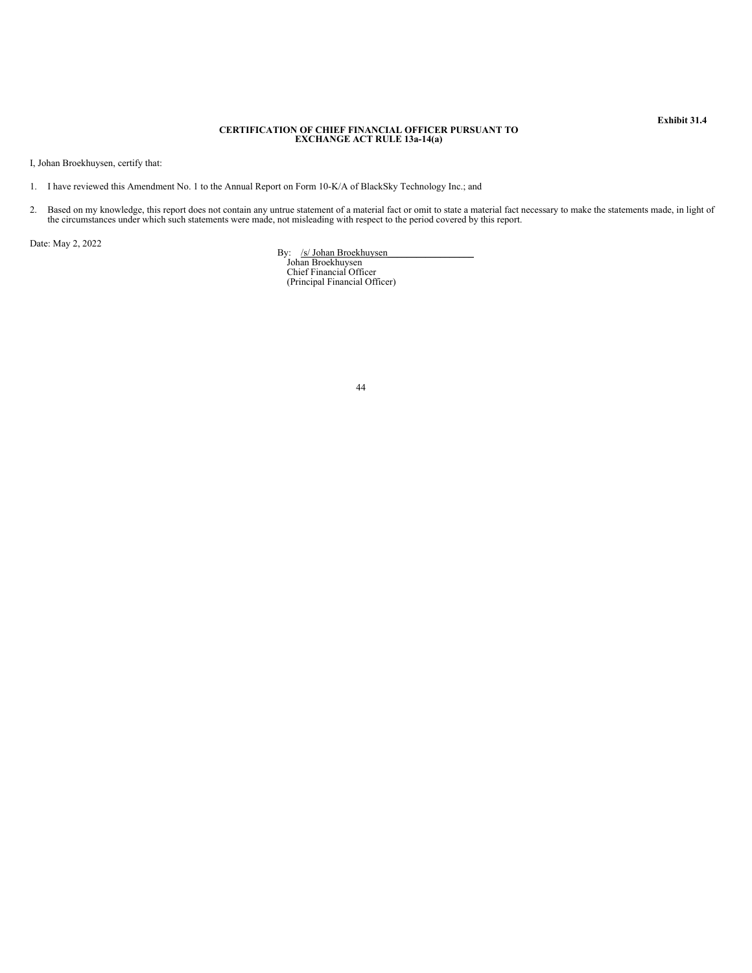# **CERTIFICATION OF CHIEF FINANCIAL OFFICER PURSUANT TO EXCHANGE ACT RULE 13a-14(a)**

I, Johan Broekhuysen, certify that:

- 1. I have reviewed this Amendment No. 1 to the Annual Report on Form 10-K/A of BlackSky Technology Inc.; and
- 2. Based on my knowledge, this report does not contain any untrue statement of a material fact or omit to state a material fact necessary to make the statements made, in light of the circumstances under which such statemen

Date: May 2, 2022

By: /s/ Johan Broekhuysen<br>Johan Broekhuysen

Chief Financial Officer (Principal Financial Officer)

**Exhibit 31.4**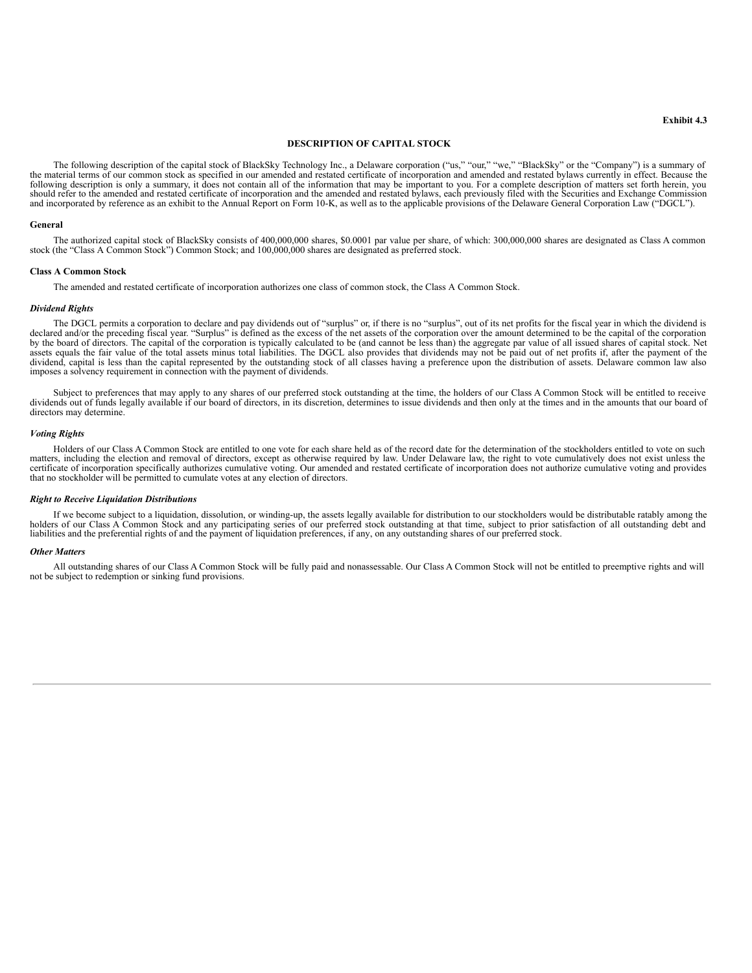# **DESCRIPTION OF CAPITAL STOCK**

The following description of the capital stock of BlackSky Technology Inc., a Delaware corporation ("us," "our," "we," "BlackSky" or the "Company") is a summary of the material terms of our common stock as specified in our amended and restated certificate of incorporation and amended and restated bylaws currently in effect. Because the following description is only a summary, it does not contain all of the information that may be important to you. For a complete description of matters set forth herein, you should refer to the amended and restated certificate of incorporation and the amended and restated bylaws, each previously filed with the Securities and Exchange Commission and incorporated by reference as an exhibit to the Annual Report on Form 10-K, as well as to the applicable provisions of the Delaware General Corporation Law ("DGCL").

#### **General**

The authorized capital stock of BlackSky consists of 400,000,000 shares, \$0.0001 par value per share, of which: 300,000,000 shares are designated as Class A common stock (the "Class A Common Stock") Common Stock; and 100,000,000 shares are designated as preferred stock.

#### **Class A Common Stock**

The amended and restated certificate of incorporation authorizes one class of common stock, the Class A Common Stock.

#### *Dividend Rights*

The DGCL permits a corporation to declare and pay dividends out of "surplus" or, if there is no "surplus", out of its net profits for the fiscal year in which the dividend is declared and/or the preceding fiscal year. "Surplus" is defined as the excess of the net assets of the corporation over the amount determined to be the capital of the corporation by the board of directors. The capital of the corporation is typically calculated to be (and cannot be less than) the aggregate par value of all issued shares of capital stock. Net assets equals the fair value of the total assets minus total liabilities. The DGCL also provides that dividends may not be paid out of net profits if, after the payment of the dividend, capital is less than the capital represented by the outstanding stock of all classes having a preference upon the distribution of assets. Delaware common law also imposes a solvency requirement in connection with the payment of dividends.

Subject to preferences that may apply to any shares of our preferred stock outstanding at the time, the holders of our Class A Common Stock will be entitled to receive<br>dividends out of funds legally available if our board directors may determine.

#### *Voting Rights*

Holders of our Class A Common Stock are entitled to one vote for each share held as of the record date for the determination of the stockholders entitled to vote on such matters, including the election and removal of directors, except as otherwise required by law. Under Delaware law, the right to vote cumulatively does not exist unless the certificate of incorporation specifically authorizes cumulative voting. Our amended and restated certificate of incorporation does not authorize cumulative voting and provides that no stockholder will be permitted to cumulate votes at any election of directors.

# *Right to Receive Liquidation Distributions*

If we become subject to a liquidation, dissolution, or winding-up, the assets legally available for distribution to our stockholders would be distributable ratably among the holders of our Class A Common Stock and any participating series of our preferred stock outstanding at that time, subject to prior satisfaction of all outstanding debt and liabilities and the preferential rights of and the payment of liquidation preferences, if any, on any outstanding shares of our preferred stock.

#### *Other Matters*

All outstanding shares of our Class A Common Stock will be fully paid and nonassessable. Our Class A Common Stock will not be entitled to preemptive rights and will not be subject to redemption or sinking fund provisions.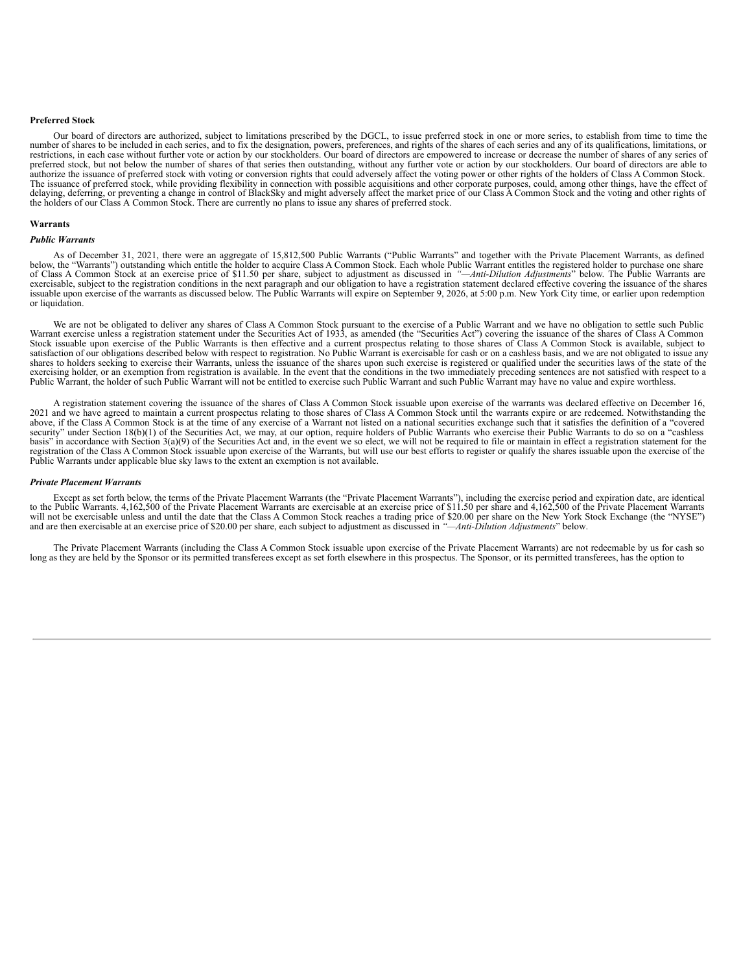# **Preferred Stock**

Our board of directors are authorized, subject to limitations prescribed by the DGCL, to issue preferred stock in one or more series, to establish from time to time the number of shares to be included in each series, and to fix the designation, powers, preferences, and rights of the shares of each series and any of its qualifications, limitations, or restrictions, in each case without further vote or action by our stockholders. Our board of directors are empowered to increase or decrease the number of shares of any series of preferred stock, but not below the number of shares of that series then outstanding, without any further vote or action by our stockholders. Our board of directors are able to authorize the issuance of preferred stock with The issuance of preferred stock, while providing flexibility in connection with possible acquisitions and other corporate purposes, could, among other things, have the effect of delaying, deferring, or preventing a change in control of BlackSky and might adversely affect the market price of our Class A Common Stock and the voting and other rights of the holders of our Class A Common Stock. There are currently no plans to issue any shares of preferred stock.

#### **Warrants**

#### *Public Warrants*

As of December 31, 2021, there were an aggregate of 15,812,500 Public Warrants ("Public Warrants" and together with the Private Placement Warrants, as defined below, the "Warrants") outstanding which entitle the holder to acquire Class A Common Stock. Each whole Public Warrant entitles the registered holder to purchase one share of Class A Common Stock at an exercise price of \$11.50 per share, subject to adjustment as discussed in *"—Anti-Dilution Adjustments*" below. The Public Warrants are exercisable, subject to the registration conditions in the next paragraph and our obligation to have a registration statement declared effective covering the issuance of the shares issuable upon exercise of the warrants as discussed below. The Public Warrants will expire on September 9, 2026, at 5:00 p.m. New York City time, or earlier upon redemption or liquidation.

We are not be obligated to deliver any shares of Class A Common Stock pursuant to the exercise of a Public Warrant and we have no obligation to settle such Public Warrant exercise unless a registration statement under the Stock issuable upon exercise of the Public Warrants is then effective and a current prospectus relating to those shares of Class A Common Stock is available, subject to satisfaction of our obligations described below with respect to registration. No Public Warrant is exercisable for cash or on a cashless basis, and we are not obligated to issue any shares to holders seeking to exercise their Warrants, unless the issuance of the shares upon such exercise is registered or qualified under the securities laws of the state of the exercising holder, or an exemption from registration is available. In the event that the conditions in the two immediately preceding sentences are not satisfied with respect to a<br>Public Warrant, the holder of such Public W

A registration statement covering the issuance of the shares of Class A Common Stock issuable upon exercise of the warrants was declared effective on December 16, 2021 and we have agreed to maintain a current prospectus relating to those shares of Class A Common Stock until the warrants expire or are redeemed. Notwithstanding the above, if the Class A Common Stock is at the time of security" under Section 18(b)(1) of the Securities Act, we may, at our option, require holders of Public Warrants who exercise their Public Warrants to do so on a "cashless" basis" in accordance with Section 3(a)(9) of the Securities Act and, in the event we so elect, we will not be required to file or maintain in effect a registration statement for the registration of the Class A Common Stock issuable upon exercise of the Warrants, but will use our best efforts to register or qualify the shares issuable upon the exercise of the Public Warrants under applicable blue sky laws to the extent an exemption is not available.

#### *Private Placement Warrants*

Except as set forth below, the terms of the Private Placement Warrants (the "Private Placement Warrants"), including the exercise period and expiration date, are identical<br>to the Public Warrants. 4,162,500 of the Private P and are then exercisable at an exercise price of \$20.00 per share, each subject to adjustment as discussed in *"—Anti-Dilution Adjustments*" below.

The Private Placement Warrants (including the Class A Common Stock issuable upon exercise of the Private Placement Warrants) are not redeemable by us for cash so long as they are held by the Sponsor or its permitted transferees except as set forth elsewhere in this prospectus. The Sponsor, or its permitted transferees, has the option to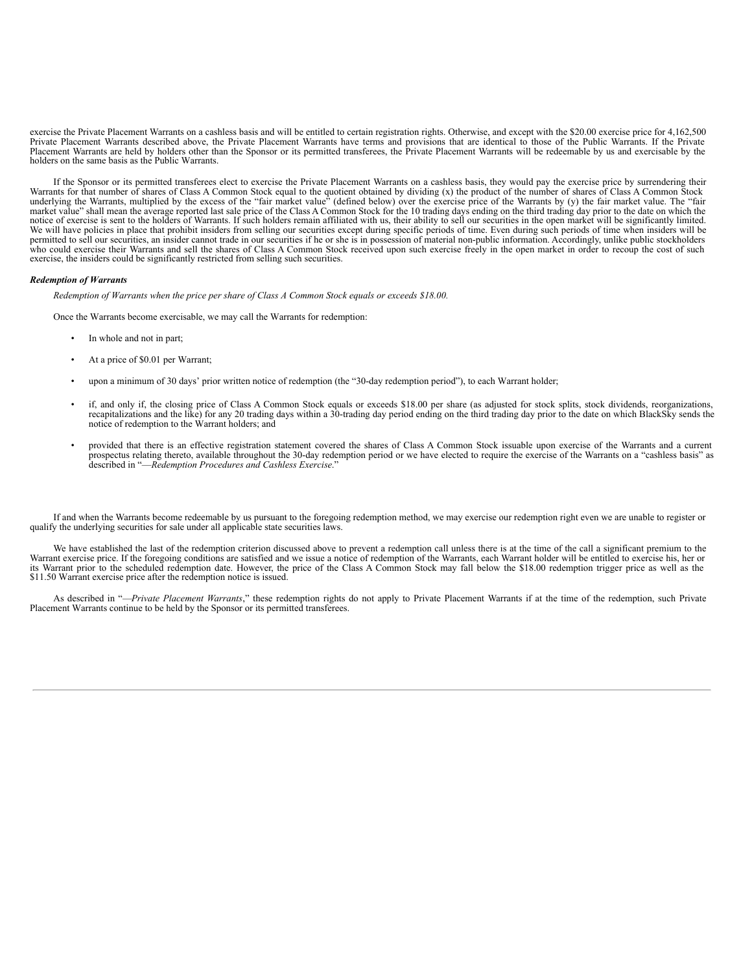exercise the Private Placement Warrants on a cashless basis and will be entitled to certain registration rights. Otherwise, and except with the \$20.00 exercise price for 4,162,500 Private Placement Warrants described above, the Private Placement Warrants have terms and provisions that are identical to those of the Public Warrants. If the Private Placement Warrants are held by holders other than the Sponsor or its permitted transferees, the Private Placement Warrants will be redeemable by us and exercisable by the holders on the same basis as the Public Warrants.

If the Sponsor or its permitted transferees elect to exercise the Private Placement Warrants on a cashless basis, they would pay the exercise price by surrendering their<br>Warrants for that number of shares of Class A Common notice of exercise is sent to the holders of Warrants. If such holders remain affiliated with us, their ability to sell our securities in the open market will be significantly limited.<br>We will have policies in place that p permitted to sell our securities, an insider cannot trade in our securities if he or she is in possession of material non-public information. Accordingly, unlike public stockholders who could exercise their Warrants and sell the shares of Class A Common Stock received upon such exercise freely in the open market in order to recoup the cost of such exercise, the insiders could be significantly restricted from selling such securities.

#### *Redemption of Warrants*

*Redemption of Warrants when the price per share of Class A Common Stock equals or exceeds \$18.00.*

Once the Warrants become exercisable, we may call the Warrants for redemption:

- In whole and not in part;
- At a price of \$0.01 per Warrant;
- upon a minimum of 30 days' prior written notice of redemption (the "30-day redemption period"), to each Warrant holder;
- If, and only if, the closing price of Class A Common Stock equals or exceeds \$18.00 per share (as adjusted for stock splits, stock dividends, reorganizations, recapitalizations and the like) for any 20 trading days within notice of redemption to the Warrant holders; and
- provided that there is an effective registration statement covered the shares of Class A Common Stock issuable upon exercise of the Warrants and a current prospectus relating thereto, available throughout the 30-day rede described in "—*Redemption Procedures and Cashless Exercise*."

If and when the Warrants become redeemable by us pursuant to the foregoing redemption method, we may exercise our redemption right even we are unable to register or qualify the underlying securities for sale under all applicable state securities laws.

We have established the last of the redemption criterion discussed above to prevent a redemption call unless there is at the time of the call a significant premium to the Warrant exercise price. If the foregoing conditions its Warrant prior to the scheduled redemption date. However, the price of the Class A Common Stock may fall below the \$18.00 redemption trigger price as well as the \$11.50 Warrant exercise price after the redemption notice is issued.

As described in "—*Private Placement Warrants*," these redemption rights do not apply to Private Placement Warrants if at the time of the redemption, such Private Placement Warrants continue to be held by the Sponsor or its permitted transferees.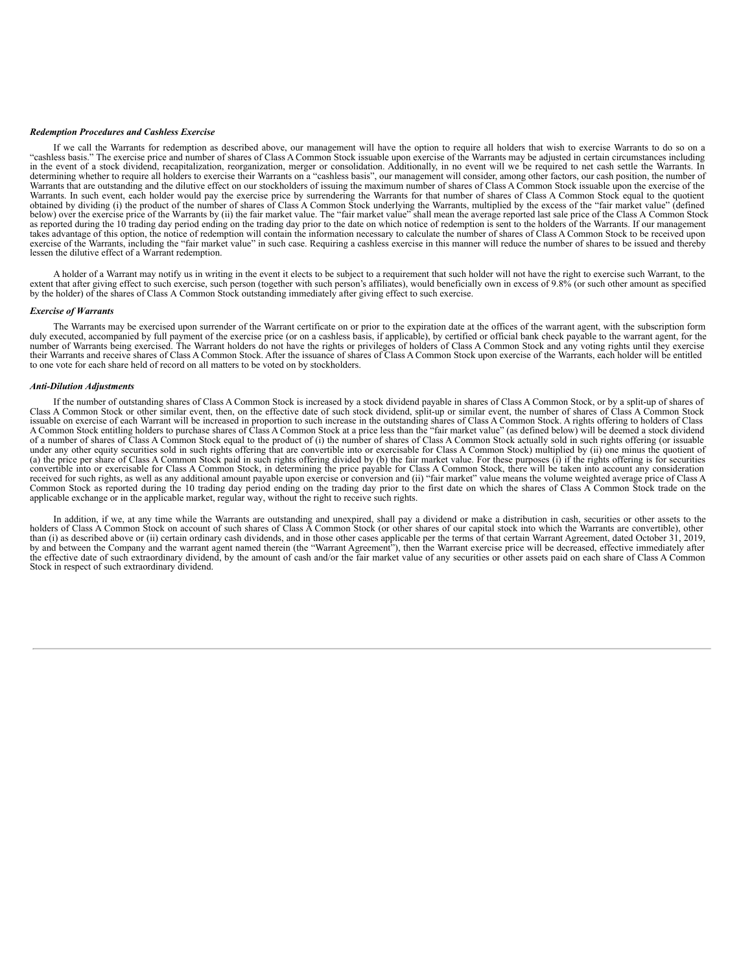#### *Redemption Procedures and Cashless Exercise*

If we call the Warrants for redemption as described above, our management will have the option to require all holders that wish to exercise Warrants to do so on a "cashless basis." The exercise price and number of shares of Class A Common Stock issuable upon exercise of the Warrants may be adjusted in certain circumstances including<br>in the event of a stock dividend, recapitalization determining whether to require all holders to exercise their Warrants on a "cashless basis", our management will consider, among other factors, our cash position, the number of determining whether to require all holders to Warrants that are outstanding and the dilutive effect on our stockholders of issuing the maximum number of shares of Class A Common Stock issuable upon the exercise of the<br>Warrants. In such event, each holder would pay the as reported during the 10 trading day period ending on the trading day prior to the date on which notice of redemption is sent to the holders of the Warrants. If our management takes advantage of this option, the notice of redemption will contain the information necessary to calculate the number of shares of Class A Common Stock to be received upon exercise of the Warrants, including the "fair market value" in such case. Requiring a cashless exercise in this manner will reduce the number of shares to be issued and thereby lessen the dilutive effect of a Warrant redemption.

A holder of a Warrant may notify us in writing in the event it elects to be subject to a requirement that such holder will not have the right to exercise such Warrant, to the extent that after giving effect to such exercise, such person (together with such person's affiliates), would beneficially own in excess of 9.8% (or such other amount as specified by the holder) of the shares of Class A Common Stock outstanding immediately after giving effect to such exercise.

#### *Exercise of Warrants*

The Warrants may be exercised upon surrender of the Warrant certificate on or prior to the expiration date at the offices of the warrant agent, with the subscription form duly executed, accompanied by full payment of the exercise price (or on a cashless basis, if applicable), by certified or official bank check payable to the warrant agent, for the number of Warrants being exercised. The Warrant holders do not have the rights or privileges of holders of Class A Common Stock and any voting rights until they exercise<br>their Warrants and receive shares of Class A Common to one vote for each share held of record on all matters to be voted on by stockholders.

#### *Anti-Dilution Adjustments*

If the number of outstanding shares of Class A Common Stock is increased by a stock dividend payable in shares of Class A Common Stock, or by a split-up of shares of Class A Common Stock or other similar event, then, on the effective date of such stock dividend, split-up or similar event, the number of shares of Class A Common Stock issuable on exercise of each Warrant will be increased in proportion to such increase in the outstanding shares of Class A Common Stock. A rights offering to holders of Class A Common Stock entitling holders to purchase shares of Class A Common Stock at a price less than the "fair market value" (as defined below) will be deemed a stock dividend of a number of shares of Class A Common Stock equal to the product of (i) the number of shares of Class A Common Stock actually sold in such rights offering (or issuable under any other equity securities sold in such rights offering that are convertible into or exercisable for Class A Common Stock) multiplied by (ii) one minus the quotient of (a) the price per share of Class A Common Stock paid in such rights offering divided by (b) the fair market value. For these purposes (i) if the rights offering is for securities convertible into or exercisable for Class A Common Stock, in determining the price payable for Class A Common Stock, there will be taken into account any consideration received for such rights, as well as any additional am Common Stock as reported during the 10 trading day period ending on the trading day prior to the first date on which the shares of Class A Common Stock trade on the applicable exchange or in the applicable market, regular way, without the right to receive such rights.

In addition, if we, at any time while the Warrants are outstanding and unexpired, shall pay a dividend or make a distribution in cash, securities or other assets to the holders of Class A Common Stock on account of such sh than (i) as described above or (ii) certain ordinary cash dividends, and in those other cases applicable per the terms of that certain Warrant Agreement, dated October 31, 2019, by and between the Company and the warrant a the effective date of such extraordinary dividend, by the amount of cash and/or the fair market value of any securities or other assets paid on each share of Class A Common Stock in respect of such extraordinary dividend.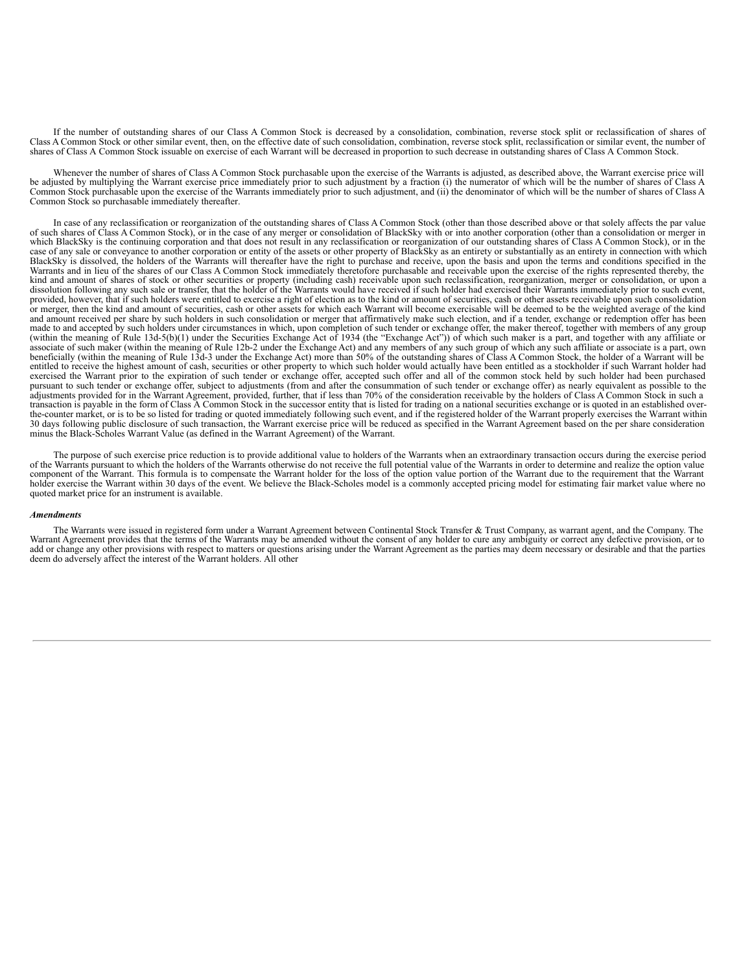<span id="page-48-0"></span>If the number of outstanding shares of our Class A Common Stock is decreased by a consolidation, combination, reverse stock split or reclassification of shares of Class A Common Stock or other similar event, then, on the effective date of such consolidation, combination, reverse stock split, reclassification or similar event, the number of shares of Class A Common Stock issuable on exercise of each Warrant will be decreased in proportion to such decrease in outstanding shares of Class A Common Stock.

Whenever the number of shares of Class A Common Stock purchasable upon the exercise of the Warrants is adjusted, as described above, the Warrant exercise price will<br>be adjusted by multiplying the Warrant exercise price imm Common Stock purchasable upon the exercise of the Warrants immediately prior to such adjustment, and (ii) the denominator of which will be the number of shares of Class A Common Stock so purchasable immediately thereafter.

In case of any reclassification or reorganization of the outstanding shares of Class A Common Stock (other than those described above or that solely affects the par value of such shares of Class A Common Stock), or in the case of any merger or consolidation of BlackSky with or into another corporation (other than a consolidation or merger in which BlackSky is the continuing corporation and that does not result in any reclassification or reorganization of our outstanding shares of Class A Common Stock), or in the case of any sale or conveyance to another corpor BlackSky is dissolved, the holders of the Warrants will thereafter have the right to purchase and receive, upon the basis and upon the terms and conditions specified in the Warrants and in lieu of the shares of our Class A kind and amount of shares of stock or other securities or property (including cash) receivable upon such reclassification, reorganization, merger or consolidation, or upon a dissolution following any such sale or transfer, provided, however, that if such holders were entitled to exercise a right of election as to the kind or amount of securities, cash or other assets receivable upon such consolidation or merger, then the kind and amount of securities, cash or other assets for which each Warrant will become exercisable will be deemed to be the weighted average of the kind and amount received per share by such holders in such consolidation or merger that affirmatively make such election, and if a tender, exchange or redemption offer has been made to and accepted by such holders under circumstances in which, upon completion of such tender or exchange offer, the maker thereof, together with members of any group (within the meaning of Rule 13d-5(b)(1) under the Securities Exchange Act of 1934 (the "Exchange Act")) of which such maker is a part, and together with any affiliate or associate of such maker (within the meaning of Rule 12b-2 under the Exchange Act) and any members of any such group of which any such affiliate or associate is a part, own beneficially (within the meaning of Rule 13d-3 under the Exchange Act) more than 50% of the outstanding shares of Class A Common Stock, the holder of a Warrant will be entitled to receive the highest amount of cash, securities or other property to which such holder would actually have been entitled as a stockholder if such Warrant holder had exercised the Warrant prior to the expiration of such tender or exchange offer, accepted such offer and all of the common stock held by such holder had been purchased pursuant to such tender or exchange offer, subject to adjustments (from and after the consummation of such tender or exchange offer) as nearly equivalent as possible to the adjustments provided for in the Warrant Agreement, provided, further, that if less than 70% of the consideration receivable by the holders of Class A Common Stock in such a transaction is payable in the form of Class A Common Stock in the successor entity that is listed for trading on a national securities exchange or is quoted in an established overthe-counter market, or is to be so listed for trading or quoted immediately following such event, and if the registered holder of the Warrant properly exercises the Warrant within 30 days following public disclosure of such transaction, the Warrant exercise price will be reduced as specified in the Warrant Agreement based on the per share consideration minus the Black-Scholes Warrant Value (as defin

The purpose of such exercise price reduction is to provide additional value to holders of the Warrants when an extraordinary transaction occurs during the exercise period of the Warrants pursuant to which the holders of the Warrants otherwise do not receive the full potential value of the Warrants in order to determine and realize the option value<br>component of the Warrant. This formula is t quoted market price for an instrument is available.

#### *Amendments*

The Warrants were issued in registered form under a Warrant Agreement between Continental Stock Transfer & Trust Company, as warrant agent, and the Company. The Warrant Agreement provides that the terms of the Warrants may be amended without the consent of any holder to cure any ambiguity or correct any defective provision, or to add or change any other provisions with respect to matters or questions arising under the Warrant Agreement as the parties may deem necessary or desirable and that the parties deem do adversely affect the interest of the Warrant holders. All other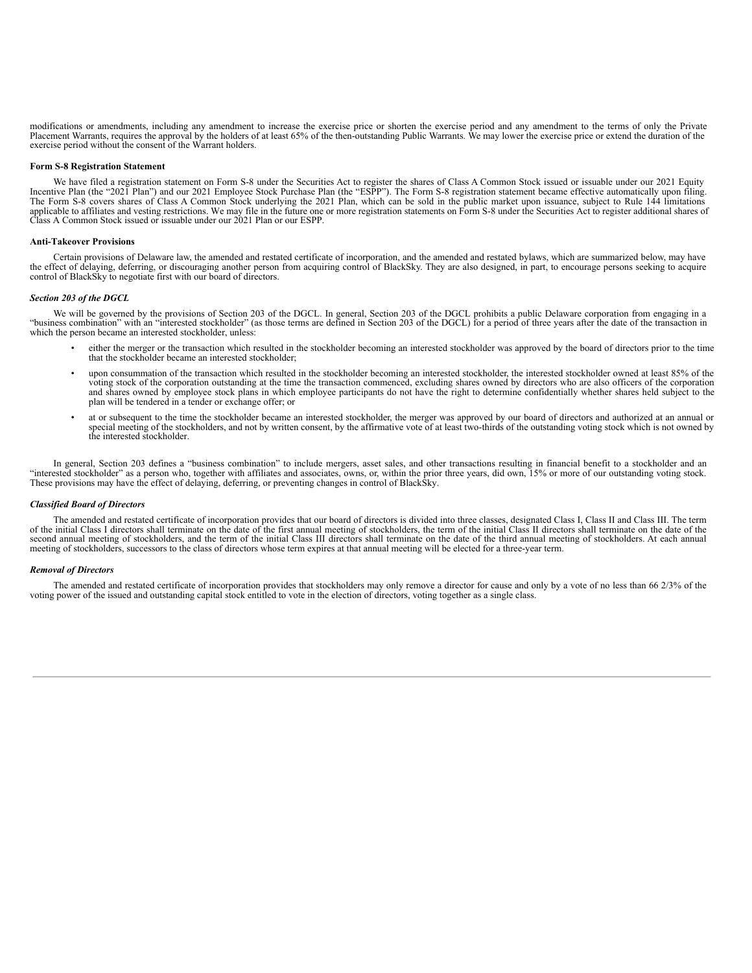modifications or amendments, including any amendment to increase the exercise price or shorten the exercise period and any amendment to the terms of only the Private Placement Warrants, requires the approval by the holders of at least 65% of the then-outstanding Public Warrants. We may lower the exercise price or extend the duration of the exercise period without the consent of the Warrant holders.

#### **Form S-8 Registration Statement**

We have filed a registration statement on Form S-8 under the Securities Act to register the shares of Class A Common Stock issued or issuable under our 2021 Equity Incentive Plan (the "2021 Plan") and our 2021 Employee Stock Purchase Plan (the "ESPP"). The Form S-8 registration statement became effective automatically upon filing.<br>The Form S-8 covers shares of Class A Common Stock un Class A Common Stock issued or issuable under our 2021 Plan or our ESPP.

#### **Anti-Takeover Provisions**

Certain provisions of Delaware law, the amended and restated certificate of incorporation, and the amended and restated bylaws, which are summarized below, may have the effect of delaying, deferring, or discouraging another person from acquiring control of BlackSky. They are also designed, in part, to encourage persons seeking to acquire control of BlackSky to negotiate first with our board of directors.

# *Section 203 of the DGCL*

We will be governed by the provisions of Section 203 of the DGCL. In general, Section 203 of the DGCL prohibits a public Delaware corporation from engaging in a "business combination" with an "interested stockholder" (as those terms are defined in Section 203 of the DGCL) for a period of three years after the date of the transaction in which the person became an interested stockholder, unless:

- either the merger or the transaction which resulted in the stockholder becoming an interested stockholder was approved by the board of directors prior to the time that the stockholder became an interested stockholder;
- upon consummation of the transaction which resulted in the stockholder becoming an interested stockholder, the interested stockholder owned at least 85% of the voting stock of the corporation outstanding at the time the transaction commenced, excluding shares owned by directors who are also officers of the corporation and shares owned by employee stock plans in which employee participants do not have the right to determine confidentially whether shares held subject to the plan will be tendered in a tender or exchange offer; or
- at or subsequent to the time the stockholder became an interested stockholder, the merger was approved by our board of directors and authorized at an annual or special meeting of the stockholders, and not by written consent, by the affirmative vote of at least two-thirds of the outstanding voting stock which is not owned by the interested stockholder.

In general, Section 203 defines a "business combination" to include mergers, asset sales, and other transactions resulting in financial benefit to a stockholder and an "interested stockholder" as a person who, together with affiliates and associates, owns, or, within the prior three years, did own, 15% or more of our outstanding voting stock. These provisions may have the effect of delaying, deferring, or preventing changes in control of BlackSky.

#### *Classified Board of Directors*

The amended and restated certificate of incorporation provides that our board of directors is divided into three classes, designated Class I, Class II and Class III. The term of the initial Class I directors shall terminate on the date of the first annual meeting of stockholders, the term of the initial Class II directors shall terminate on the date of the second annual meeting of stockholders, and the term of the initial Class III directors shall terminate on the date of the third annual meeting of stockholders. At each annual meeting of stockholders, successors to the class of directors whose term expires at that annual meeting will be elected for a three-year term.

#### *Removal of Directors*

The amended and restated certificate of incorporation provides that stockholders may only remove a director for cause and only by a vote of no less than 66 2/3% of the voting power of the issued and outstanding capital stock entitled to vote in the election of directors, voting together as a single class.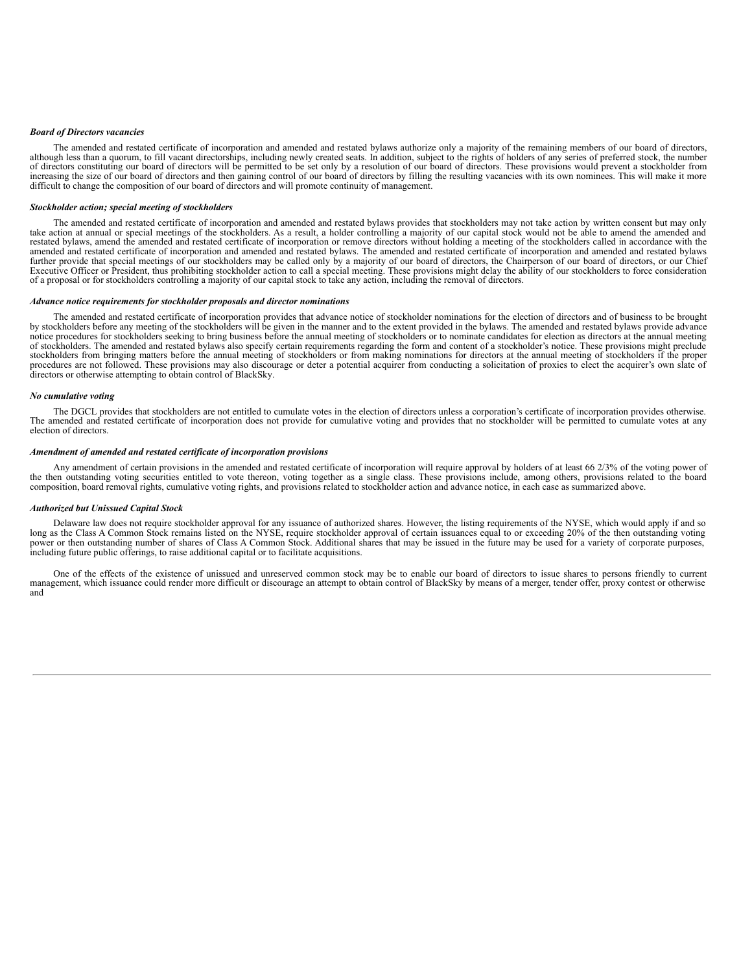#### *Board of Directors vacancies*

The amended and restated certificate of incorporation and amended and restated bylaws authorize only a majority of the remaining members of our board of directors, although less than a quorum, to fill vacant directorships, including newly created seats. In addition, subject to the rights of holders of any series of preferred stock, the number of directors constituting our board of di increasing the size of our board of directors and then gaining control of our board of directors by filling the resulting vacancies with its own nominees. This will make it more difficult to change the composition of our board of directors and will promote continuity of management.

#### *Stockholder action; special meeting of stockholders*

The amended and restated certificate of incorporation and amended and restated bylaws provides that stockholders may not take action by written consent but may only take action at annual or special meetings of the stockholders. As a result, a holder controlling a majority of our capital stock would not be able to amend the amended and restated bylaws, amend the amended and restated certificate of incorporation or remove directors without holding a meeting of the stockholders called in accordance with the amended and restated certificate of incorporation and amended and restated bylaws. The amended and restated certificate of incorporation and amended and restated bylaws further provide that special meetings of our stockholders may be called only by a majority of our board of directors, the Chairperson of our board of directors, or our Chief Executive Officer or President, thus prohibiting of a proposal or for stockholders controlling a majority of our capital stock to take any action, including the removal of directors.

### *Advance notice requirements for stockholder proposals and director nominations*

The amended and restated certificate of incorporation provides that advance notice of stockholder nominations for the election of directors and of business to be brought<br>by stockholders before any meeting of the stockholde notice procedures for stockholders seeking to bring business before the annual meeting of stockholders or to nominate candidates for election as directors at the annual meeting of stockholders. The amended and restated bylaws also specify certain requirements regarding the form and content of a stockholder's notice. These provisions might preclude stockholders from bringing matters before the annual meeting of stockholders or from making nominations for directors at the annual meeting of stockholders if the proper procedures are not followed. These provisions may also discourage or deter a potential acquirer from conducting a solicitation of proxies to elect the acquirer's own slate of directors or otherwise attempting to obtain control of BlackSky.

#### *No cumulative voting*

The DGCL provides that stockholders are not entitled to cumulate votes in the election of directors unless a corporation's certificate of incorporation provides otherwise. The amended and restated certificate of incorporation does not provide for cumulative voting and provides that no stockholder will be permitted to cumulate votes at any election of directors.

#### *Amendment of amended and restated certificate of incorporation provisions*

Any amendment of certain provisions in the amended and restated certificate of incorporation will require approval by holders of at least 66 2/3% of the voting power of the then outstanding voting securities entitled to vote thereon, voting together as a single class. These provisions include, among others, provisions related to the board composition, board removal rights, cumulative voting rights, and provisions related to stockholder action and advance notice, in each case as summarized above.

#### *Authorized but Unissued Capital Stock*

Delaware law does not require stockholder approval for any issuance of authorized shares. However, the listing requirements of the NYSE, which would apply if and so long as the Class A Common Stock remains listed on the NY including future public offerings, to raise additional capital or to facilitate acquisitions.

One of the effects of the existence of unissued and unreserved common stock may be to enable our board of directors to issue shares to persons friendly to current management, which issuance could render more difficult or discourage an attempt to obtain control of BlackSky by means of a merger, tender offer, proxy contest or otherwise and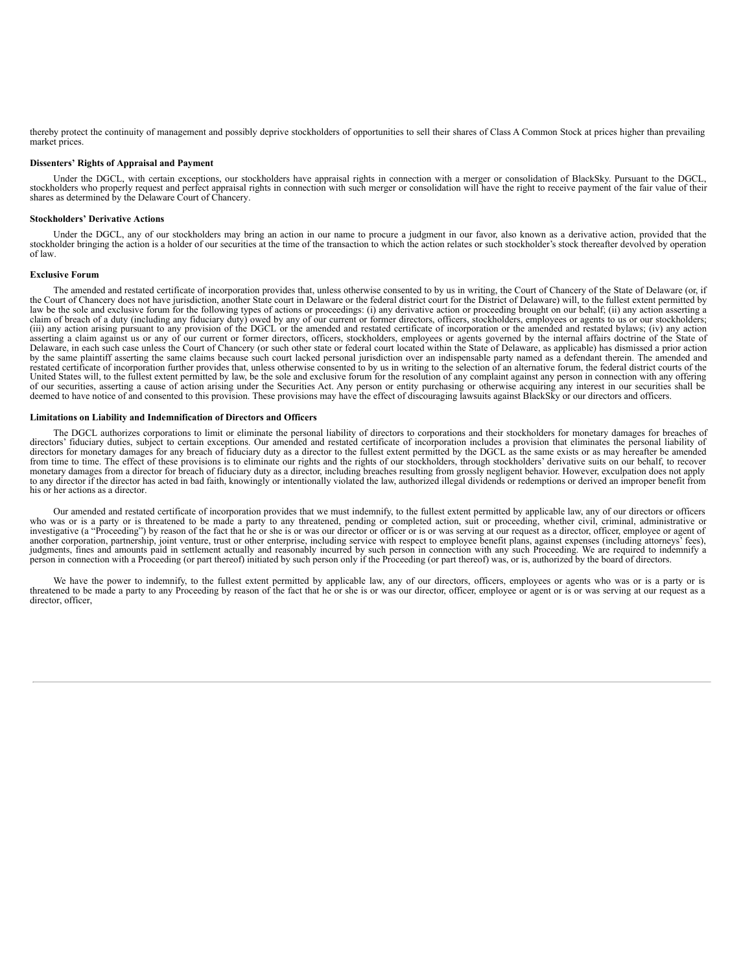thereby protect the continuity of management and possibly deprive stockholders of opportunities to sell their shares of Class A Common Stock at prices higher than prevailing market prices.

### **Dissenters' Rights of Appraisal and Payment**

Under the DGCL, with certain exceptions, our stockholders have appraisal rights in connection with a merger or consolidation of BlackSky. Pursuant to the DGCL, stockholders who properly request and perfect appraisal rights in connection with such merger or consolidation will have the right to receive payment of the fair value of their<br>shares as determined by the Delaware Court of

#### **Stockholders' Derivative Actions**

Under the DGCL, any of our stockholders may bring an action in our name to procure a judgment in our favor, also known as a derivative action, provided that the stockholder bringing the action is a holder of our securities at the time of the transaction to which the action relates or such stockholder's stock thereafter devolved by operation of law.

# **Exclusive Forum**

The amended and restated certificate of incorporation provides that, unless otherwise consented to by us in writing, the Court of Chancery of the State of Delaware (or, if the Court of Chancery does not have jurisdiction, another State court in Delaware or the federal district court for the District of Delaware) will, to the fullest extent permitted by law be the sole and exclusive forum for the following types of actions or proceedings: (i) any derivative action or proceeding brought on our behalf; (ii) any action asserting a claim of breach of a duty (including any fiduciary duty) owed by any of our current or former directors, officers, stockholders, employees or agents to us or our stockholders;<br>(iii) any action arising pursuant to any provi asserting a claim against us or any of our current or former directors, officers, stockholders, employees or agents governed by the internal affairs doctrine of the State of<br>Delaware, in each such case unless the Court of by the same plaintiff asserting the same claims because such court lacked personal jurisdiction over an indispensable party named as a defendant therein. The amended and restated certificate of incorporation further provides that, unless otherwise consented to by us in writing to the selection of an alternative forum, the federal district courts of the United States will, to the fullest extent permitted by law, be the sole and exclusive forum for the resolution of any complaint against any person in connection with any offering of our securities, asserting a cause of action arising under the Securities Act. Any person or entity purchasing or otherwise acquiring any interest in our securities shall be deemed to have notice of and consented to this

#### **Limitations on Liability and Indemnification of Directors and Officers**

The DGCL authorizes corporations to limit or eliminate the personal liability of directors to corporations and their stockholders for monetary damages for breaches of directors' fiduciary duties, subject to certain exceptions. Our amended and restated certificate of incorporation includes a provision that eliminates the personal liability of directors for monetary damages for any breach monetary damages from a director for breach of fiduciary duty as a director, including breaches resulting from grossly negligent behavior. However, exculpation does not apply to any director if the director has acted in ba his or her actions as a director.

Our amended and restated certificate of incorporation provides that we must indemnify, to the fullest extent permitted by applicable law, any of our directors or officers who was or is a party or is threatened to be made a party to any threatened, pending or completed action, suit or proceeding, whether civil, criminal, administrative or investigative (a "Proceeding") by reason of the fact that he or she is or was our director or officer or is or was serving at our request as a director, officer, employee or agent of another corporation, partnership, joint venture, trust or other enterprise, including service with respect to employee benefit plans, against expenses (including attorneys' fees), judgments, fines and amounts paid in settlement actually and reasonably incurred by such person in connection with any such Proceeding. We are required to indemnify a person in connection with a Proceeding (or part thereof) initiated by such person only if the Proceeding (or part thereof) was, or is, authorized by the board of directors.

We have the power to indemnify, to the fullest extent permitted by applicable law, any of our directors, officers, employees or agents who was or is a party or is threatened to be made a party to any Proceeding by reason of the fact that he or she is or was our director, officer, employee or agent or is or was serving at our request as a director, officer,